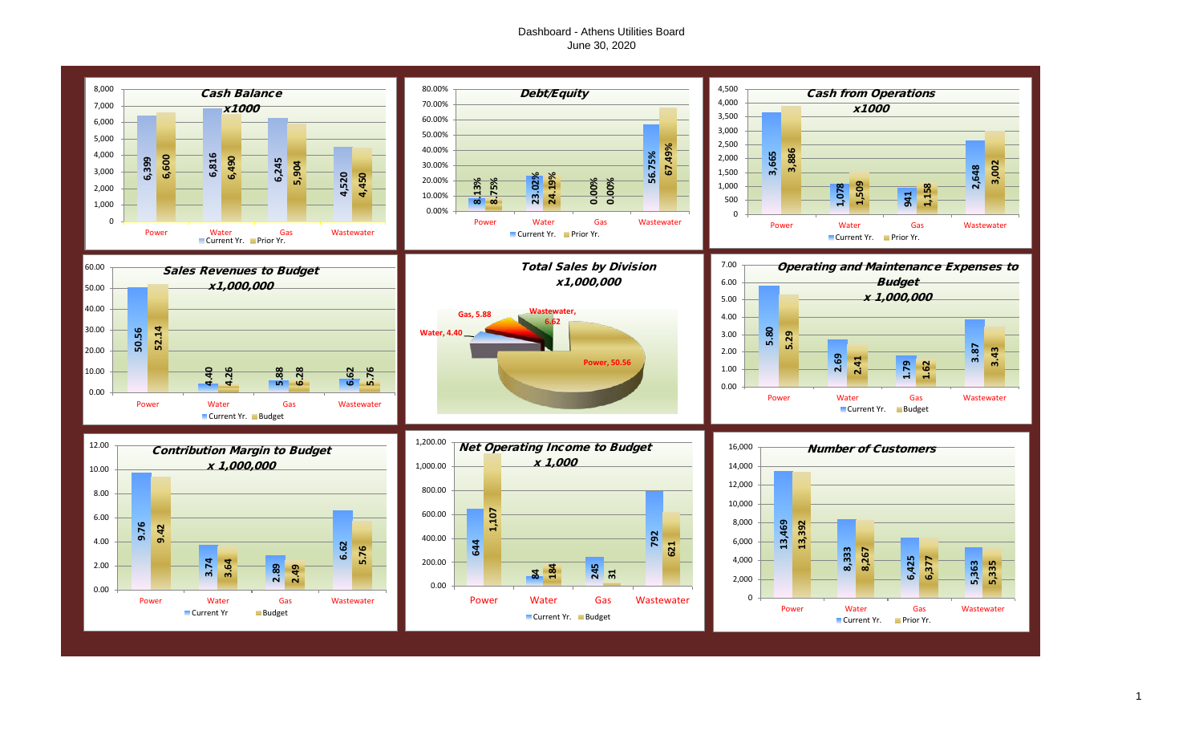## Dashboard - Athens Utilities Board June 30, 2020

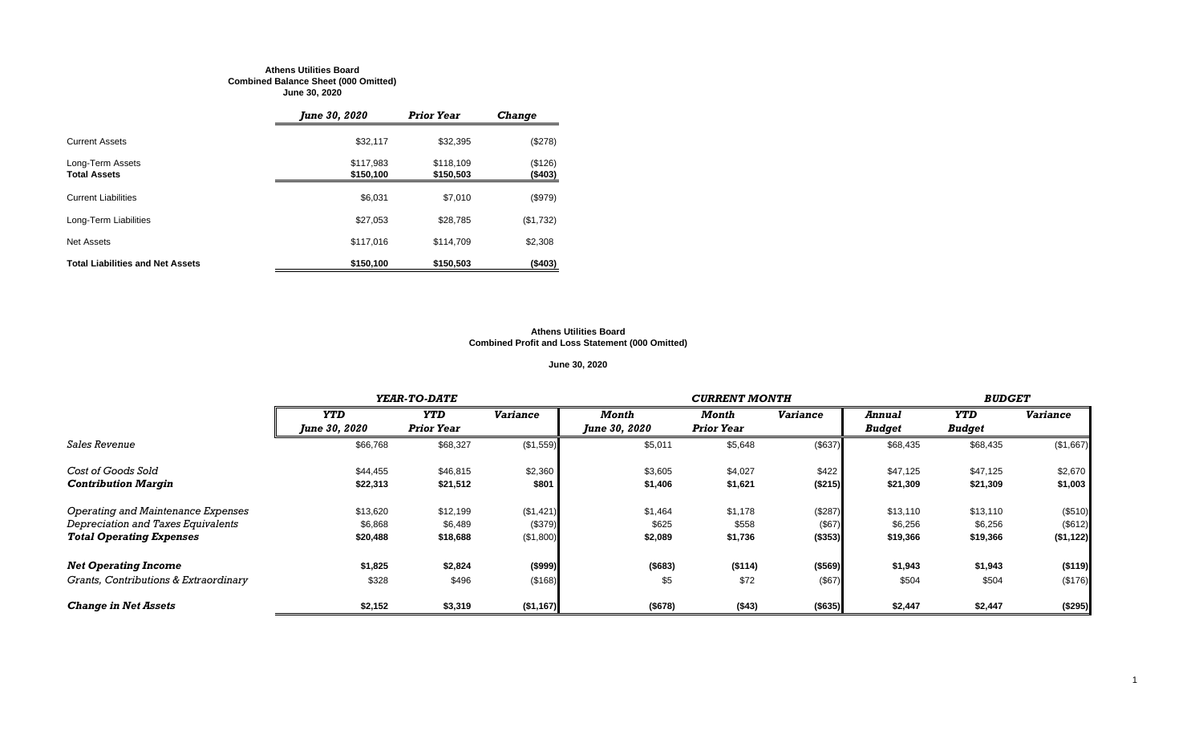#### **Athens Utilities Board Combined Balance Sheet (000 Omitted) June 30, 2020**

|                                         | June 30, 2020          | <b>Prior Year</b>      | <b>Change</b>      |
|-----------------------------------------|------------------------|------------------------|--------------------|
| <b>Current Assets</b>                   | \$32,117               | \$32,395               | (\$278)            |
| Long-Term Assets<br><b>Total Assets</b> | \$117,983<br>\$150,100 | \$118,109<br>\$150,503 | (\$126)<br>(\$403) |
| <b>Current Liabilities</b>              | \$6,031                | \$7,010                | (\$979)            |
| Long-Term Liabilities                   | \$27,053               | \$28,785               | (\$1,732)          |
| Net Assets                              | \$117,016              | \$114,709              | \$2,308            |
| <b>Total Liabilities and Net Assets</b> | \$150,100              | \$150,503              | (\$403)            |

#### **Athens Utilities Board Combined Profit and Loss Statement (000 Omitted)**

## **June 30, 2020**

|                                       |                      | <b>YEAR-TO-DATE</b> |                 |                      | <b>BUDGET</b>     |                 |               |               |                 |
|---------------------------------------|----------------------|---------------------|-----------------|----------------------|-------------------|-----------------|---------------|---------------|-----------------|
|                                       | <b>YTD</b>           | <b>YTD</b>          | <b>Variance</b> | Month                | Month             | <b>Variance</b> | <b>Annual</b> | YTD           | <b>Variance</b> |
|                                       | <b>June 30, 2020</b> | <b>Prior Year</b>   |                 | <b>June 30, 2020</b> | <b>Prior Year</b> |                 | <b>Budget</b> | <b>Budget</b> |                 |
| <i>Sales Revenue</i>                  | \$66,768             | \$68,327            | (\$1,559)       | \$5,011              | \$5,648           | (\$637)         | \$68,435      | \$68,435      | (\$1,667)       |
| Cost of Goods Sold                    | \$44,455             | \$46,815            | \$2,360         | \$3,605              | \$4,027           | \$422           | \$47,125      | \$47,125      | \$2,670         |
| <b>Contribution Margin</b>            | \$22,313             | \$21,512            | \$801           | \$1,406              | \$1,621           | ( \$215)        | \$21,309      | \$21,309      | \$1,003         |
| Operating and Maintenance Expenses    | \$13,620             | \$12,199            | (\$1,421)       | \$1,464              | \$1,178           | (\$287)         | \$13,110      | \$13,110      | (\$510)         |
| Depreciation and Taxes Equivalents    | \$6,868              | \$6,489             | (\$379)         | \$625                | \$558             | (\$67)          | \$6,256       | \$6,256       | (\$612)         |
| <b>Total Operating Expenses</b>       | \$20,488             | \$18,688            | (\$1,800)       | \$2,089              | \$1,736           | ( \$353)        | \$19,366      | \$19,366      | (\$1,122)       |
| <b>Net Operating Income</b>           | \$1,825              | \$2,824             | ( \$999)        | ( \$683)             | (\$114)           | ( \$569)        | \$1,943       | \$1,943       | (\$119)         |
| Grants, Contributions & Extraordinary | \$328                | \$496               | (\$168)         | \$5                  | \$72              | (\$67)          | \$504         | \$504         | (\$176)         |
| <b>Change in Net Assets</b>           | \$2,152              | \$3,319             | ( \$1,167)      | (\$678)              | (\$43)            | ( \$635)        | \$2,447       | \$2,447       | (\$295)         |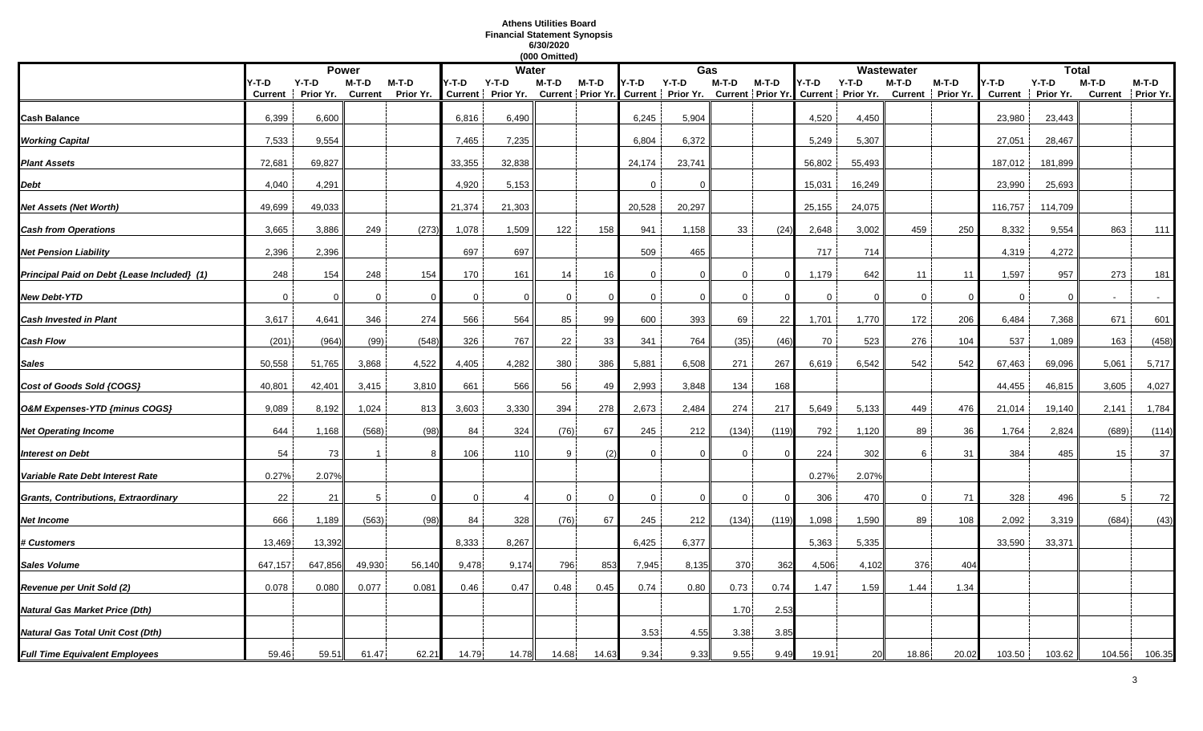## **Athens Utilities Board Financial Statement Synopsis 6/30/2020**

|                                             |                  |                      |                         |                      |             |                            | (000 Omitted) |          |              |                                                                                    |              |          |        |          |             |                            |                         |                      |         |                            |
|---------------------------------------------|------------------|----------------------|-------------------------|----------------------|-------------|----------------------------|---------------|----------|--------------|------------------------------------------------------------------------------------|--------------|----------|--------|----------|-------------|----------------------------|-------------------------|----------------------|---------|----------------------------|
|                                             |                  |                      | <b>Power</b>            |                      |             | <b>Water</b>               |               |          |              | Gas                                                                                |              |          |        |          | Wastewater  |                            |                         | <b>Total</b>         |         |                            |
|                                             | Y-T-D<br>Current | $Y-T-D$<br>Prior Yr. | M-T-D<br><b>Current</b> | $M-T-D$<br>Prior Yr. | Y-T-D       | Y-T-D<br>Current Prior Yr. | M-T-D         | M-T-D    | Y-T-D        | $Y-T-D$<br>Current Prior Yr. Current Prior Yr. Current Prior Yr. Current Prior Yr. | $M-T-D$      | $M-T-D$  | Y-T-D  | $Y-T-D$  | M-T-D       | M-T-D<br>Current Prior Yr. | /-T-D<br><b>Current</b> | $Y-T-D$<br>Prior Yr. | $M-T-D$ | M-T-D<br>Current Prior Yr. |
|                                             |                  |                      |                         |                      |             |                            |               |          |              |                                                                                    |              |          |        |          |             |                            |                         |                      |         |                            |
| Cash Balance                                | 6,399            | 6,600                |                         |                      | 6,816       | 6,490                      |               |          | 6,245        | 5,904                                                                              |              |          | 4,520  | 4,450    |             |                            | 23,980                  | 23,443               |         |                            |
| <b>Working Capital</b>                      | 7,533            | 9,554                |                         |                      | 7,465       | 7,235                      |               |          | 6,804        | 6,372                                                                              |              |          | 5,249  | 5,307    |             |                            | 27,051                  | 28,467               |         |                            |
| <b>Plant Assets</b>                         | 72,681           | 69,827               |                         |                      | 33,355      | 32,838                     |               |          | 24,174       | 23,741                                                                             |              |          | 56,802 | 55,493   |             |                            | 187,012                 | 181,899              |         |                            |
| Debt                                        | 4,040            | 4,291                |                         |                      | 4,920       | 5,153                      |               |          | $\Omega$     | $\Omega$                                                                           |              |          | 15,031 | 16,249   |             |                            | 23,990                  | 25,693               |         |                            |
| Net Assets (Net Worth)                      | 49,699           | 49,033               |                         |                      | 21,374      | 21,303                     |               |          | 20,528       | 20,297                                                                             |              |          | 25,155 | 24,075   |             |                            | 116,757                 | 114,709              |         |                            |
| <b>Cash from Operations</b>                 | 3,665            | 3,886                | 249                     | (273)                | 1,078       | 1,509                      | 122           | 158      | 941          | 1,158                                                                              | 33           | (24)     | 2,648  | 3,002    | 459         | 250                        | 8,332                   | 9,554                | 863     | 111                        |
| <b>Net Pension Liability</b>                | 2,396            | 2,396                |                         |                      | 697         | 697                        |               |          | 509          | 465                                                                                |              |          | 717    | 714      |             |                            | 4,319                   | 4,272                |         |                            |
| Principal Paid on Debt {Lease Included} (1) | 248              | 154                  | 248                     | 154                  | 170         | 161                        | 14            | 16       | $\mathbf{0}$ | $\mathbf{0}$                                                                       | $\mathbf{0}$ | $\Omega$ | 1,179  | 642      | 11          | 11                         | 1,597                   | 957                  | 273     | 181                        |
| New Debt-YTD                                | $\Omega$         | 0                    | $\Omega$                |                      | 0           | $\Omega$                   | $\Omega$      |          | 0            | 0                                                                                  | $\mathbf 0$  |          | 0      | $\Omega$ | $\mathbf 0$ | $\Omega$                   | 0                       | $\Omega$             |         |                            |
| <b>Cash Invested in Plant</b>               | 3,617            | 4,641                | 346                     | 274                  | 566         | 564                        | 85            | 99       | 600          | 393                                                                                | 69           | 22       | 1,701  | 1,770    | 172         | 206                        | 6,484                   | 7,368                | 671     | 601                        |
| Cash Flow                                   | (201)            | (964)                | (99)                    | (548)                | 326         | 767                        | 22            | 33       | 341          | 764                                                                                | (35)         | (46)     | 70     | 523      | 276         | 104                        | 537                     | 1,089                | 163     | (458)                      |
| Sales                                       | 50,558           | 51,765               | 3,868                   | 4,522                | 4,405       | 4,282                      | 380           | 386      | 5,881        | 6,508                                                                              | 271          | 267      | 6,619  | 6,542    | 542         | 542                        | 67,463                  | 69,096               | 5,061   | 5,717                      |
| Cost of Goods Sold {COGS}                   | 40,801           | 42,401               | 3,415                   | 3,810                | 661         | 566                        | 56            | 49       | 2,993        | 3,848                                                                              | 134          | 168      |        |          |             |                            | 44,455                  | 46,815               | 3,605   | 4,027                      |
| O&M Expenses-YTD {minus COGS}               | 9,089            | 8,192                | 1,024                   | 813                  | 3,603       | 3,330                      | 394           | 278      | 2,673        | 2,484                                                                              | 274          | 217      | 5,649  | 5,133    | 449         | 476                        | 21,014                  | 19,140               | 2,141   | 1,784                      |
| <b>Net Operating Income</b>                 | 644              | 1,168                | (568)                   | (98)                 | 84          | 324                        | (76)          | 67       | 245          | 212                                                                                | (134)        | (119     | 792    | 1,120    | 89          | 36                         | 1,764                   | 2,824                | (689)   | (114)                      |
| <b>Interest on Debt</b>                     | 54               | 73                   |                         |                      | 106         | 110                        | 9             | (2)      | $\Omega$     | $\Omega$                                                                           | $\Omega$     |          | 224    | 302      | 6           | 31                         | 384                     | 485                  | 15      | 37                         |
| Variable Rate Debt Interest Rate            | 0.27%            | 2.07%                |                         |                      |             |                            |               |          |              |                                                                                    |              |          | 0.27%  | 2.07%    |             |                            |                         |                      |         |                            |
| Grants, Contributions, Extraordinary        | 22               | 21                   | 5                       |                      | $\mathbf 0$ |                            | $\mathbf 0$   | $\Omega$ | $\mathbf{0}$ | $\mathbf{0}$                                                                       | $\mathbf{0}$ | $\Omega$ | 306    | 470      | $\mathbf 0$ | 71                         | 328                     | 496                  | 5       | 72                         |
| Net Income                                  | 666              | 1,189                | (563)                   | (98)                 | 84          | 328                        | (76)          | 67       | 245          | 212                                                                                | (134)        | (119     | 1,098  | 1,590    | 89          | 108                        | 2,092                   | 3,319                | (684)   | (43)                       |
| <b>‡ Customers</b>                          | 13,469           | 13,392               |                         |                      | 8,333       | 8,267                      |               |          | 6,425        | 6,377                                                                              |              |          | 5,363  | 5,335    |             |                            | 33,590                  | 33,371               |         |                            |
| Sales Volume                                | 647,157          | 647,856              | 49,930                  | 56,140               | 9,478       | 9,174                      | 796           | 853      | 7,945        | 8,135                                                                              | 370          | 362      | 4,506  | 4,102    | 376         | 404                        |                         |                      |         |                            |
| Revenue per Unit Sold (2)                   | 0.078            | 0.080                | 0.077                   | 0.081                | 0.46        | 0.47                       | 0.48          | 0.45     | 0.74         | 0.80                                                                               | 0.73         | 0.74     | 1.47   | 1.59     | 1.44        | 1.34                       |                         |                      |         |                            |
| Natural Gas Market Price (Dth)              |                  |                      |                         |                      |             |                            |               |          |              |                                                                                    | 1.70         | 2.53     |        |          |             |                            |                         |                      |         |                            |
| Natural Gas Total Unit Cost (Dth)           |                  |                      |                         |                      |             |                            |               |          | 3.53         | 4.55                                                                               | 3.38         | 3.85     |        |          |             |                            |                         |                      |         |                            |
| <b>Full Time Equivalent Employees</b>       | 59.46            | 59.51                | 61.47                   | 62.21                | 14.79       | 14.78                      | 14.68         | 14.63    | 9.34         | 9.33                                                                               | 9.55         | 9.49     | 19.91  | 20       | 18.86       | 20.02                      | 103.50                  | 103.62               | 104.56  | 106.35                     |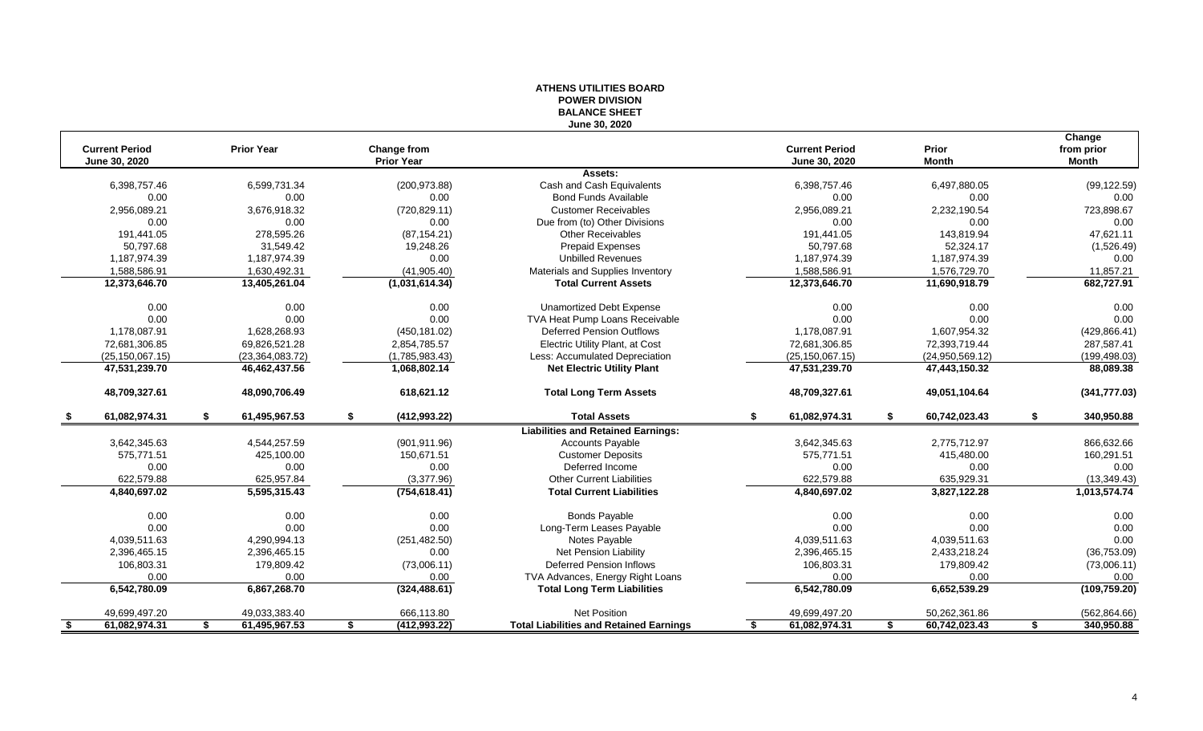|                                        |                   |                     |                                         | <b>BALANCE SHEET</b><br>June 30, 2020          |                                        |                       |    |                                      |
|----------------------------------------|-------------------|---------------------|-----------------------------------------|------------------------------------------------|----------------------------------------|-----------------------|----|--------------------------------------|
| <b>Current Period</b><br>June 30, 2020 |                   | <b>Prior Year</b>   | <b>Change from</b><br><b>Prior Year</b> |                                                | <b>Current Period</b><br>June 30, 2020 | Prior<br><b>Month</b> |    | Change<br>from prior<br><b>Month</b> |
|                                        |                   |                     |                                         | Assets:                                        |                                        |                       |    |                                      |
|                                        | 6,398,757.46      | 6,599,731.34        | (200, 973.88)                           | Cash and Cash Equivalents                      | 6,398,757.46                           | 6,497,880.05          |    | (99, 122.59)                         |
|                                        | 0.00              | 0.00                | 0.00                                    | <b>Bond Funds Available</b>                    | 0.00                                   | 0.00                  |    | 0.00                                 |
|                                        | 2,956,089.21      | 3,676,918.32        | (720, 829.11)                           | <b>Customer Receivables</b>                    | 2,956,089.21                           | 2,232,190.54          |    | 723,898.67                           |
|                                        | 0.00              | 0.00                | 0.00                                    | Due from (to) Other Divisions                  | 0.00                                   | 0.00                  |    | 0.00                                 |
|                                        | 191.441.05        | 278.595.26          | (87, 154.21)                            | <b>Other Receivables</b>                       | 191.441.05                             | 143,819.94            |    | 47,621.11                            |
|                                        | 50,797.68         | 31,549.42           | 19,248.26                               | <b>Prepaid Expenses</b>                        | 50,797.68                              | 52,324.17             |    | (1,526.49)                           |
|                                        | 1,187,974.39      | 1,187,974.39        | 0.00                                    | <b>Unbilled Revenues</b>                       | 1,187,974.39                           | 1,187,974.39          |    | 0.00                                 |
|                                        | 1,588,586.91      | 1,630,492.31        | (41, 905.40)                            | Materials and Supplies Inventory               | 1,588,586.91                           | 1,576,729.70          |    | 11,857.21                            |
|                                        | 12,373,646.70     | 13,405,261.04       | (1,031,614.34)                          | <b>Total Current Assets</b>                    | 12,373,646.70                          | 11,690,918.79         |    | 682,727.91                           |
|                                        | 0.00              | 0.00                | 0.00                                    | <b>Unamortized Debt Expense</b>                | 0.00                                   | 0.00                  |    | 0.00                                 |
|                                        | 0.00              | 0.00                | 0.00                                    | TVA Heat Pump Loans Receivable                 | 0.00                                   | 0.00                  |    | 0.00                                 |
|                                        | 1,178,087.91      | 1.628.268.93        | (450, 181.02)                           | Deferred Pension Outflows                      | 1,178,087.91                           | 1,607,954.32          |    | (429, 866.41)                        |
|                                        | 72,681,306.85     | 69,826,521.28       | 2,854,785.57                            | <b>Electric Utility Plant, at Cost</b>         | 72,681,306.85                          | 72,393,719.44         |    | 287,587.41                           |
|                                        | (25, 150, 067.15) | (23, 364, 083.72)   | (1,785,983.43)                          | Less: Accumulated Depreciation                 | (25, 150, 067.15)                      | (24,950,569.12)       |    | (199, 498.03)                        |
|                                        | 47,531,239.70     | 46,462,437.56       | 1,068,802.14                            | <b>Net Electric Utility Plant</b>              | 47,531,239.70                          | 47,443,150.32         |    | 88,089.38                            |
|                                        | 48,709,327.61     | 48,090,706.49       | 618,621.12                              | <b>Total Long Term Assets</b>                  | 48,709,327.61                          | 49,051,104.64         |    | (341, 777.03)                        |
|                                        | 61,082,974.31     | 61,495,967.53       | (412,993.22)                            | <b>Total Assets</b>                            | 61,082,974.31                          | 60,742,023.43         | £. | 340,950.88                           |
|                                        |                   |                     |                                         | <b>Liabilities and Retained Earnings:</b>      |                                        |                       |    |                                      |
|                                        | 3,642,345.63      | 4,544,257.59        | (901, 911.96)                           | <b>Accounts Payable</b>                        | 3,642,345.63                           | 2,775,712.97          |    | 866,632.66                           |
|                                        | 575.771.51        | 425,100.00          | 150.671.51                              | <b>Customer Deposits</b>                       | 575.771.51                             | 415,480.00            |    | 160,291.51                           |
|                                        | 0.00              | 0.00                | 0.00                                    | Deferred Income                                | 0.00                                   | 0.00                  |    | 0.00                                 |
|                                        | 622,579.88        | 625,957.84          | (3,377.96)                              | <b>Other Current Liabilities</b>               | 622,579.88                             | 635,929.31            |    | (13, 349.43)                         |
|                                        | 4,840,697.02      | 5,595,315.43        | (754, 618.41)                           | <b>Total Current Liabilities</b>               | 4,840,697.02                           | 3,827,122.28          |    | 1,013,574.74                         |
|                                        | 0.00              | 0.00                | 0.00                                    | <b>Bonds Payable</b>                           | 0.00                                   | 0.00                  |    | 0.00                                 |
|                                        | 0.00              | 0.00                | 0.00                                    | Long-Term Leases Payable                       | 0.00                                   | 0.00                  |    | 0.00                                 |
|                                        | 4,039,511.63      | 4,290,994.13        | (251, 482.50)                           | Notes Payable                                  | 4,039,511.63                           | 4,039,511.63          |    | 0.00                                 |
|                                        | 2,396,465.15      | 2,396,465.15        | 0.00                                    | Net Pension Liability                          | 2,396,465.15                           | 2,433,218.24          |    | (36, 753.09)                         |
|                                        | 106,803.31        | 179,809.42          | (73,006.11)                             | <b>Deferred Pension Inflows</b>                | 106,803.31                             | 179,809.42            |    | (73,006.11)                          |
|                                        | 0.00              | 0.00                | 0.00                                    | TVA Advances, Energy Right Loans               | 0.00                                   | 0.00                  |    | 0.00                                 |
|                                        | 6,542,780.09      | 6,867,268.70        | (324, 488.61)                           | <b>Total Long Term Liabilities</b>             | 6,542,780.09                           | 6,652,539.29          |    | (109, 759.20)                        |
|                                        | 49,699,497.20     | 49,033,383.40       | 666,113.80                              | <b>Net Position</b>                            | 49,699,497.20                          | 50,262,361.86         |    | (562, 864.66)                        |
| - \$                                   | 61,082,974.31     | \$<br>61,495,967.53 | \$<br>(412,993.22)                      | <b>Total Liabilities and Retained Earnings</b> | 61,082,974.31                          | \$<br>60,742,023.43   | \$ | 340,950.88                           |

# **ATHENS UTILITIES BOARD POWER DIVISION**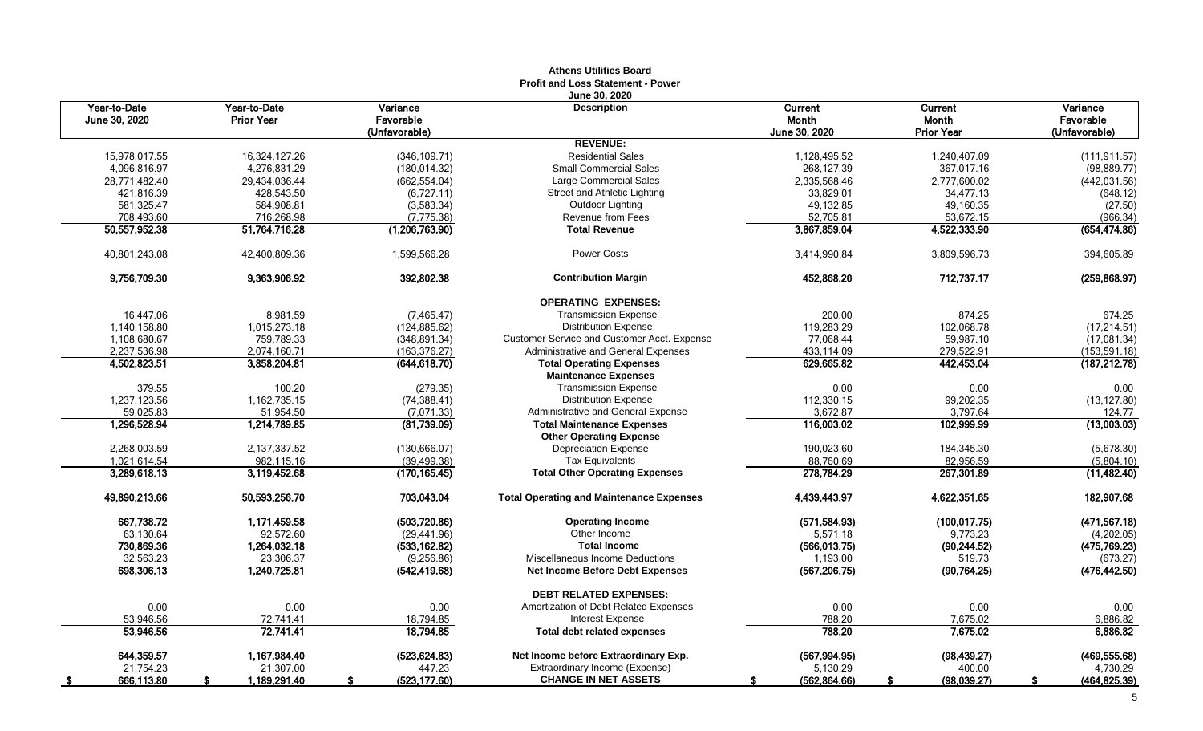|                               |                                   |                                        | <b>Athens Utilities Board</b><br><b>Profit and Loss Statement - Power</b> |                                   |                                              |                                        |
|-------------------------------|-----------------------------------|----------------------------------------|---------------------------------------------------------------------------|-----------------------------------|----------------------------------------------|----------------------------------------|
| Year-to-Date<br>June 30, 2020 | Year-to-Date<br><b>Prior Year</b> | Variance<br>Favorable<br>(Unfavorable) | June 30, 2020<br><b>Description</b>                                       | Current<br>Month<br>June 30, 2020 | Current<br><b>Month</b><br><b>Prior Year</b> | Variance<br>Favorable<br>(Unfavorable) |
|                               |                                   |                                        | <b>REVENUE:</b>                                                           |                                   |                                              |                                        |
| 15.978.017.55                 | 16.324.127.26                     | (346, 109.71)                          | <b>Residential Sales</b>                                                  | 1,128,495.52                      | 1.240.407.09                                 | (111.911.57)                           |
| 4,096,816.97                  | 4,276,831.29                      | (180, 014.32)                          | <b>Small Commercial Sales</b>                                             | 268,127.39                        | 367,017.16                                   | (98, 889.77)                           |
| 28,771,482.40                 | 29,434,036.44                     | (662, 554.04)                          | Large Commercial Sales                                                    | 2,335,568.46                      | 2,777,600.02                                 | (442, 031.56)                          |
| 421,816.39                    | 428,543.50                        | (6,727.11)                             | Street and Athletic Lighting                                              | 33,829.01                         | 34,477.13                                    | (648.12)                               |
| 581,325.47                    | 584,908.81                        | (3,583.34)                             | Outdoor Lighting                                                          | 49,132.85                         | 49,160.35                                    | (27.50)                                |
| 708,493.60                    | 716,268.98                        | (7, 775.38)                            | <b>Revenue from Fees</b>                                                  | 52,705.81                         | 53,672.15                                    | (966.34)                               |
| 50,557,952.38                 | 51,764,716.28                     | (1,206,763.90)                         | <b>Total Revenue</b>                                                      | 3,867,859.04                      | 4,522,333.90                                 | (654, 474.86)                          |
| 40,801,243.08                 | 42,400,809.36                     | 1,599,566.28                           | <b>Power Costs</b>                                                        | 3,414,990.84                      | 3,809,596.73                                 | 394,605.89                             |
| 9,756,709.30                  | 9,363,906.92                      | 392,802.38                             | <b>Contribution Margin</b>                                                | 452,868.20                        | 712,737.17                                   | (259, 868.97)                          |
|                               |                                   |                                        | <b>OPERATING EXPENSES:</b>                                                |                                   |                                              |                                        |
| 16,447.06                     | 8,981.59                          | (7, 465.47)                            | <b>Transmission Expense</b>                                               | 200.00                            | 874.25                                       | 674.25                                 |
| 1,140,158.80                  | 1,015,273.18                      | (124, 885.62)                          | <b>Distribution Expense</b>                                               | 119,283.29                        | 102,068.78                                   | (17, 214.51)                           |
| 1,108,680.67                  | 759.789.33                        | (348, 891.34)                          | <b>Customer Service and Customer Acct. Expense</b>                        | 77.068.44                         | 59.987.10                                    | (17,081.34)                            |
| 2,237,536.98                  | 2,074,160.71                      | (163, 376.27)                          | Administrative and General Expenses                                       | 433,114.09                        | 279,522.91                                   | (153, 591.18)                          |
| 4,502,823.51                  | 3,858,204.81                      | (644,618.70)                           | <b>Total Operating Expenses</b>                                           | 629,665.82                        | 442,453.04                                   | (187, 212.78)                          |
|                               |                                   |                                        | <b>Maintenance Expenses</b>                                               |                                   |                                              |                                        |
| 379.55                        | 100.20                            | (279.35)                               | <b>Transmission Expense</b>                                               | 0.00                              | 0.00                                         | 0.00                                   |
| 1,237,123.56                  | 1,162,735.15                      | (74, 388.41)                           | <b>Distribution Expense</b>                                               | 112,330.15                        | 99,202.35                                    | (13, 127.80)                           |
| 59,025.83                     | 51,954.50                         | (7,071.33)                             | Administrative and General Expense                                        | 3.672.87                          | 3,797.64                                     | 124.77                                 |
| 1,296,528.94                  | 1,214,789.85                      | (81,739.09)                            | <b>Total Maintenance Expenses</b>                                         | 116,003.02                        | 102,999.99                                   | (13,003.03)                            |
|                               |                                   |                                        | <b>Other Operating Expense</b>                                            |                                   |                                              |                                        |
| 2.268.003.59                  | 2,137,337.52                      | (130, 666.07)                          | <b>Depreciation Expense</b>                                               | 190,023.60                        | 184,345.30                                   | (5,678.30)                             |
| 1,021,614.54                  | 982,115.16                        | (39, 499.38)                           | <b>Tax Equivalents</b>                                                    | 88,760.69                         | 82,956.59                                    | (5,804.10)                             |
| 3,289,618.13                  | 3,119,452.68                      | (170,165.45)                           | <b>Total Other Operating Expenses</b>                                     | 278,784.29                        | 267,301.89                                   | (11, 482.40)                           |
| 49,890,213.66                 | 50,593,256.70                     | 703,043.04                             | <b>Total Operating and Maintenance Expenses</b>                           | 4,439,443.97                      | 4,622,351.65                                 | 182,907.68                             |
| 667.738.72                    | 1.171.459.58                      | (503, 720.86)                          | <b>Operating Income</b>                                                   | (571, 584.93)                     | (100, 017.75)                                | (471, 567.18)                          |
| 63,130.64                     | 92,572.60                         | (29, 441.96)                           | Other Income                                                              | 5,571.18                          | 9,773.23                                     | (4,202.05)                             |
| 730,869.36                    | 1,264,032.18                      | (533, 162.82)                          | <b>Total Income</b>                                                       | (566, 013.75)                     | (90, 244.52)                                 | (475, 769.23)                          |
| 32,563.23                     | 23,306.37                         | (9, 256.86)                            | Miscellaneous Income Deductions                                           | 1,193.00                          | 519.73                                       | (673.27)                               |
| 698,306.13                    | 1.240.725.81                      | (542, 419.68)                          | <b>Net Income Before Debt Expenses</b>                                    | (567, 206.75)                     | (90, 764.25)                                 | (476, 442.50)                          |
|                               |                                   |                                        | <b>DEBT RELATED EXPENSES:</b>                                             |                                   |                                              |                                        |
| 0.00                          | 0.00                              | 0.00                                   | Amortization of Debt Related Expenses                                     | 0.00                              | 0.00                                         | 0.00                                   |
| 53,946.56                     | 72,741.41                         | 18,794.85                              | Interest Expense                                                          | 788.20                            | 7,675.02                                     | 6,886.82                               |
| 53,946.56                     | 72,741.41                         | 18,794.85                              | <b>Total debt related expenses</b>                                        | 788.20                            | 7,675.02                                     | 6,886.82                               |
| 644,359.57                    | 1,167,984.40                      | (523, 624.83)                          | Net Income before Extraordinary Exp.                                      | (567, 994.95)                     | (98, 439.27)                                 | (469, 555.68)                          |
| 21,754.23                     | 21,307.00                         | 447.23                                 | Extraordinary Income (Expense)                                            | 5,130.29                          | 400.00                                       | 4,730.29                               |
| 666,113.80<br><u>\$</u>       | 1,189,291.40<br>s.                | (523, 177.60)<br>\$                    | <b>CHANGE IN NET ASSETS</b>                                               | (562, 864.66)<br>S                | (98,039.27)<br>S.                            | (464, 825.39)<br>-S                    |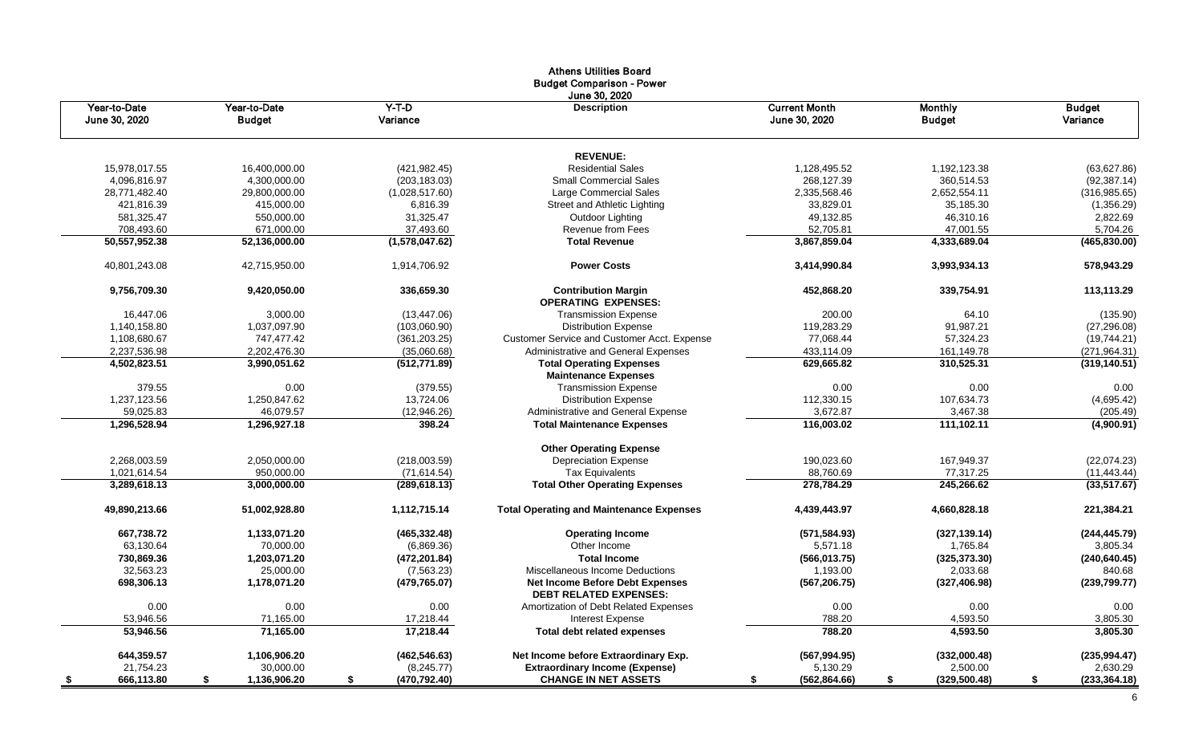|                               |                               |                     | <b>Athens Utilities Board</b><br><b>Budget Comparison - Power</b> |                                       |                                 |                           |
|-------------------------------|-------------------------------|---------------------|-------------------------------------------------------------------|---------------------------------------|---------------------------------|---------------------------|
| Year-to-Date<br>June 30, 2020 | Year-to-Date<br><b>Budget</b> | $Y-T-D$<br>Variance | June 30, 2020<br><b>Description</b>                               | <b>Current Month</b><br>June 30, 2020 | <b>Monthly</b><br><b>Budget</b> | <b>Budget</b><br>Variance |
|                               |                               |                     | <b>REVENUE:</b>                                                   |                                       |                                 |                           |
| 15,978,017.55                 | 16,400,000.00                 | (421, 982.45)       | <b>Residential Sales</b>                                          | 1,128,495.52                          | 1,192,123.38                    | (63, 627.86)              |
| 4,096,816.97                  | 4,300,000.00                  | (203, 183.03)       | <b>Small Commercial Sales</b>                                     | 268,127.39                            | 360,514.53                      | (92, 387.14)              |
| 28,771,482.40                 | 29,800,000.00                 | (1,028,517.60)      | Large Commercial Sales                                            | 2,335,568.46                          | 2,652,554.11                    | (316, 985.65)             |
| 421,816.39                    | 415,000.00                    | 6,816.39            | Street and Athletic Lighting                                      | 33,829.01                             | 35,185.30                       | (1,356.29)                |
| 581,325.47                    | 550,000.00                    | 31,325.47           | Outdoor Lighting                                                  | 49,132.85                             | 46,310.16                       | 2,822.69                  |
| 708,493.60                    | 671,000.00                    | 37,493.60           | Revenue from Fees                                                 | 52,705.81                             | 47,001.55                       | 5,704.26                  |
| 50,557,952.38                 | 52,136,000.00                 | (1,578,047.62)      | <b>Total Revenue</b>                                              | 3,867,859.04                          | 4,333,689.04                    | (465, 830.00)             |
| 40,801,243.08                 | 42,715,950.00                 | 1,914,706.92        | <b>Power Costs</b>                                                | 3,414,990.84                          | 3,993,934.13                    | 578,943.29                |
| 9,756,709.30                  | 9,420,050.00                  | 336,659.30          | <b>Contribution Margin</b><br><b>OPERATING EXPENSES:</b>          | 452,868.20                            | 339,754.91                      | 113,113.29                |
| 16,447.06                     | 3,000.00                      | (13, 447.06)        | <b>Transmission Expense</b>                                       | 200.00                                | 64.10                           | (135.90)                  |
| 1,140,158.80                  | 1,037,097.90                  | (103,060.90)        | <b>Distribution Expense</b>                                       | 119,283.29                            | 91,987.21                       | (27, 296.08)              |
| 1,108,680.67                  | 747,477.42                    | (361, 203.25)       | Customer Service and Customer Acct. Expense                       | 77,068.44                             | 57,324.23                       | (19,744.21)               |
| 2,237,536.98                  | 2,202,476.30                  | (35,060.68)         | Administrative and General Expenses                               | 433,114.09                            | 161,149.78                      | (271, 964.31)             |
| 4,502,823.51                  | 3,990,051.62                  | (512, 771.89)       | <b>Total Operating Expenses</b>                                   | 629,665.82                            | 310,525.31                      | (319, 140.51)             |
|                               |                               |                     | <b>Maintenance Expenses</b>                                       |                                       |                                 |                           |
| 379.55                        | 0.00                          | (379.55)            | <b>Transmission Expense</b>                                       | 0.00                                  | 0.00                            | 0.00                      |
| 1,237,123.56                  | 1,250,847.62                  | 13,724.06           | <b>Distribution Expense</b>                                       | 112,330.15                            | 107,634.73                      | (4,695.42)                |
| 59,025.83                     | 46,079.57                     | (12, 946.26)        | Administrative and General Expense                                | 3,672.87                              | 3,467.38                        | (205.49)                  |
| 1,296,528.94                  | 1,296,927.18                  | 398.24              | <b>Total Maintenance Expenses</b>                                 | 116,003.02                            | 111,102.11                      | (4,900.91)                |
|                               |                               |                     | <b>Other Operating Expense</b>                                    |                                       |                                 |                           |
| 2,268,003.59                  | 2,050,000.00                  | (218,003.59)        | <b>Depreciation Expense</b>                                       | 190,023.60                            | 167,949.37                      | (22,074.23)               |
| 1,021,614.54                  | 950,000.00                    | (71, 614.54)        | <b>Tax Equivalents</b>                                            | 88,760.69                             | 77,317.25                       | (11, 443.44)              |
| 3,289,618.13                  | 3,000,000.00                  | (289, 618.13)       | <b>Total Other Operating Expenses</b>                             | 278,784.29                            | 245,266.62                      | (33, 517.67)              |
| 49,890,213.66                 | 51,002,928.80                 | 1,112,715.14        | <b>Total Operating and Maintenance Expenses</b>                   | 4,439,443.97                          | 4,660,828.18                    | 221,384.21                |
| 667,738.72                    | 1,133,071.20                  | (465, 332.48)       | <b>Operating Income</b>                                           | (571, 584.93)                         | (327, 139.14)                   | (244, 445.79)             |
| 63,130.64                     | 70,000.00                     | (6,869.36)          | Other Income                                                      | 5,571.18                              | 1,765.84                        | 3,805.34                  |
| 730,869.36                    | 1,203,071.20                  | (472, 201.84)       | <b>Total Income</b>                                               | (566, 013.75)                         | (325, 373.30)                   | (240, 640.45)             |
| 32,563.23                     | 25,000.00                     | (7,563.23)          | Miscellaneous Income Deductions                                   | 1,193.00                              | 2,033.68                        | 840.68                    |
| 698,306.13                    | 1,178,071.20                  | (479, 765.07)       | Net Income Before Debt Expenses<br><b>DEBT RELATED EXPENSES:</b>  | (567, 206.75)                         | (327, 406.98)                   | (239,799.77)              |
| 0.00                          | 0.00                          | 0.00                | Amortization of Debt Related Expenses                             | 0.00                                  | 0.00                            | 0.00                      |
| 53,946.56                     | 71,165.00                     | 17,218.44           | <b>Interest Expense</b>                                           | 788.20                                | 4,593.50                        | 3,805.30                  |
| 53,946.56                     | 71,165.00                     | 17,218.44           | <b>Total debt related expenses</b>                                | 788.20                                | 4,593.50                        | 3,805.30                  |
| 644,359.57                    | 1,106,906.20                  | (462, 546.63)       | Net Income before Extraordinary Exp.                              | (567, 994.95)                         | (332,000.48)                    | (235, 994.47)             |
| 21,754.23                     | 30,000.00                     | (8,245.77)          | <b>Extraordinary Income (Expense)</b>                             | 5,130.29                              | 2,500.00                        | 2,630.29                  |
| 666,113.80                    | \$<br>1,136,906.20            | \$<br>(470, 792.40) | <b>CHANGE IN NET ASSETS</b>                                       | (562, 864.66)<br>\$                   | \$<br>(329, 500.48)             | \$<br>(233, 364.18)       |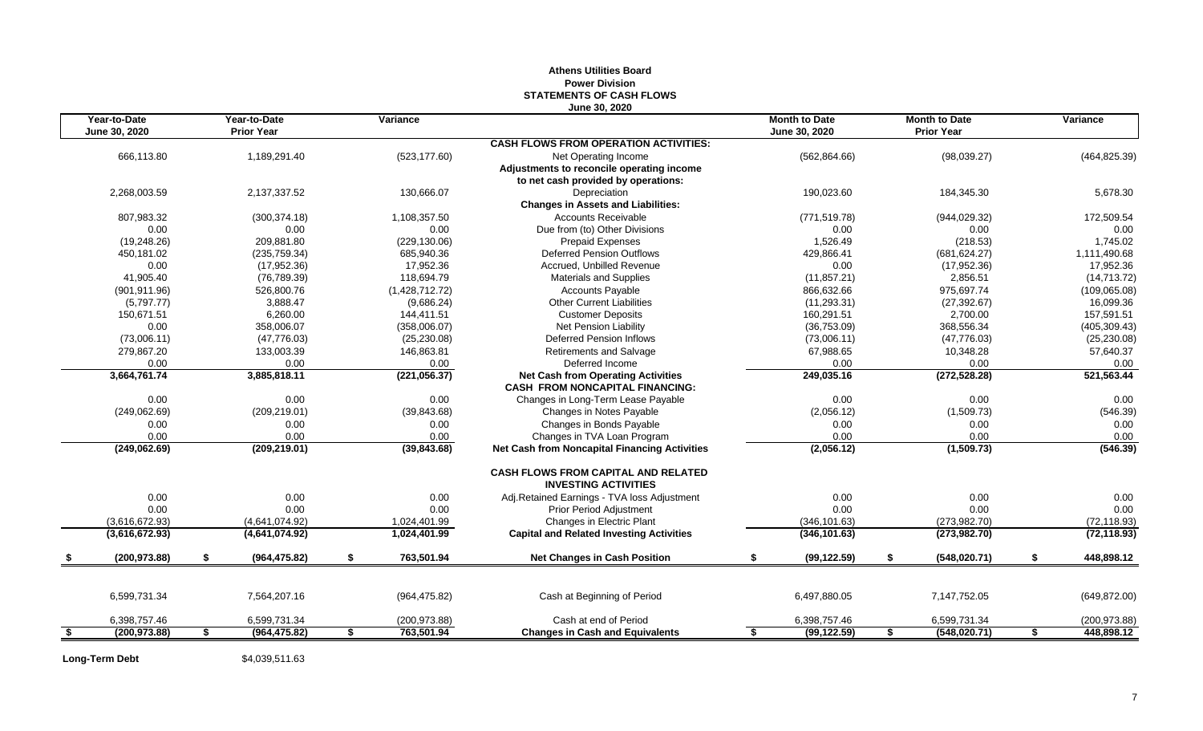## **June 30, 2020 Year-to-Date Year-to-Date Variance Month to Date Month to Date Variance June 30, 2020 Prior Year June 30, 2020 Prior Year CASH FLOWS FROM OPERATION ACTIVITIES:** 666,113.80 1,189,291.40 (523,177.60) Net Operating Income (562,864.66) (98,039.27) (464,825.39) **Adjustments to reconcile operating income to net cash provided by operations:** 2,268,003.59 2,137,337.52 130,666.07 Depreciation 190,023.60 184,345.30 5,678.30 **Changes in Assets and Liabilities:** 807,983.32 (300,374.18) 1,108,357.50 Accounts Receivable (771,519.78) (944,029.32) 172,509.54 0.00 0.00 0.00 Due from (to) Other Divisions 0.00 0.00 0.00 (19,248.26) 209,881.80 (229,130.06) Prepaid Expenses 1,526.49 (218.53) 1,745.02 450,181.02 (235,759.34) 685,940.36 Deferred Pension Outflows 429,866.41 (681,624.27) 1,111,490.68 0.00 (17,952.36) 17,952.36 Accrued, Unbilled Revenue 0.00 (17,952.36) 17,952.36 41,905.40 (76,789.39) 118,694.79 Materials and Supplies (11,857.21) 2,856.51 (14,713.72) (901,911.96) 526,800.76 (1,428,712.72) Cccounts Payable 866,632.66 975,697.74 (109,065.08) (5,797.77) 3,888.47 (9,686.24) Other Current Liabilities (11,293.31) (27,392.67) 16,099.36 150,671.51 6,260.00 144,411.51 Customer Deposits 160,291.51 2,700.00 157,591.51 0.00 358,006.07 (358,006.07) Net Pension Liability (36,753.09) 368,556.34 (405,309.43) (73,006.11) (47,776.03) (25,230.08) Deferred Pension Inflows (73,006.11) (47,776.03) (25,230.08) 279,867.20 133,003.39 146,863.81 Retirements and Salvage 67,988.65 10,348.28 57,640.37 0.00 0.00 0.00 Deferred Income 0.00 0.00 0.00 **3,664,761.74 3,885,818.11 (221,056.37) Net Cash from Operating Activities 249,035.16 (272,528.28) 521,563.44 CASH FROM NONCAPITAL FINANCING:** 0.00 0.00 0.00 Changes in Long-Term Lease Payable 0.00 0.00 0.00 (249,062.69) (209,219.01) (39,843.68) Changes in Notes Payable (2,056.12) (1,509.73) (546.39) 0.00 0.00 0.00 Changes in Bonds Payable 0.00 0.00 0.00 0.00 0.00 0.00 Changes in TVA Loan Program 0.00 0.00 0.00 **(249,062.69) (209,219.01) (39,843.68) Net Cash from Noncapital Financing Activities (2,056.12) (1,509.73) (546.39) CASH FLOWS FROM CAPITAL AND RELATED INVESTING ACTIVITIES** 0.00 0.00 0.00 0.00 0.00 Adj.Retained Earnings - TVA loss Adjustment 0.00 0.00 0.00 0.00 0.00 0.00 0.00 0.00 0.00 0.00 Prior Period Adjustment 0.00 0.00 0.00 (3,616,672.93) (4,641,074.92) 1,024,401.99 Changes in Electric Plant (346,101.63) (273,982.70) (72,118.93) **(3,616,672.93) (4,641,074.92) 1,024,401.99 Capital and Related Investing Activities (346,101.63) (273,982.70) (72,118.93) \$ (200,973.88) \$ (964,475.82) \$ 763,501.94 Net Changes in Cash Position \$ (99,122.59) \$ (548,020.71) \$ 448,898.12** 6,599,731.34 7,564,207.16 (964,475.82) Cash at Beginning of Period 6,497,880.05 7,147,752.05 (649,872.00) 6,398,757.46 6,599,731.34 (200,973.88) Cash at end of Period 6,398,757.46 6,599,731.34 (200,973.88) **\$ (200,973.88) \$ (964,475.82) \$ 763,501.94 Changes in Cash and Equivalents \$ (99,122.59) \$ (548,020.71) \$ 448,898.12**

## **Athens Utilities Board Power Division STATEMENTS OF CASH FLOWS**

**Long-Term Debt** \$4,039,511.63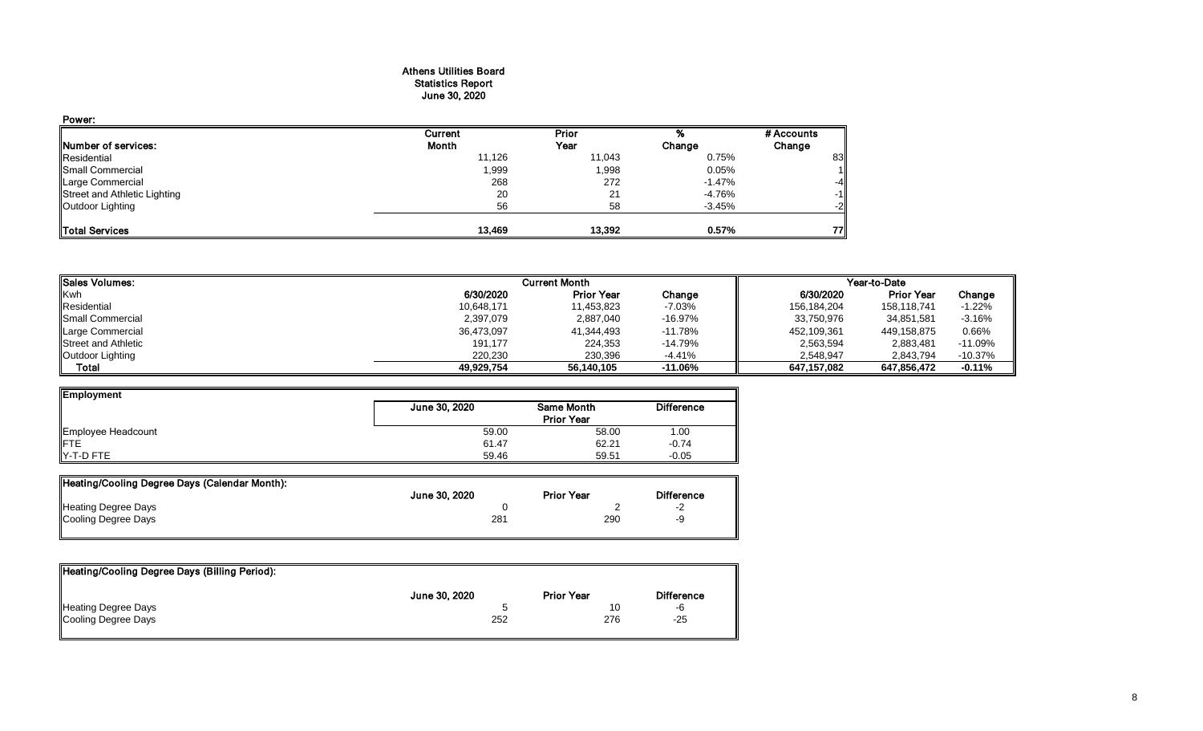### Athens Utilities Board Statistics Report June 30, 2020

| Power:                       |         |        |           |            |
|------------------------------|---------|--------|-----------|------------|
|                              | Current | Prior  |           | # Accounts |
| <b>Number of services:</b>   | Month   | Year   | Change    | Change     |
| Residential                  | 11,126  | 11,043 | 0.75%     | 83         |
| Small Commercial             | 1,999   | 1,998  | 0.05%     | 11         |
| Large Commercial             | 268     | 272    | $-1.47\%$ | $-4$       |
| Street and Athletic Lighting | 20      | 21     | -4.76%    | $-1$       |
| Outdoor Lighting             | 56      | 58     | $-3.45%$  | $-2$       |
| Total Services               | 13,469  | 13,392 | 0.57%     | 77         |

| <b>I</b> Sales Volumes:    |            | <b>Current Month</b> | Year-to-Date |             |                   |           |
|----------------------------|------------|----------------------|--------------|-------------|-------------------|-----------|
| Kwh                        | 6/30/2020  | <b>Prior Year</b>    | Change       | 6/30/2020   | <b>Prior Year</b> | Change    |
| Residential                | 10,648,171 | 11,453,823           | $-7.03%$     | 156,184,204 | 158.118.741       | $-1.22%$  |
| Small Commercial           | 2,397,079  | 2,887,040            | $-16.97%$    | 33,750,976  | 34,851,581        | $-3.16%$  |
| Large Commercial           | 36,473,097 | 41,344,493           | $-11.78%$    | 452,109,361 | 449,158,875       | 0.66%     |
| <b>Street and Athletic</b> | 191,177    | 224,353              | $-14.79%$    | 2,563,594   | 2,883,481         | $-11.09%$ |
| Outdoor Lighting           | 220.230    | 230.396              | -4.41%       | 2.548.947   | 2,843,794         | $-10.37%$ |
| Total                      | 49.929.754 | 56,140,105           | $-11.06\%$   | 647.157.082 | 647,856,472       | $-0.11%$  |

| Employment         |               |                   |                   |
|--------------------|---------------|-------------------|-------------------|
|                    | June 30, 2020 | Same Month        | <b>Difference</b> |
|                    |               | <b>Prior Year</b> |                   |
| Employee Headcount | 59.00         | 58.00             | 1.00              |
| <b>IFTE</b>        | 61.47         | 62.21             | $-0.74$           |
| Y-T-D FTE          | 59.46         | 59.51             | $-0.05$           |

| Heating/Cooling Degree Days (Calendar Month): |               |                   |                          |
|-----------------------------------------------|---------------|-------------------|--------------------------|
|                                               | June 30, 2020 | <b>Prior Year</b> | <b>Difference</b>        |
| <b>Heating Degree Days</b>                    |               |                   | $\overline{\phantom{a}}$ |
| Cooling Degree Days                           | 281           | 290               | -9                       |

| Heating/Cooling Degree Days (Billing Period): |               |                   |                   |
|-----------------------------------------------|---------------|-------------------|-------------------|
|                                               | June 30, 2020 | <b>Prior Year</b> | <b>Difference</b> |
| Heating Degree Days                           |               | 10                | -6                |
| Cooling Degree Days                           | 252           | 276               | $-25$             |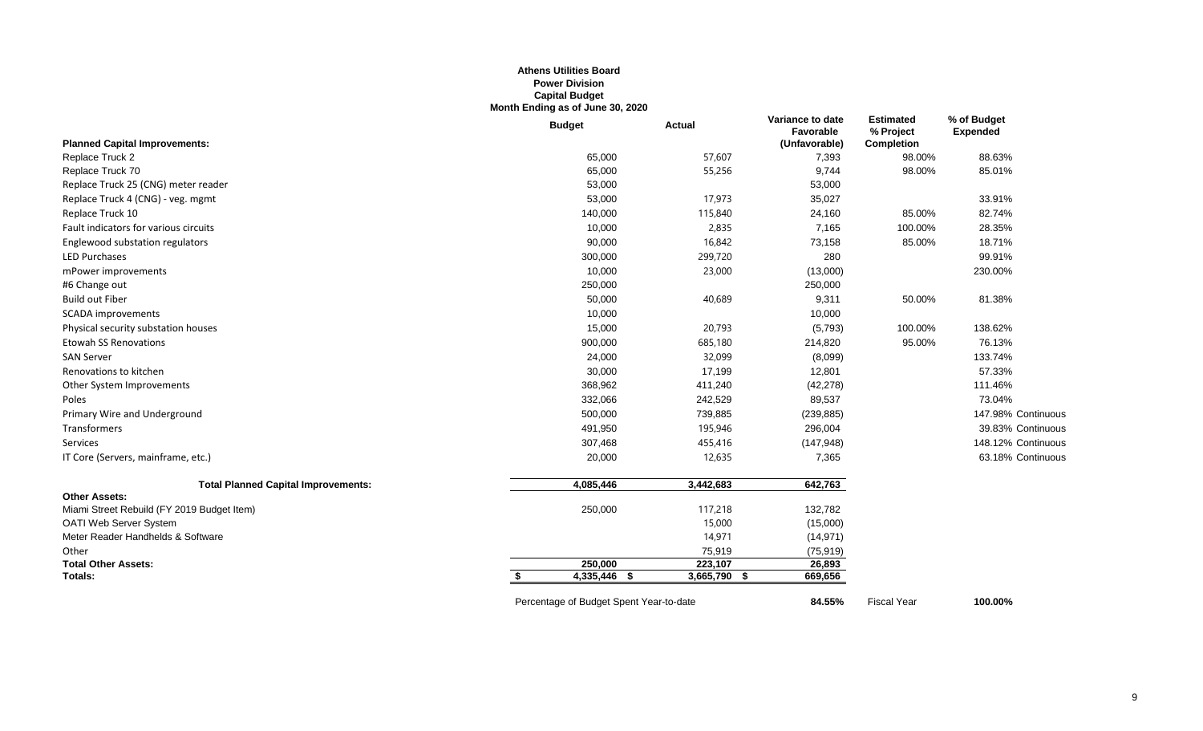#### **Athens Utilities Board Power Division Capital Budget Month Ending as of June 30, 2020**

|                                            | <b>Budget</b>                           | <b>Actual</b> | Variance to date<br>Favorable | <b>Estimated</b><br>% Project | % of Budget<br><b>Expended</b> |
|--------------------------------------------|-----------------------------------------|---------------|-------------------------------|-------------------------------|--------------------------------|
| <b>Planned Capital Improvements:</b>       |                                         |               | (Unfavorable)                 | <b>Completion</b>             |                                |
| Replace Truck 2                            | 65,000                                  | 57,607        | 7,393                         | 98.00%                        | 88.63%                         |
| Replace Truck 70                           | 65,000                                  | 55,256        | 9,744                         | 98.00%                        | 85.01%                         |
| Replace Truck 25 (CNG) meter reader        | 53,000                                  |               | 53,000                        |                               |                                |
| Replace Truck 4 (CNG) - veg. mgmt          | 53,000                                  | 17,973        | 35,027                        |                               | 33.91%                         |
| Replace Truck 10                           | 140,000                                 | 115,840       | 24,160                        | 85.00%                        | 82.74%                         |
| Fault indicators for various circuits      | 10,000                                  | 2,835         | 7,165                         | 100.00%                       | 28.35%                         |
| Englewood substation regulators            | 90,000                                  | 16,842        | 73,158                        | 85.00%                        | 18.71%                         |
| <b>LED Purchases</b>                       | 300,000                                 | 299,720       | 280                           |                               | 99.91%                         |
| mPower improvements                        | 10,000                                  | 23,000        | (13,000)                      |                               | 230.00%                        |
| #6 Change out                              | 250,000                                 |               | 250,000                       |                               |                                |
| <b>Build out Fiber</b>                     | 50,000                                  | 40,689        | 9,311                         | 50.00%                        | 81.38%                         |
| <b>SCADA</b> improvements                  | 10,000                                  |               | 10,000                        |                               |                                |
| Physical security substation houses        | 15,000                                  | 20,793        | (5,793)                       | 100.00%                       | 138.62%                        |
| <b>Etowah SS Renovations</b>               | 900,000                                 | 685,180       | 214,820                       | 95.00%                        | 76.13%                         |
| <b>SAN Server</b>                          | 24,000                                  | 32,099        | (8,099)                       |                               | 133.74%                        |
| Renovations to kitchen                     | 30,000                                  | 17,199        | 12,801                        |                               | 57.33%                         |
| Other System Improvements                  | 368,962                                 | 411,240       | (42, 278)                     |                               | 111.46%                        |
| Poles                                      | 332,066                                 | 242,529       | 89,537                        |                               | 73.04%                         |
| Primary Wire and Underground               | 500,000                                 | 739,885       | (239, 885)                    |                               | 147.98% Continuous             |
| Transformers                               | 491,950                                 | 195,946       | 296,004                       |                               | 39.83% Continuous              |
| Services                                   | 307,468                                 | 455,416       | (147, 948)                    |                               | 148.12% Continuous             |
| IT Core (Servers, mainframe, etc.)         | 20,000                                  | 12,635        | 7,365                         |                               | 63.18% Continuous              |
| <b>Total Planned Capital Improvements:</b> | 4,085,446                               | 3,442,683     | 642,763                       |                               |                                |
| <b>Other Assets:</b>                       |                                         |               |                               |                               |                                |
| Miami Street Rebuild (FY 2019 Budget Item) | 250,000                                 | 117,218       | 132,782                       |                               |                                |
| OATI Web Server System                     |                                         | 15,000        | (15,000)                      |                               |                                |
| Meter Reader Handhelds & Software          |                                         | 14,971        | (14, 971)                     |                               |                                |
| Other                                      |                                         | 75,919        | (75, 919)                     |                               |                                |
| <b>Total Other Assets:</b>                 | 250,000                                 | 223,107       | 26,893                        |                               |                                |
| Totals:                                    | 4,335,446 \$                            | 3,665,790 \$  | 669,656                       |                               |                                |
|                                            | Percentage of Budget Spent Year-to-date |               | 84.55%                        | <b>Fiscal Year</b>            | 100.00%                        |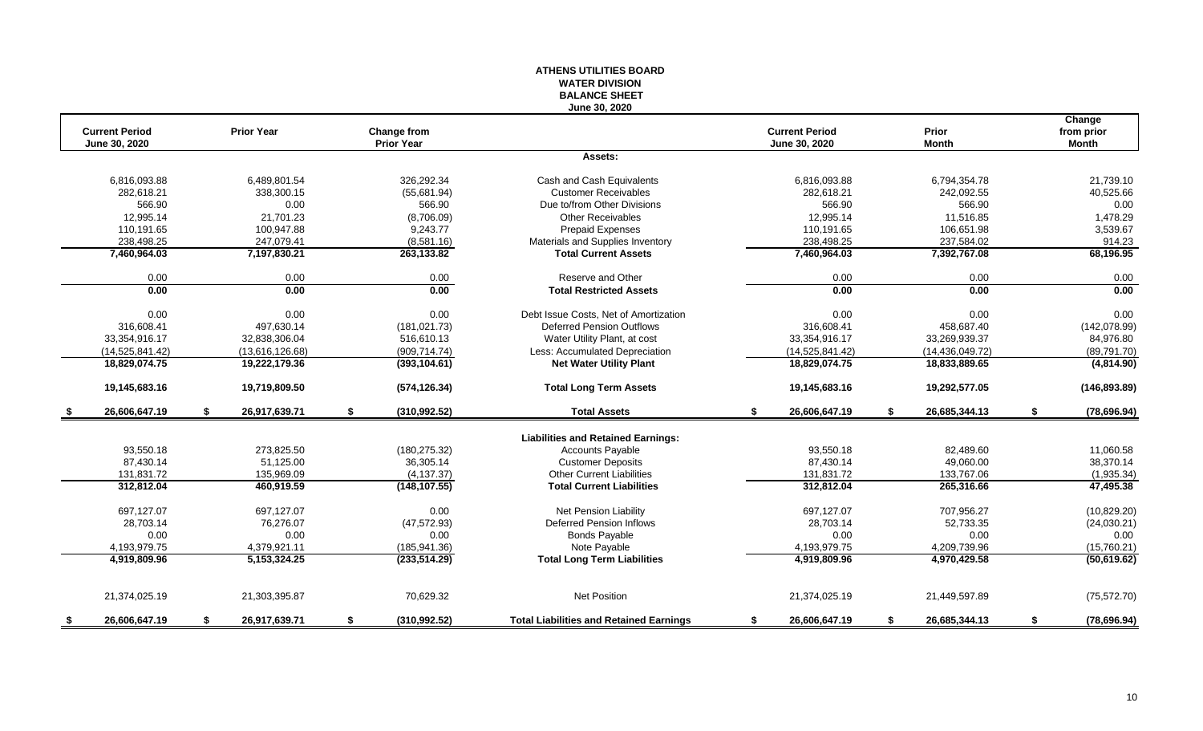#### **ATHENS UTILITIES BOARD WATER DIVISION BALANCE SHEET June 30, 2020**

|                       |    |                   |                     |                                                |    |                       |    |                   |    | Change        |
|-----------------------|----|-------------------|---------------------|------------------------------------------------|----|-----------------------|----|-------------------|----|---------------|
| <b>Current Period</b> |    | <b>Prior Year</b> | <b>Change from</b>  |                                                |    | <b>Current Period</b> |    | Prior             |    | from prior    |
| June 30, 2020         |    |                   | <b>Prior Year</b>   |                                                |    | June 30, 2020         |    | <b>Month</b>      |    | <b>Month</b>  |
|                       |    |                   |                     | Assets:                                        |    |                       |    |                   |    |               |
| 6.816.093.88          |    | 6,489,801.54      | 326.292.34          | Cash and Cash Equivalents                      |    | 6.816.093.88          |    | 6,794,354.78      |    | 21,739.10     |
| 282.618.21            |    | 338.300.15        | (55,681.94)         | <b>Customer Receivables</b>                    |    | 282.618.21            |    | 242,092.55        |    | 40,525.66     |
| 566.90                |    | 0.00              | 566.90              | Due to/from Other Divisions                    |    | 566.90                |    | 566.90            |    | 0.00          |
| 12,995.14             |    | 21.701.23         | (8,706.09)          | <b>Other Receivables</b>                       |    | 12,995.14             |    | 11.516.85         |    | 1,478.29      |
| 110,191.65            |    | 100,947.88        | 9,243.77            | <b>Prepaid Expenses</b>                        |    | 110,191.65            |    | 106,651.98        |    | 3,539.67      |
| 238,498.25            |    | 247,079.41        | (8,581.16)          | Materials and Supplies Inventory               |    | 238,498.25            |    | 237,584.02        |    | 914.23        |
| 7,460,964.03          |    | 7,197,830.21      | 263,133.82          | <b>Total Current Assets</b>                    |    | 7,460,964.03          |    | 7,392,767.08      |    | 68,196.95     |
| 0.00                  |    | 0.00              | 0.00                | Reserve and Other                              |    | 0.00                  |    | 0.00              |    | 0.00          |
| 0.00                  |    | 0.00              | 0.00                | <b>Total Restricted Assets</b>                 |    | 0.00                  |    | 0.00              |    | 0.00          |
| 0.00                  |    | 0.00              | 0.00                | Debt Issue Costs. Net of Amortization          |    | 0.00                  |    | 0.00              |    | 0.00          |
| 316,608.41            |    | 497,630.14        | (181, 021.73)       | <b>Deferred Pension Outflows</b>               |    | 316.608.41            |    | 458,687.40        |    | (142,078.99)  |
| 33.354.916.17         |    | 32.838.306.04     | 516,610.13          | Water Utility Plant, at cost                   |    | 33,354,916.17         |    | 33.269.939.37     |    | 84,976.80     |
| (14, 525, 841.42)     |    | (13,616,126.68)   | (909, 714.74)       | Less: Accumulated Depreciation                 |    | (14,525,841.42)       |    | (14, 436, 049.72) |    | (89,791.70)   |
| 18,829,074.75         |    | 19,222,179.36     | (393, 104.61)       | <b>Net Water Utility Plant</b>                 |    | 18,829,074.75         |    | 18,833,889.65     |    | (4,814.90)    |
| 19,145,683.16         |    | 19,719,809.50     | (574, 126.34)       | <b>Total Long Term Assets</b>                  |    | 19,145,683.16         |    | 19,292,577.05     |    | (146, 893.89) |
| 26,606,647.19         | \$ | 26,917,639.71     | \$<br>(310,992.52)  | <b>Total Assets</b>                            | \$ | 26,606,647.19         | S. | 26,685,344.13     | \$ | (78, 696.94)  |
|                       |    |                   |                     | <b>Liabilities and Retained Earnings:</b>      |    |                       |    |                   |    |               |
| 93,550.18             |    | 273,825.50        | (180, 275.32)       | Accounts Payable                               |    | 93,550.18             |    | 82,489.60         |    | 11,060.58     |
| 87,430.14             |    | 51,125.00         | 36,305.14           | <b>Customer Deposits</b>                       |    | 87,430.14             |    | 49,060.00         |    | 38,370.14     |
| 131,831.72            |    | 135,969.09        | (4, 137.37)         | <b>Other Current Liabilities</b>               |    | 131,831.72            |    | 133,767.06        |    | (1,935.34)    |
| 312.812.04            |    | 460,919.59        | (148, 107.55)       | <b>Total Current Liabilities</b>               |    | 312,812.04            |    | 265,316.66        |    | 47,495.38     |
|                       |    |                   |                     |                                                |    |                       |    |                   |    |               |
| 697.127.07            |    | 697.127.07        | 0.00                | Net Pension Liability                          |    | 697,127.07            |    | 707,956.27        |    | (10, 829.20)  |
| 28,703.14             |    | 76.276.07         | (47, 572.93)        | <b>Deferred Pension Inflows</b>                |    | 28,703.14             |    | 52,733.35         |    | (24,030.21)   |
| 0.00                  |    | 0.00              | 0.00                | <b>Bonds Payable</b>                           |    | 0.00                  |    | 0.00              |    | 0.00          |
| 4,193,979.75          |    | 4,379,921.11      | (185, 941.36)       | Note Payable                                   |    | 4,193,979.75          |    | 4,209,739.96      |    | (15,760.21)   |
| 4,919,809.96          |    | 5,153,324.25      | (233, 514.29)       | <b>Total Long Term Liabilities</b>             |    | 4,919,809.96          |    | 4,970,429.58      |    | (50, 619.62)  |
| 21,374,025.19         |    | 21,303,395.87     | 70,629.32           | <b>Net Position</b>                            |    | 21,374,025.19         |    | 21,449,597.89     |    | (75, 572.70)  |
| 26,606,647.19         | S  | 26,917,639.71     | \$<br>(310, 992.52) | <b>Total Liabilities and Retained Earnings</b> | s. | 26,606,647.19         | S. | 26,685,344.13     | S  | (78, 696.94)  |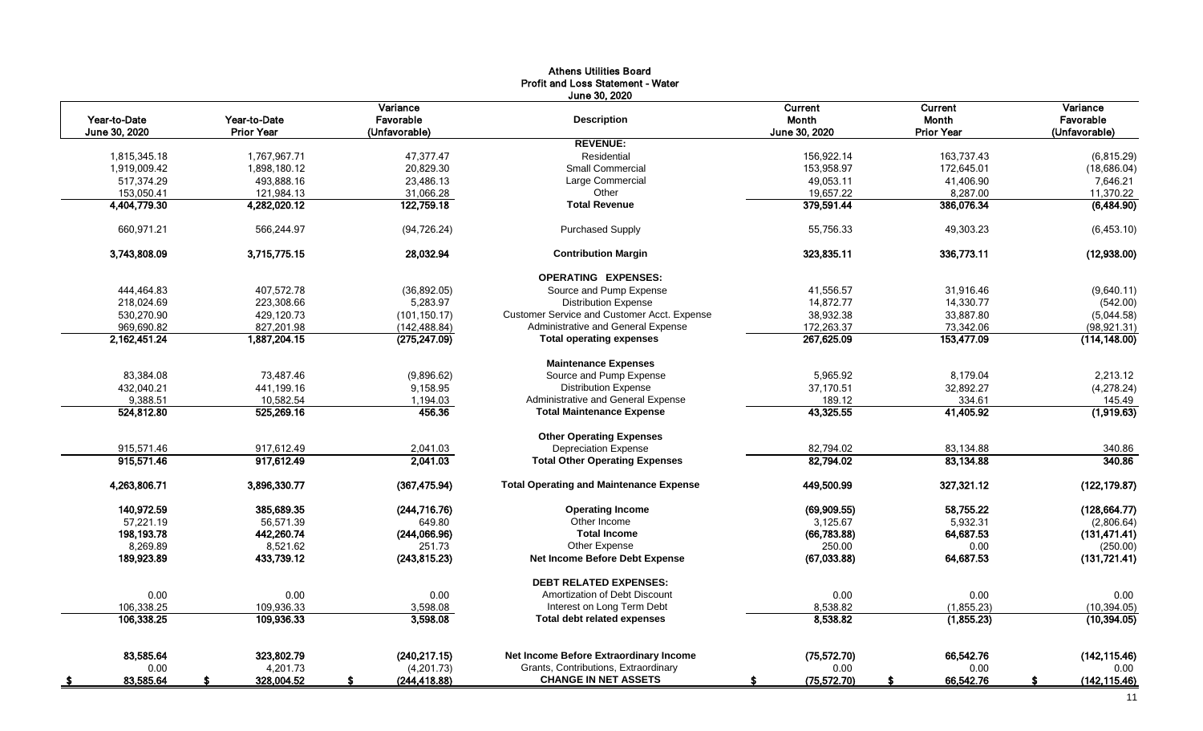|               |                   |                     | <b>Athens Utilities Board</b>                  |                    |                   |                     |
|---------------|-------------------|---------------------|------------------------------------------------|--------------------|-------------------|---------------------|
|               |                   |                     | <b>Profit and Loss Statement - Water</b>       |                    |                   |                     |
|               |                   |                     | June 30, 2020                                  |                    |                   |                     |
|               |                   | Variance            |                                                | Current            | Current           | Variance            |
| Year-to-Date  | Year-to-Date      | Favorable           | <b>Description</b>                             | Month              | <b>Month</b>      | Favorable           |
| June 30, 2020 | <b>Prior Year</b> | (Unfavorable)       |                                                | June 30, 2020      | <b>Prior Year</b> | (Unfavorable)       |
|               |                   |                     | <b>REVENUE:</b>                                |                    |                   |                     |
| 1,815,345.18  | 1,767,967.71      | 47,377.47           | Residential                                    | 156,922.14         | 163,737.43        | (6, 815.29)         |
| 1,919,009.42  | 1,898,180.12      | 20,829.30           | <b>Small Commercial</b>                        | 153,958.97         | 172,645.01        | (18, 686.04)        |
| 517,374.29    | 493,888.16        | 23,486.13           | Large Commercial                               | 49,053.11          | 41,406.90         | 7,646.21            |
| 153,050.41    | 121,984.13        | 31,066.28           | Other                                          | 19,657.22          | 8,287.00          | 11,370.22           |
| 4,404,779.30  | 4,282,020.12      | 122,759.18          | <b>Total Revenue</b>                           | 379,591.44         | 386,076.34        | (6,484.90)          |
| 660.971.21    | 566.244.97        | (94, 726.24)        | <b>Purchased Supply</b>                        | 55.756.33          | 49,303.23         | (6,453.10)          |
| 3,743,808.09  | 3,715,775.15      | 28,032.94           | <b>Contribution Margin</b>                     | 323,835.11         | 336,773.11        | (12,938.00)         |
|               |                   |                     | <b>OPERATING EXPENSES:</b>                     |                    |                   |                     |
| 444,464.83    | 407,572.78        | (36,892.05)         | Source and Pump Expense                        | 41,556.57          | 31,916.46         | (9,640.11)          |
| 218,024.69    | 223,308.66        | 5,283.97            | <b>Distribution Expense</b>                    | 14,872.77          | 14,330.77         | (542.00)            |
| 530,270.90    | 429,120.73        | (101, 150.17)       | Customer Service and Customer Acct. Expense    | 38,932.38          | 33,887.80         | (5,044.58)          |
| 969,690.82    | 827,201.98        | (142, 488.84)       | Administrative and General Expense             | 172,263.37         | 73,342.06         | (98, 921.31)        |
| 2.162.451.24  | 1.887.204.15      | (275, 247.09)       | <b>Total operating expenses</b>                | 267,625.09         | 153,477.09        | (114.148.00)        |
|               |                   |                     | <b>Maintenance Expenses</b>                    |                    |                   |                     |
| 83,384.08     | 73,487.46         | (9,896.62)          | Source and Pump Expense                        | 5,965.92           | 8,179.04          | 2,213.12            |
| 432,040.21    | 441,199.16        | 9,158.95            | <b>Distribution Expense</b>                    | 37,170.51          | 32,892.27         | (4, 278.24)         |
| 9,388.51      | 10,582.54         | 1,194.03            | Administrative and General Expense             | 189.12             | 334.61            | 145.49              |
| 524,812.80    | 525,269.16        | 456.36              | <b>Total Maintenance Expense</b>               | 43,325.55          | 41,405.92         | (1,919.63)          |
|               |                   |                     | <b>Other Operating Expenses</b>                |                    |                   |                     |
| 915,571.46    | 917.612.49        | 2,041.03            | <b>Depreciation Expense</b>                    | 82.794.02          | 83.134.88         | 340.86              |
| 915,571.46    | 917,612.49        | 2,041.03            | <b>Total Other Operating Expenses</b>          | 82,794.02          | 83,134.88         | 340.86              |
| 4,263,806.71  | 3,896,330.77      | (367, 475.94)       | <b>Total Operating and Maintenance Expense</b> | 449,500.99         | 327,321.12        | (122, 179.87)       |
| 140,972.59    | 385,689.35        | (244, 716.76)       | <b>Operating Income</b>                        | (69,909.55)        | 58,755.22         | (128, 664.77)       |
| 57,221.19     | 56,571.39         | 649.80              | Other Income                                   | 3,125.67           | 5,932.31          | (2,806.64)          |
| 198,193.78    | 442,260.74        | (244,066.96)        | <b>Total Income</b>                            | (66, 783.88)       | 64,687.53         | (131, 471.41)       |
| 8.269.89      | 8,521.62          | 251.73              | Other Expense                                  | 250.00             | 0.00              | (250.00)            |
| 189,923.89    | 433,739.12        | (243, 815.23)       | <b>Net Income Before Debt Expense</b>          | (67,033.88)        | 64,687.53         | (131, 721.41)       |
|               |                   |                     | <b>DEBT RELATED EXPENSES:</b>                  |                    |                   |                     |
| 0.00          | 0.00              | 0.00                | Amortization of Debt Discount                  | 0.00               | 0.00              | 0.00                |
| 106,338.25    | 109,936.33        | 3,598.08            | Interest on Long Term Debt                     | 8,538.82           | (1,855.23)        | (10, 394.05)        |
| 106,338.25    | 109,936.33        | 3,598.08            | <b>Total debt related expenses</b>             | 8,538.82           | (1, 855.23)       | (10, 394.05)        |
| 83.585.64     | 323.802.79        | (240, 217.15)       | Net Income Before Extraordinary Income         | (75, 572.70)       | 66.542.76         | (142, 115.46)       |
| 0.00          | 4,201.73          | (4,201.73)          | Grants, Contributions, Extraordinary           | 0.00               | 0.00              | 0.00                |
| 83,585.64     | 328,004.52        | (244, 418.88)<br>s. | <b>CHANGE IN NET ASSETS</b>                    | (75, 572.70)<br>s. | 66,542.76<br>£.   | (142, 115.46)<br>S. |
|               |                   |                     |                                                |                    |                   |                     |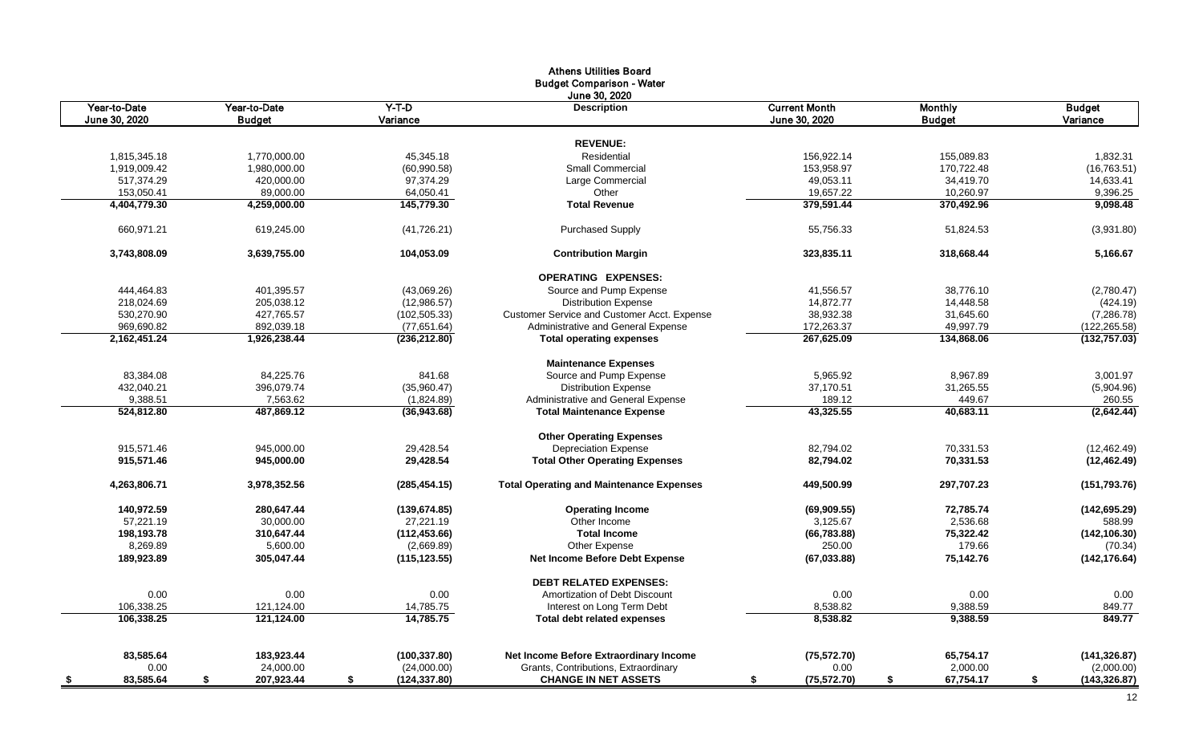|                        |                         |                              | <b>Athens Utilities Board</b>                   |                      |                 |                     |
|------------------------|-------------------------|------------------------------|-------------------------------------------------|----------------------|-----------------|---------------------|
|                        |                         |                              | <b>Budget Comparison - Water</b>                |                      |                 |                     |
|                        |                         |                              | June 30, 2020                                   |                      |                 |                     |
| Year-to-Date           | Year-to-Date            | $Y-T-D$                      | <b>Description</b>                              | <b>Current Month</b> | <b>Monthly</b>  | <b>Budget</b>       |
| June 30, 2020          | <b>Budget</b>           | Variance                     |                                                 | June 30, 2020        | <b>Budget</b>   | Variance            |
|                        |                         |                              | <b>REVENUE:</b>                                 |                      |                 |                     |
| 1.815.345.18           | 1.770.000.00            | 45.345.18                    | Residential                                     | 156.922.14           | 155.089.83      | 1.832.31            |
| 1,919,009.42           | 1,980,000.00            | (60,990.58)                  | <b>Small Commercial</b>                         | 153,958.97           | 170,722.48      | (16, 763.51)        |
| 517,374.29             | 420,000.00              | 97,374.29                    | Large Commercial                                | 49,053.11            | 34,419.70       | 14,633.41           |
| 153,050.41             | 89,000.00               | 64,050.41                    | Other                                           | 19,657.22            | 10,260.97       | 9,396.25            |
| 4,404,779.30           | 4,259,000.00            | 145,779.30                   | <b>Total Revenue</b>                            | 379,591.44           | 370,492.96      | 9,098.48            |
|                        |                         |                              |                                                 |                      |                 |                     |
| 660,971.21             | 619,245.00              | (41, 726.21)                 | <b>Purchased Supply</b>                         | 55,756.33            | 51,824.53       | (3,931.80)          |
| 3,743,808.09           | 3,639,755.00            | 104,053.09                   | <b>Contribution Margin</b>                      | 323,835.11           | 318,668.44      | 5,166.67            |
|                        |                         |                              | <b>OPERATING EXPENSES:</b>                      |                      |                 |                     |
| 444,464.83             | 401,395.57              | (43,069.26)                  | Source and Pump Expense                         | 41,556.57            | 38,776.10       | (2,780.47)          |
| 218,024.69             | 205,038.12              | (12,986.57)                  | <b>Distribution Expense</b>                     | 14,872.77            | 14,448.58       | (424.19)            |
| 530,270.90             | 427,765.57              | (102, 505.33)                | Customer Service and Customer Acct. Expense     | 38,932.38            | 31,645.60       | (7,286.78)          |
| 969,690.82             | 892,039.18              | (77,651.64)                  | Administrative and General Expense              | 172,263.37           | 49,997.79       | (122, 265.58)       |
| 2,162,451.24           | 1,926,238.44            | (236,212.80)                 | <b>Total operating expenses</b>                 | 267,625.09           | 134,868.06      | (132, 757.03)       |
|                        |                         |                              | <b>Maintenance Expenses</b>                     |                      |                 |                     |
| 83,384.08              | 84,225.76               | 841.68                       | Source and Pump Expense                         | 5,965.92             | 8,967.89        | 3,001.97            |
| 432,040.21             | 396,079.74              | (35,960.47)                  | <b>Distribution Expense</b>                     | 37,170.51            | 31,265.55       | (5,904.96)          |
| 9,388.51               | 7,563.62                | (1,824.89)                   | Administrative and General Expense              | 189.12               | 449.67          | 260.55              |
| 524,812.80             | 487,869.12              | (36,943.68)                  | <b>Total Maintenance Expense</b>                | 43,325.55            | 40,683.11       | (2,642.44)          |
|                        |                         |                              | <b>Other Operating Expenses</b>                 |                      |                 |                     |
| 915.571.46             | 945.000.00              | 29.428.54                    | <b>Depreciation Expense</b>                     | 82.794.02            | 70.331.53       | (12, 462.49)        |
| 915,571.46             | 945,000.00              | 29,428.54                    | <b>Total Other Operating Expenses</b>           | 82,794.02            | 70,331.53       | (12, 462.49)        |
| 4,263,806.71           | 3,978,352.56            | (285, 454.15)                | <b>Total Operating and Maintenance Expenses</b> | 449,500.99           | 297,707.23      | (151, 793.76)       |
| 140,972.59             | 280,647.44              | (139, 674.85)                | <b>Operating Income</b>                         | (69,909.55)          | 72,785.74       | (142, 695.29)       |
| 57,221.19              | 30.000.00               | 27,221.19                    | Other Income                                    | 3,125.67             | 2,536.68        | 588.99              |
| 198,193.78             | 310,647.44              | (112, 453.66)                | <b>Total Income</b>                             | (66, 783.88)         | 75,322.42       | (142, 106.30)       |
| 8,269.89               | 5,600.00                | (2,669.89)                   | Other Expense                                   | 250.00               | 179.66          | (70.34)             |
| 189,923.89             | 305,047.44              | (115, 123.55)                | Net Income Before Debt Expense                  | (67,033.88)          | 75,142.76       | (142, 176.64)       |
|                        |                         |                              | <b>DEBT RELATED EXPENSES:</b>                   |                      |                 |                     |
| 0.00                   | 0.00                    | 0.00                         | Amortization of Debt Discount                   | 0.00                 | 0.00            | 0.00                |
| 106,338.25             | 121,124.00              | 14,785.75                    | Interest on Long Term Debt                      | 8,538.82             | 9,388.59        | 849.77              |
| 106,338.25             | 121,124.00              | 14,785.75                    | <b>Total debt related expenses</b>              | 8,538.82             | 9,388.59        | 849.77              |
| 83,585.64              |                         |                              | Net Income Before Extraordinary Income          |                      | 65,754.17       | (141, 326.87)       |
| 0.00                   | 183,923.44<br>24,000.00 | (100, 337.80)<br>(24,000.00) | Grants, Contributions, Extraordinary            | (75, 572.70)<br>0.00 | 2,000.00        | (2,000.00)          |
|                        |                         |                              | <b>CHANGE IN NET ASSETS</b>                     |                      |                 |                     |
| 83,585.64<br><u>\$</u> | 207,923.44<br>\$        | \$<br>(124,337.80)           |                                                 | \$<br>(75, 572.70)   | \$<br>67,754.17 | \$<br>(143, 326.87) |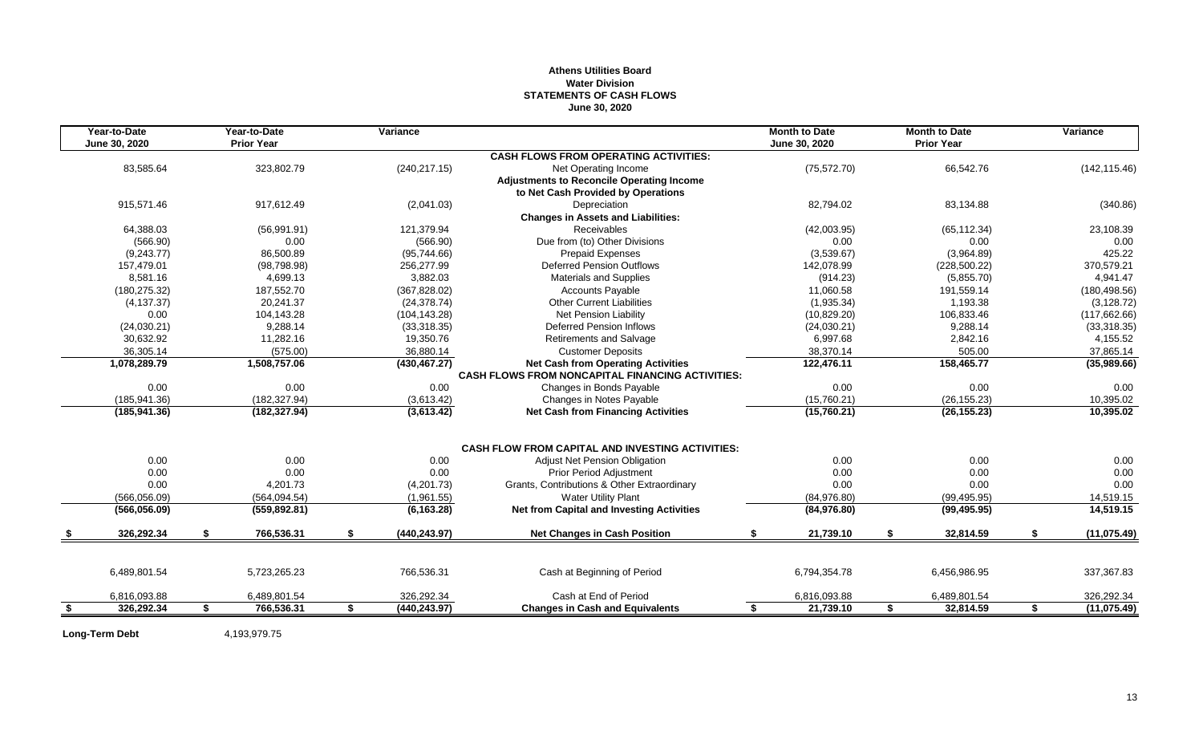## **Athens Utilities Board Water Division STATEMENTS OF CASH FLOWS June 30, 2020**

| June 30, 2020<br>June 30, 2020<br><b>CASH FLOWS FROM OPERATING ACTIVITIES:</b><br>83,585.64<br>323,802.79<br>(240, 217.15)<br>(75, 572.70)<br>66,542.76<br>(142, 115.46)<br>Net Operating Income<br><b>Adjustments to Reconcile Operating Income</b><br>to Net Cash Provided by Operations<br>915,571.46<br>917,612.49<br>(2,041.03)<br>Depreciation<br>82,794.02<br>83,134.88<br>(340.86)<br><b>Changes in Assets and Liabilities:</b><br>64,388.03<br><b>Receivables</b><br>(56,991.91)<br>121,379.94<br>(42,003.95)<br>(65, 112.34)<br>23,108.39<br>Due from (to) Other Divisions<br>0.00<br>(566.90)<br>0.00<br>(566.90)<br>0.00<br>0.00<br>86,500.89<br>(3,539.67)<br>(3,964.89)<br>425.22<br>(9,243.77)<br>(95,744.66)<br><b>Prepaid Expenses</b><br>157.479.01<br>(98, 798.98)<br>256.277.99<br><b>Deferred Pension Outflows</b><br>142.078.99<br>(228, 500.22)<br>370.579.21<br>8.581.16<br>4,699.13<br>3,882.03<br><b>Materials and Supplies</b><br>(914.23)<br>4,941.47<br>(5,855.70)<br>187,552.70<br>(367, 828.02)<br>11,060.58<br>(180, 275.32)<br><b>Accounts Payable</b><br>191,559.14<br>(180, 498.56)<br>20,241.37<br><b>Other Current Liabilities</b><br>(1,935.34)<br>1,193.38<br>(4, 137.37)<br>(24, 378.74)<br>0.00<br>(10,829.20)<br>106,833.46<br>104,143.28<br>(104, 143.28)<br>Net Pension Liability<br>9,288.14<br>(24,030.21)<br>9.288.14<br>(33, 318.35)<br><b>Deferred Pension Inflows</b><br>(24,030.21)<br>30,632.92<br>11.282.16<br>19,350.76<br><b>Retirements and Salvage</b><br>6,997.68<br>2,842.16<br>4,155.52<br>36,305.14<br>(575.00)<br>36,880.14<br><b>Customer Deposits</b><br>38,370.14<br>505.00<br>37,865.14<br>158,465.77<br>1,078,289.79<br>1,508,757.06<br>(430, 467.27)<br><b>Net Cash from Operating Activities</b><br>122,476.11<br><b>CASH FLOWS FROM NONCAPITAL FINANCING ACTIVITIES:</b><br>0.00<br>0.00<br>0.00<br>0.00<br>0.00<br>Changes in Bonds Payable<br>0.00<br>(182, 327.94)<br>(15,760.21)<br>(26, 155.23)<br>10,395.02<br>(185, 941.36)<br>(3,613.42)<br>Changes in Notes Payable<br>(182, 327.94)<br>(3,613.42)<br><b>Net Cash from Financing Activities</b><br>(15,760.21)<br>(26, 155.23)<br>10,395.02<br>(185, 941.36)<br><b>CASH FLOW FROM CAPITAL AND INVESTING ACTIVITIES:</b><br>0.00<br>0.00<br>0.00<br>0.00<br>0.00<br><b>Adjust Net Pension Obligation</b><br>0.00<br>0.00<br>0.00<br>0.00<br>0.00<br>0.00<br>0.00<br><b>Prior Period Adjustment</b><br>0.00<br>4,201.73<br>(4,201.73)<br>Grants, Contributions & Other Extraordinary<br>0.00<br>0.00<br>0.00<br><b>Water Utility Plant</b><br>(566,056.09)<br>(564, 094.54)<br>(1,961.55)<br>(84, 976.80)<br>(99, 495.95)<br>14,519.15<br><b>Net from Capital and Investing Activities</b><br>(6, 163.28)<br>14,519.15<br>(566, 056.09)<br>(559, 892.81)<br>(84, 976.80)<br>(99, 495.95)<br>766,536.31<br>32,814.59<br>326,292.34<br>S.<br>S.<br>(440, 243.97)<br><b>Net Changes in Cash Position</b><br>21,739.10<br>S.<br>S.<br>S<br>6,489,801.54<br>5,723,265.23<br>766,536.31<br>Cash at Beginning of Period<br>6,794,354.78<br>6,456,986.95<br>337,367.83<br>6,816,093.88<br>6,489,801.54<br>326,292.34<br>Cash at End of Period<br>6,816,093.88<br>6,489,801.54<br>326,292.34<br>766,536.31<br>\$<br>(440, 243.97)<br>21,739.10<br>32,814.59<br>\$<br>326,292.34<br>\$<br><b>Changes in Cash and Equivalents</b><br>\$<br>\$<br>-S | Year-to-Date | Year-to-Date      | Variance |  | <b>Month to Date</b> | <b>Month to Date</b> | Variance      |
|-----------------------------------------------------------------------------------------------------------------------------------------------------------------------------------------------------------------------------------------------------------------------------------------------------------------------------------------------------------------------------------------------------------------------------------------------------------------------------------------------------------------------------------------------------------------------------------------------------------------------------------------------------------------------------------------------------------------------------------------------------------------------------------------------------------------------------------------------------------------------------------------------------------------------------------------------------------------------------------------------------------------------------------------------------------------------------------------------------------------------------------------------------------------------------------------------------------------------------------------------------------------------------------------------------------------------------------------------------------------------------------------------------------------------------------------------------------------------------------------------------------------------------------------------------------------------------------------------------------------------------------------------------------------------------------------------------------------------------------------------------------------------------------------------------------------------------------------------------------------------------------------------------------------------------------------------------------------------------------------------------------------------------------------------------------------------------------------------------------------------------------------------------------------------------------------------------------------------------------------------------------------------------------------------------------------------------------------------------------------------------------------------------------------------------------------------------------------------------------------------------------------------------------------------------------------------------------------------------------------------------------------------------------------------------------------------------------------------------------------------------------------------------------------------------------------------------------------------------------------------------------------------------------------------------------------------------------------------------------------------------------------------------------------------------------------------------------------------------------------------------------------------------------------------------------------------------------------------------------------------------------------------------------------------------------------------------------------------------------------------|--------------|-------------------|----------|--|----------------------|----------------------|---------------|
|                                                                                                                                                                                                                                                                                                                                                                                                                                                                                                                                                                                                                                                                                                                                                                                                                                                                                                                                                                                                                                                                                                                                                                                                                                                                                                                                                                                                                                                                                                                                                                                                                                                                                                                                                                                                                                                                                                                                                                                                                                                                                                                                                                                                                                                                                                                                                                                                                                                                                                                                                                                                                                                                                                                                                                                                                                                                                                                                                                                                                                                                                                                                                                                                                                                                                                                                                                       |              | <b>Prior Year</b> |          |  |                      | <b>Prior Year</b>    |               |
|                                                                                                                                                                                                                                                                                                                                                                                                                                                                                                                                                                                                                                                                                                                                                                                                                                                                                                                                                                                                                                                                                                                                                                                                                                                                                                                                                                                                                                                                                                                                                                                                                                                                                                                                                                                                                                                                                                                                                                                                                                                                                                                                                                                                                                                                                                                                                                                                                                                                                                                                                                                                                                                                                                                                                                                                                                                                                                                                                                                                                                                                                                                                                                                                                                                                                                                                                                       |              |                   |          |  |                      |                      |               |
|                                                                                                                                                                                                                                                                                                                                                                                                                                                                                                                                                                                                                                                                                                                                                                                                                                                                                                                                                                                                                                                                                                                                                                                                                                                                                                                                                                                                                                                                                                                                                                                                                                                                                                                                                                                                                                                                                                                                                                                                                                                                                                                                                                                                                                                                                                                                                                                                                                                                                                                                                                                                                                                                                                                                                                                                                                                                                                                                                                                                                                                                                                                                                                                                                                                                                                                                                                       |              |                   |          |  |                      |                      |               |
|                                                                                                                                                                                                                                                                                                                                                                                                                                                                                                                                                                                                                                                                                                                                                                                                                                                                                                                                                                                                                                                                                                                                                                                                                                                                                                                                                                                                                                                                                                                                                                                                                                                                                                                                                                                                                                                                                                                                                                                                                                                                                                                                                                                                                                                                                                                                                                                                                                                                                                                                                                                                                                                                                                                                                                                                                                                                                                                                                                                                                                                                                                                                                                                                                                                                                                                                                                       |              |                   |          |  |                      |                      |               |
|                                                                                                                                                                                                                                                                                                                                                                                                                                                                                                                                                                                                                                                                                                                                                                                                                                                                                                                                                                                                                                                                                                                                                                                                                                                                                                                                                                                                                                                                                                                                                                                                                                                                                                                                                                                                                                                                                                                                                                                                                                                                                                                                                                                                                                                                                                                                                                                                                                                                                                                                                                                                                                                                                                                                                                                                                                                                                                                                                                                                                                                                                                                                                                                                                                                                                                                                                                       |              |                   |          |  |                      |                      |               |
|                                                                                                                                                                                                                                                                                                                                                                                                                                                                                                                                                                                                                                                                                                                                                                                                                                                                                                                                                                                                                                                                                                                                                                                                                                                                                                                                                                                                                                                                                                                                                                                                                                                                                                                                                                                                                                                                                                                                                                                                                                                                                                                                                                                                                                                                                                                                                                                                                                                                                                                                                                                                                                                                                                                                                                                                                                                                                                                                                                                                                                                                                                                                                                                                                                                                                                                                                                       |              |                   |          |  |                      |                      |               |
|                                                                                                                                                                                                                                                                                                                                                                                                                                                                                                                                                                                                                                                                                                                                                                                                                                                                                                                                                                                                                                                                                                                                                                                                                                                                                                                                                                                                                                                                                                                                                                                                                                                                                                                                                                                                                                                                                                                                                                                                                                                                                                                                                                                                                                                                                                                                                                                                                                                                                                                                                                                                                                                                                                                                                                                                                                                                                                                                                                                                                                                                                                                                                                                                                                                                                                                                                                       |              |                   |          |  |                      |                      |               |
|                                                                                                                                                                                                                                                                                                                                                                                                                                                                                                                                                                                                                                                                                                                                                                                                                                                                                                                                                                                                                                                                                                                                                                                                                                                                                                                                                                                                                                                                                                                                                                                                                                                                                                                                                                                                                                                                                                                                                                                                                                                                                                                                                                                                                                                                                                                                                                                                                                                                                                                                                                                                                                                                                                                                                                                                                                                                                                                                                                                                                                                                                                                                                                                                                                                                                                                                                                       |              |                   |          |  |                      |                      |               |
|                                                                                                                                                                                                                                                                                                                                                                                                                                                                                                                                                                                                                                                                                                                                                                                                                                                                                                                                                                                                                                                                                                                                                                                                                                                                                                                                                                                                                                                                                                                                                                                                                                                                                                                                                                                                                                                                                                                                                                                                                                                                                                                                                                                                                                                                                                                                                                                                                                                                                                                                                                                                                                                                                                                                                                                                                                                                                                                                                                                                                                                                                                                                                                                                                                                                                                                                                                       |              |                   |          |  |                      |                      |               |
|                                                                                                                                                                                                                                                                                                                                                                                                                                                                                                                                                                                                                                                                                                                                                                                                                                                                                                                                                                                                                                                                                                                                                                                                                                                                                                                                                                                                                                                                                                                                                                                                                                                                                                                                                                                                                                                                                                                                                                                                                                                                                                                                                                                                                                                                                                                                                                                                                                                                                                                                                                                                                                                                                                                                                                                                                                                                                                                                                                                                                                                                                                                                                                                                                                                                                                                                                                       |              |                   |          |  |                      |                      |               |
|                                                                                                                                                                                                                                                                                                                                                                                                                                                                                                                                                                                                                                                                                                                                                                                                                                                                                                                                                                                                                                                                                                                                                                                                                                                                                                                                                                                                                                                                                                                                                                                                                                                                                                                                                                                                                                                                                                                                                                                                                                                                                                                                                                                                                                                                                                                                                                                                                                                                                                                                                                                                                                                                                                                                                                                                                                                                                                                                                                                                                                                                                                                                                                                                                                                                                                                                                                       |              |                   |          |  |                      |                      |               |
|                                                                                                                                                                                                                                                                                                                                                                                                                                                                                                                                                                                                                                                                                                                                                                                                                                                                                                                                                                                                                                                                                                                                                                                                                                                                                                                                                                                                                                                                                                                                                                                                                                                                                                                                                                                                                                                                                                                                                                                                                                                                                                                                                                                                                                                                                                                                                                                                                                                                                                                                                                                                                                                                                                                                                                                                                                                                                                                                                                                                                                                                                                                                                                                                                                                                                                                                                                       |              |                   |          |  |                      |                      |               |
|                                                                                                                                                                                                                                                                                                                                                                                                                                                                                                                                                                                                                                                                                                                                                                                                                                                                                                                                                                                                                                                                                                                                                                                                                                                                                                                                                                                                                                                                                                                                                                                                                                                                                                                                                                                                                                                                                                                                                                                                                                                                                                                                                                                                                                                                                                                                                                                                                                                                                                                                                                                                                                                                                                                                                                                                                                                                                                                                                                                                                                                                                                                                                                                                                                                                                                                                                                       |              |                   |          |  |                      |                      |               |
|                                                                                                                                                                                                                                                                                                                                                                                                                                                                                                                                                                                                                                                                                                                                                                                                                                                                                                                                                                                                                                                                                                                                                                                                                                                                                                                                                                                                                                                                                                                                                                                                                                                                                                                                                                                                                                                                                                                                                                                                                                                                                                                                                                                                                                                                                                                                                                                                                                                                                                                                                                                                                                                                                                                                                                                                                                                                                                                                                                                                                                                                                                                                                                                                                                                                                                                                                                       |              |                   |          |  |                      |                      | (3, 128.72)   |
|                                                                                                                                                                                                                                                                                                                                                                                                                                                                                                                                                                                                                                                                                                                                                                                                                                                                                                                                                                                                                                                                                                                                                                                                                                                                                                                                                                                                                                                                                                                                                                                                                                                                                                                                                                                                                                                                                                                                                                                                                                                                                                                                                                                                                                                                                                                                                                                                                                                                                                                                                                                                                                                                                                                                                                                                                                                                                                                                                                                                                                                                                                                                                                                                                                                                                                                                                                       |              |                   |          |  |                      |                      | (117, 662.66) |
|                                                                                                                                                                                                                                                                                                                                                                                                                                                                                                                                                                                                                                                                                                                                                                                                                                                                                                                                                                                                                                                                                                                                                                                                                                                                                                                                                                                                                                                                                                                                                                                                                                                                                                                                                                                                                                                                                                                                                                                                                                                                                                                                                                                                                                                                                                                                                                                                                                                                                                                                                                                                                                                                                                                                                                                                                                                                                                                                                                                                                                                                                                                                                                                                                                                                                                                                                                       |              |                   |          |  |                      |                      | (33, 318.35)  |
|                                                                                                                                                                                                                                                                                                                                                                                                                                                                                                                                                                                                                                                                                                                                                                                                                                                                                                                                                                                                                                                                                                                                                                                                                                                                                                                                                                                                                                                                                                                                                                                                                                                                                                                                                                                                                                                                                                                                                                                                                                                                                                                                                                                                                                                                                                                                                                                                                                                                                                                                                                                                                                                                                                                                                                                                                                                                                                                                                                                                                                                                                                                                                                                                                                                                                                                                                                       |              |                   |          |  |                      |                      |               |
|                                                                                                                                                                                                                                                                                                                                                                                                                                                                                                                                                                                                                                                                                                                                                                                                                                                                                                                                                                                                                                                                                                                                                                                                                                                                                                                                                                                                                                                                                                                                                                                                                                                                                                                                                                                                                                                                                                                                                                                                                                                                                                                                                                                                                                                                                                                                                                                                                                                                                                                                                                                                                                                                                                                                                                                                                                                                                                                                                                                                                                                                                                                                                                                                                                                                                                                                                                       |              |                   |          |  |                      |                      |               |
|                                                                                                                                                                                                                                                                                                                                                                                                                                                                                                                                                                                                                                                                                                                                                                                                                                                                                                                                                                                                                                                                                                                                                                                                                                                                                                                                                                                                                                                                                                                                                                                                                                                                                                                                                                                                                                                                                                                                                                                                                                                                                                                                                                                                                                                                                                                                                                                                                                                                                                                                                                                                                                                                                                                                                                                                                                                                                                                                                                                                                                                                                                                                                                                                                                                                                                                                                                       |              |                   |          |  |                      |                      | (35,989.66)   |
|                                                                                                                                                                                                                                                                                                                                                                                                                                                                                                                                                                                                                                                                                                                                                                                                                                                                                                                                                                                                                                                                                                                                                                                                                                                                                                                                                                                                                                                                                                                                                                                                                                                                                                                                                                                                                                                                                                                                                                                                                                                                                                                                                                                                                                                                                                                                                                                                                                                                                                                                                                                                                                                                                                                                                                                                                                                                                                                                                                                                                                                                                                                                                                                                                                                                                                                                                                       |              |                   |          |  |                      |                      |               |
|                                                                                                                                                                                                                                                                                                                                                                                                                                                                                                                                                                                                                                                                                                                                                                                                                                                                                                                                                                                                                                                                                                                                                                                                                                                                                                                                                                                                                                                                                                                                                                                                                                                                                                                                                                                                                                                                                                                                                                                                                                                                                                                                                                                                                                                                                                                                                                                                                                                                                                                                                                                                                                                                                                                                                                                                                                                                                                                                                                                                                                                                                                                                                                                                                                                                                                                                                                       |              |                   |          |  |                      |                      |               |
|                                                                                                                                                                                                                                                                                                                                                                                                                                                                                                                                                                                                                                                                                                                                                                                                                                                                                                                                                                                                                                                                                                                                                                                                                                                                                                                                                                                                                                                                                                                                                                                                                                                                                                                                                                                                                                                                                                                                                                                                                                                                                                                                                                                                                                                                                                                                                                                                                                                                                                                                                                                                                                                                                                                                                                                                                                                                                                                                                                                                                                                                                                                                                                                                                                                                                                                                                                       |              |                   |          |  |                      |                      |               |
|                                                                                                                                                                                                                                                                                                                                                                                                                                                                                                                                                                                                                                                                                                                                                                                                                                                                                                                                                                                                                                                                                                                                                                                                                                                                                                                                                                                                                                                                                                                                                                                                                                                                                                                                                                                                                                                                                                                                                                                                                                                                                                                                                                                                                                                                                                                                                                                                                                                                                                                                                                                                                                                                                                                                                                                                                                                                                                                                                                                                                                                                                                                                                                                                                                                                                                                                                                       |              |                   |          |  |                      |                      |               |
|                                                                                                                                                                                                                                                                                                                                                                                                                                                                                                                                                                                                                                                                                                                                                                                                                                                                                                                                                                                                                                                                                                                                                                                                                                                                                                                                                                                                                                                                                                                                                                                                                                                                                                                                                                                                                                                                                                                                                                                                                                                                                                                                                                                                                                                                                                                                                                                                                                                                                                                                                                                                                                                                                                                                                                                                                                                                                                                                                                                                                                                                                                                                                                                                                                                                                                                                                                       |              |                   |          |  |                      |                      |               |
|                                                                                                                                                                                                                                                                                                                                                                                                                                                                                                                                                                                                                                                                                                                                                                                                                                                                                                                                                                                                                                                                                                                                                                                                                                                                                                                                                                                                                                                                                                                                                                                                                                                                                                                                                                                                                                                                                                                                                                                                                                                                                                                                                                                                                                                                                                                                                                                                                                                                                                                                                                                                                                                                                                                                                                                                                                                                                                                                                                                                                                                                                                                                                                                                                                                                                                                                                                       |              |                   |          |  |                      |                      |               |
|                                                                                                                                                                                                                                                                                                                                                                                                                                                                                                                                                                                                                                                                                                                                                                                                                                                                                                                                                                                                                                                                                                                                                                                                                                                                                                                                                                                                                                                                                                                                                                                                                                                                                                                                                                                                                                                                                                                                                                                                                                                                                                                                                                                                                                                                                                                                                                                                                                                                                                                                                                                                                                                                                                                                                                                                                                                                                                                                                                                                                                                                                                                                                                                                                                                                                                                                                                       |              |                   |          |  |                      |                      |               |
|                                                                                                                                                                                                                                                                                                                                                                                                                                                                                                                                                                                                                                                                                                                                                                                                                                                                                                                                                                                                                                                                                                                                                                                                                                                                                                                                                                                                                                                                                                                                                                                                                                                                                                                                                                                                                                                                                                                                                                                                                                                                                                                                                                                                                                                                                                                                                                                                                                                                                                                                                                                                                                                                                                                                                                                                                                                                                                                                                                                                                                                                                                                                                                                                                                                                                                                                                                       |              |                   |          |  |                      |                      |               |
|                                                                                                                                                                                                                                                                                                                                                                                                                                                                                                                                                                                                                                                                                                                                                                                                                                                                                                                                                                                                                                                                                                                                                                                                                                                                                                                                                                                                                                                                                                                                                                                                                                                                                                                                                                                                                                                                                                                                                                                                                                                                                                                                                                                                                                                                                                                                                                                                                                                                                                                                                                                                                                                                                                                                                                                                                                                                                                                                                                                                                                                                                                                                                                                                                                                                                                                                                                       |              |                   |          |  |                      |                      |               |
|                                                                                                                                                                                                                                                                                                                                                                                                                                                                                                                                                                                                                                                                                                                                                                                                                                                                                                                                                                                                                                                                                                                                                                                                                                                                                                                                                                                                                                                                                                                                                                                                                                                                                                                                                                                                                                                                                                                                                                                                                                                                                                                                                                                                                                                                                                                                                                                                                                                                                                                                                                                                                                                                                                                                                                                                                                                                                                                                                                                                                                                                                                                                                                                                                                                                                                                                                                       |              |                   |          |  |                      |                      |               |
|                                                                                                                                                                                                                                                                                                                                                                                                                                                                                                                                                                                                                                                                                                                                                                                                                                                                                                                                                                                                                                                                                                                                                                                                                                                                                                                                                                                                                                                                                                                                                                                                                                                                                                                                                                                                                                                                                                                                                                                                                                                                                                                                                                                                                                                                                                                                                                                                                                                                                                                                                                                                                                                                                                                                                                                                                                                                                                                                                                                                                                                                                                                                                                                                                                                                                                                                                                       |              |                   |          |  |                      |                      | (11, 075.49)  |
|                                                                                                                                                                                                                                                                                                                                                                                                                                                                                                                                                                                                                                                                                                                                                                                                                                                                                                                                                                                                                                                                                                                                                                                                                                                                                                                                                                                                                                                                                                                                                                                                                                                                                                                                                                                                                                                                                                                                                                                                                                                                                                                                                                                                                                                                                                                                                                                                                                                                                                                                                                                                                                                                                                                                                                                                                                                                                                                                                                                                                                                                                                                                                                                                                                                                                                                                                                       |              |                   |          |  |                      |                      |               |
|                                                                                                                                                                                                                                                                                                                                                                                                                                                                                                                                                                                                                                                                                                                                                                                                                                                                                                                                                                                                                                                                                                                                                                                                                                                                                                                                                                                                                                                                                                                                                                                                                                                                                                                                                                                                                                                                                                                                                                                                                                                                                                                                                                                                                                                                                                                                                                                                                                                                                                                                                                                                                                                                                                                                                                                                                                                                                                                                                                                                                                                                                                                                                                                                                                                                                                                                                                       |              |                   |          |  |                      |                      |               |
|                                                                                                                                                                                                                                                                                                                                                                                                                                                                                                                                                                                                                                                                                                                                                                                                                                                                                                                                                                                                                                                                                                                                                                                                                                                                                                                                                                                                                                                                                                                                                                                                                                                                                                                                                                                                                                                                                                                                                                                                                                                                                                                                                                                                                                                                                                                                                                                                                                                                                                                                                                                                                                                                                                                                                                                                                                                                                                                                                                                                                                                                                                                                                                                                                                                                                                                                                                       |              |                   |          |  |                      |                      |               |
|                                                                                                                                                                                                                                                                                                                                                                                                                                                                                                                                                                                                                                                                                                                                                                                                                                                                                                                                                                                                                                                                                                                                                                                                                                                                                                                                                                                                                                                                                                                                                                                                                                                                                                                                                                                                                                                                                                                                                                                                                                                                                                                                                                                                                                                                                                                                                                                                                                                                                                                                                                                                                                                                                                                                                                                                                                                                                                                                                                                                                                                                                                                                                                                                                                                                                                                                                                       |              |                   |          |  |                      |                      | (11, 075.49)  |

Long-Term Debt 4,193,979.75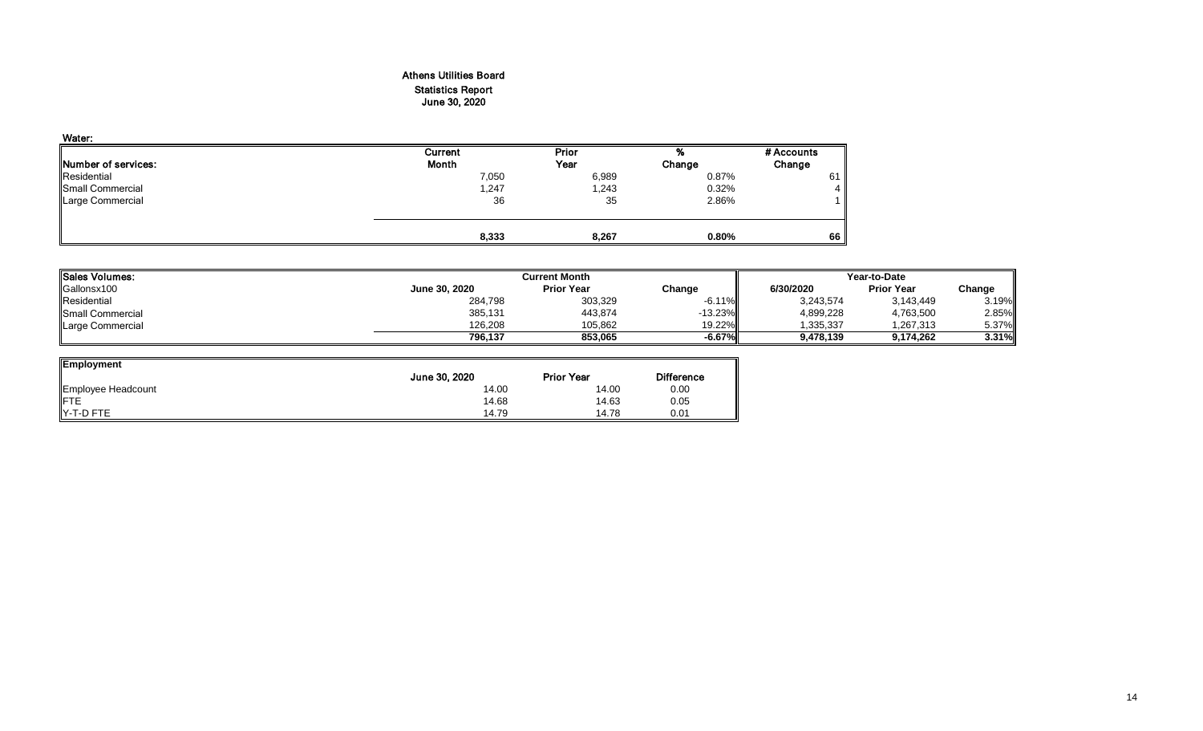## Athens Utilities Board Statistics Report June 30, 2020

| Water:                      |         |       |        |            |
|-----------------------------|---------|-------|--------|------------|
|                             | Current | Prior | %      | # Accounts |
| <b>INumber of services:</b> | Month   | Year  | Change | Change     |
| Residential                 | 7,050   | 6,989 | 0.87%  | 61         |
| Small Commercial            | 1,247   | 1,243 | 0.32%  | 4          |
| Large Commercial            | 36      | 35    | 2.86%  |            |
|                             |         |       |        |            |
|                             | 8,333   | 8,267 | 0.80%  | 66         |

| <b>ISales Volumes:</b>  | <b>Current Month</b> |                   | Year-to-Date |           |                   |        |
|-------------------------|----------------------|-------------------|--------------|-----------|-------------------|--------|
| Gallonsx100             | June 30, 2020        | <b>Prior Year</b> | Change       | 6/30/2020 | <b>Prior Year</b> | Change |
| Residential             | 284,798              | 303,329           | $-6.11\%$    | 3.243.574 | 3,143,449         | 3.19%  |
| <b>Small Commercial</b> | 385,131              | 443,874           | $-13.23\%$   | 4,899,228 | 4,763,500         | 2.85%  |
| Large Commercial        | 126.208              | 105.862           | 19.22%II     | 335,337   | 1,267,313         | 5.37%  |
|                         | 796.137              | 853.065           | -6.67%"      | 9.478.139 | 9.174.262         | 3.31%  |

| <b>Employment</b>  |               |                   |                   |
|--------------------|---------------|-------------------|-------------------|
|                    | June 30, 2020 | <b>Prior Year</b> | <b>Difference</b> |
| Employee Headcount | 14.00         | 14.00             | 0.00              |
| <b>IFTE</b>        | 14.68         | 14.63             | 0.05              |
| Y-T-D FTE          | 14.79         | 14.78             | 0.01              |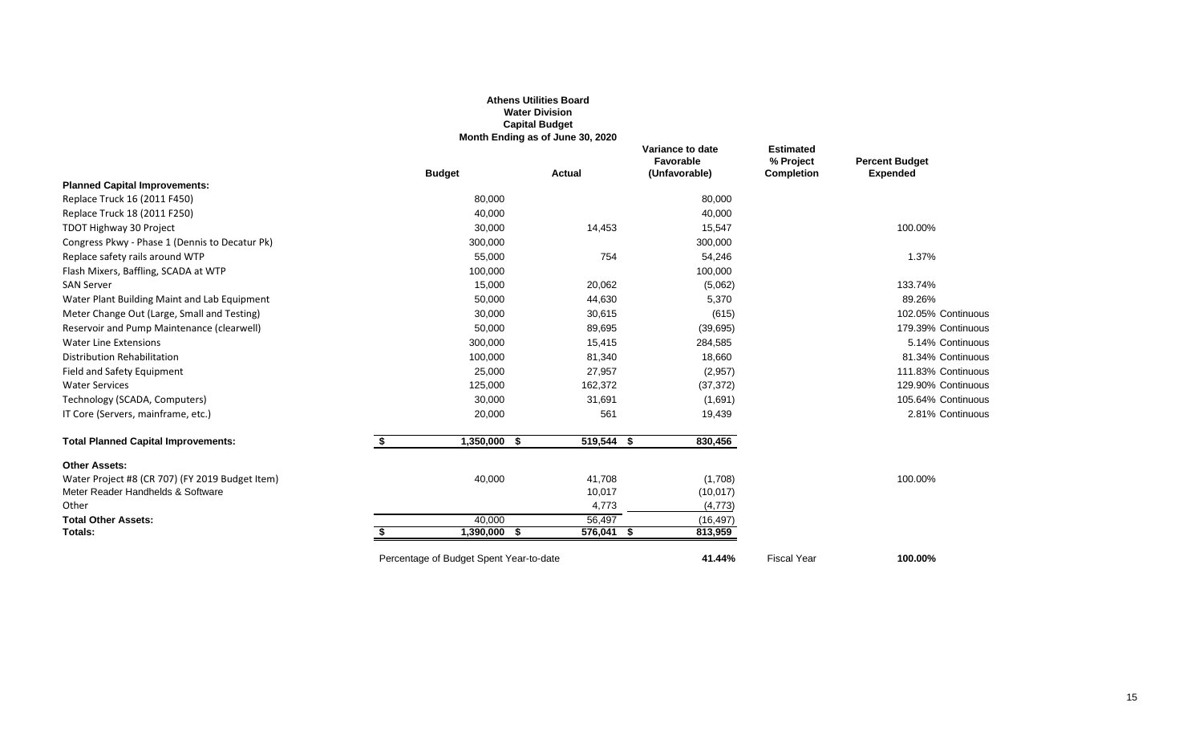|                                                 |                                         | <b>Water Division</b><br><b>Capital Budget</b>    |                                                |                                                    |                                          |
|-------------------------------------------------|-----------------------------------------|---------------------------------------------------|------------------------------------------------|----------------------------------------------------|------------------------------------------|
|                                                 | <b>Budget</b>                           | Month Ending as of June 30, 2020<br><b>Actual</b> | Variance to date<br>Favorable<br>(Unfavorable) | <b>Estimated</b><br>% Project<br><b>Completion</b> | <b>Percent Budget</b><br><b>Expended</b> |
| <b>Planned Capital Improvements:</b>            |                                         |                                                   |                                                |                                                    |                                          |
| Replace Truck 16 (2011 F450)                    | 80,000                                  |                                                   | 80,000                                         |                                                    |                                          |
| Replace Truck 18 (2011 F250)                    | 40,000                                  |                                                   | 40,000                                         |                                                    |                                          |
| TDOT Highway 30 Project                         | 30,000                                  | 14,453                                            | 15,547                                         |                                                    | 100.00%                                  |
| Congress Pkwy - Phase 1 (Dennis to Decatur Pk)  | 300,000                                 |                                                   | 300,000                                        |                                                    |                                          |
| Replace safety rails around WTP                 | 55,000                                  | 754                                               | 54,246                                         |                                                    | 1.37%                                    |
| Flash Mixers, Baffling, SCADA at WTP            | 100,000                                 |                                                   | 100,000                                        |                                                    |                                          |
| <b>SAN Server</b>                               | 15,000                                  | 20,062                                            | (5,062)                                        |                                                    | 133.74%                                  |
| Water Plant Building Maint and Lab Equipment    | 50,000                                  | 44,630                                            | 5,370                                          |                                                    | 89.26%                                   |
| Meter Change Out (Large, Small and Testing)     | 30,000                                  | 30,615                                            | (615)                                          |                                                    | 102.05% Continuous                       |
| Reservoir and Pump Maintenance (clearwell)      | 50,000                                  | 89,695                                            | (39,695)                                       |                                                    | 179.39% Continuous                       |
| <b>Water Line Extensions</b>                    | 300,000                                 | 15,415                                            | 284,585                                        |                                                    | 5.14% Continuous                         |
| <b>Distribution Rehabilitation</b>              | 100,000                                 | 81,340                                            | 18,660                                         |                                                    | 81.34% Continuous                        |
| Field and Safety Equipment                      | 25,000                                  | 27,957                                            | (2,957)                                        |                                                    | 111.83% Continuous                       |
| <b>Water Services</b>                           | 125,000                                 | 162,372                                           | (37, 372)                                      |                                                    | 129.90% Continuous                       |
| Technology (SCADA, Computers)                   | 30,000                                  | 31,691                                            | (1,691)                                        |                                                    | 105.64% Continuous                       |
| IT Core (Servers, mainframe, etc.)              | 20,000                                  | 561                                               | 19,439                                         |                                                    | 2.81% Continuous                         |
| <b>Total Planned Capital Improvements:</b>      | 1,350,000<br>s.<br>- \$                 | 519,544 \$                                        | 830,456                                        |                                                    |                                          |
| <b>Other Assets:</b>                            |                                         |                                                   |                                                |                                                    |                                          |
| Water Project #8 (CR 707) (FY 2019 Budget Item) | 40,000                                  | 41,708                                            | (1,708)                                        |                                                    | 100.00%                                  |
| Meter Reader Handhelds & Software               |                                         | 10,017                                            | (10, 017)                                      |                                                    |                                          |
| Other                                           |                                         | 4,773                                             | (4, 773)                                       |                                                    |                                          |
| <b>Total Other Assets:</b>                      | 40,000                                  | 56,497                                            | (16, 497)                                      |                                                    |                                          |
| Totals:                                         | 1,390,000<br>-\$                        | 576,041 \$                                        | 813,959                                        |                                                    |                                          |
|                                                 | Percentage of Budget Spent Year-to-date |                                                   | 41.44%                                         | <b>Fiscal Year</b>                                 | 100.00%                                  |

**Athens Utilities Board**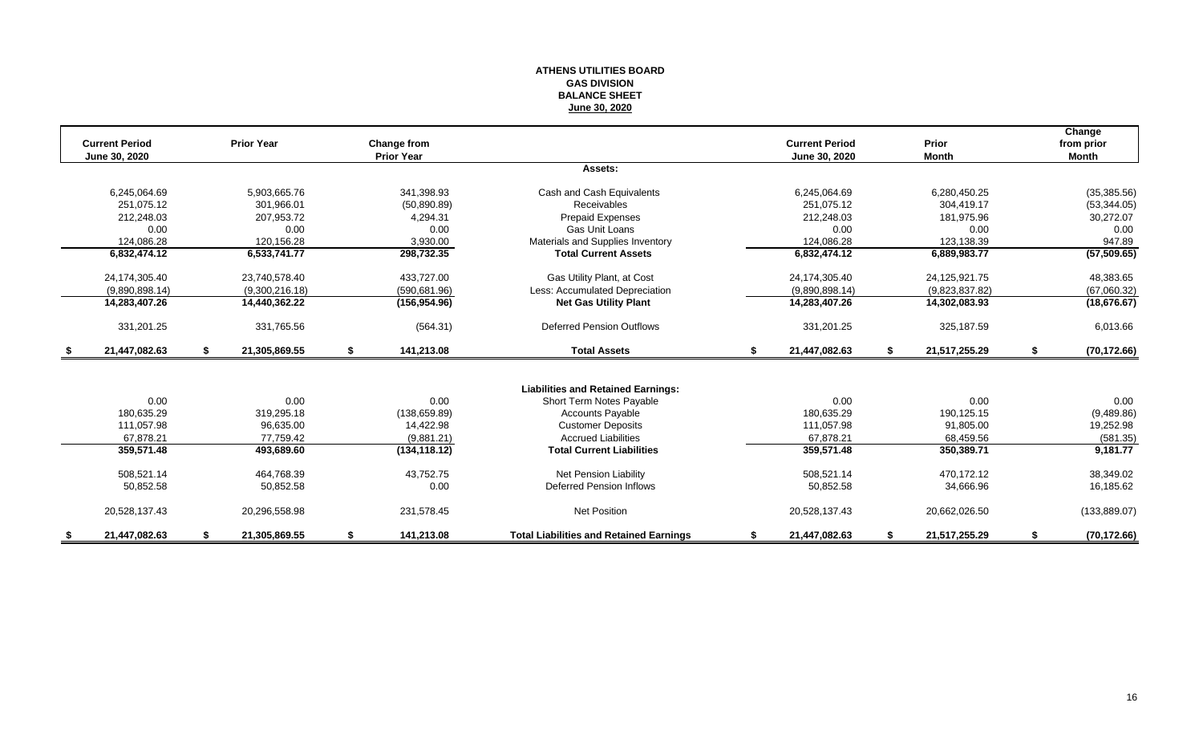#### **ATHENS UTILITIES BOARD GAS DIVISION BALANCE SHEET June 30, 2020**

|      |                       |    |                   |    |                   |                                                |                       |                     | Change             |
|------|-----------------------|----|-------------------|----|-------------------|------------------------------------------------|-----------------------|---------------------|--------------------|
|      | <b>Current Period</b> |    | <b>Prior Year</b> |    | Change from       |                                                | <b>Current Period</b> | <b>Prior</b>        | from prior         |
|      | June 30, 2020         |    |                   |    | <b>Prior Year</b> | Assets:                                        | June 30, 2020         | <b>Month</b>        | <b>Month</b>       |
|      |                       |    |                   |    |                   |                                                |                       |                     |                    |
|      | 6,245,064.69          |    | 5,903,665.76      |    | 341,398.93        | Cash and Cash Equivalents                      | 6,245,064.69          | 6,280,450.25        | (35, 385.56)       |
|      | 251.075.12            |    | 301.966.01        |    | (50,890.89)       | <b>Receivables</b>                             | 251.075.12            | 304.419.17          | (53, 344.05)       |
|      | 212,248.03            |    | 207,953.72        |    | 4,294.31          | Prepaid Expenses                               | 212,248.03            | 181,975.96          | 30,272.07          |
|      | 0.00                  |    | 0.00              |    | 0.00              | Gas Unit Loans                                 | 0.00                  | 0.00                | 0.00               |
|      | 124,086.28            |    | 120,156.28        |    | 3,930.00          | Materials and Supplies Inventory               | 124.086.28            | 123,138.39          | 947.89             |
|      | 6,832,474.12          |    | 6,533,741.77      |    | 298,732.35        | <b>Total Current Assets</b>                    | 6,832,474.12          | 6,889,983.77        | (57, 509.65)       |
|      | 24,174,305.40         |    | 23,740,578.40     |    | 433,727.00        | Gas Utility Plant, at Cost                     | 24,174,305.40         | 24,125,921.75       | 48,383.65          |
|      | (9,890,898.14)        |    | (9,300,216.18)    |    | (590, 681.96)     | Less: Accumulated Depreciation                 | (9,890,898.14)        | (9,823,837.82)      | (67,060.32)        |
|      | 14,283,407.26         |    | 14,440,362.22     |    | (156, 954.96)     | <b>Net Gas Utility Plant</b>                   | 14,283,407.26         | 14,302,083.93       | (18, 676.67)       |
|      | 331,201.25            |    | 331,765.56        |    | (564.31)          | <b>Deferred Pension Outflows</b>               | 331,201.25            | 325,187.59          | 6,013.66           |
| - \$ | 21,447,082.63         | S. | 21,305,869.55     | \$ | 141,213.08        | <b>Total Assets</b>                            | \$<br>21,447,082.63   | \$<br>21,517,255.29 | \$<br>(70, 172.66) |
|      |                       |    |                   |    |                   |                                                |                       |                     |                    |
|      |                       |    |                   |    |                   | <b>Liabilities and Retained Earnings:</b>      |                       |                     |                    |
|      | 0.00                  |    | 0.00              |    | 0.00              | Short Term Notes Payable                       | 0.00                  | 0.00                | 0.00               |
|      | 180.635.29            |    | 319,295.18        |    | (138, 659.89)     | <b>Accounts Payable</b>                        | 180.635.29            | 190,125.15          | (9,489.86)         |
|      | 111,057.98            |    | 96,635.00         |    | 14,422.98         | <b>Customer Deposits</b>                       | 111,057.98            | 91,805.00           | 19,252.98          |
|      | 67.878.21             |    | 77,759.42         |    | (9,881.21)        | <b>Accrued Liabilities</b>                     | 67.878.21             | 68,459.56           | (581.35)           |
|      | 359,571.48            |    | 493,689.60        |    | (134, 118.12)     | <b>Total Current Liabilities</b>               | 359,571.48            | 350,389.71          | 9,181.77           |
|      | 508,521.14            |    | 464,768.39        |    | 43,752.75         | <b>Net Pension Liability</b>                   | 508,521.14            | 470.172.12          | 38,349.02          |
|      | 50,852.58             |    | 50,852.58         |    | 0.00              | <b>Deferred Pension Inflows</b>                | 50,852.58             | 34,666.96           | 16,185.62          |
|      | 20,528,137.43         |    | 20,296,558.98     |    | 231,578.45        | <b>Net Position</b>                            | 20,528,137.43         | 20,662,026.50       | (133, 889.07)      |
|      | 21.447.082.63         |    | 21,305,869.55     | S  | 141,213.08        | <b>Total Liabilities and Retained Earnings</b> | 21,447,082.63         | 21,517,255.29       | (70, 172.66)       |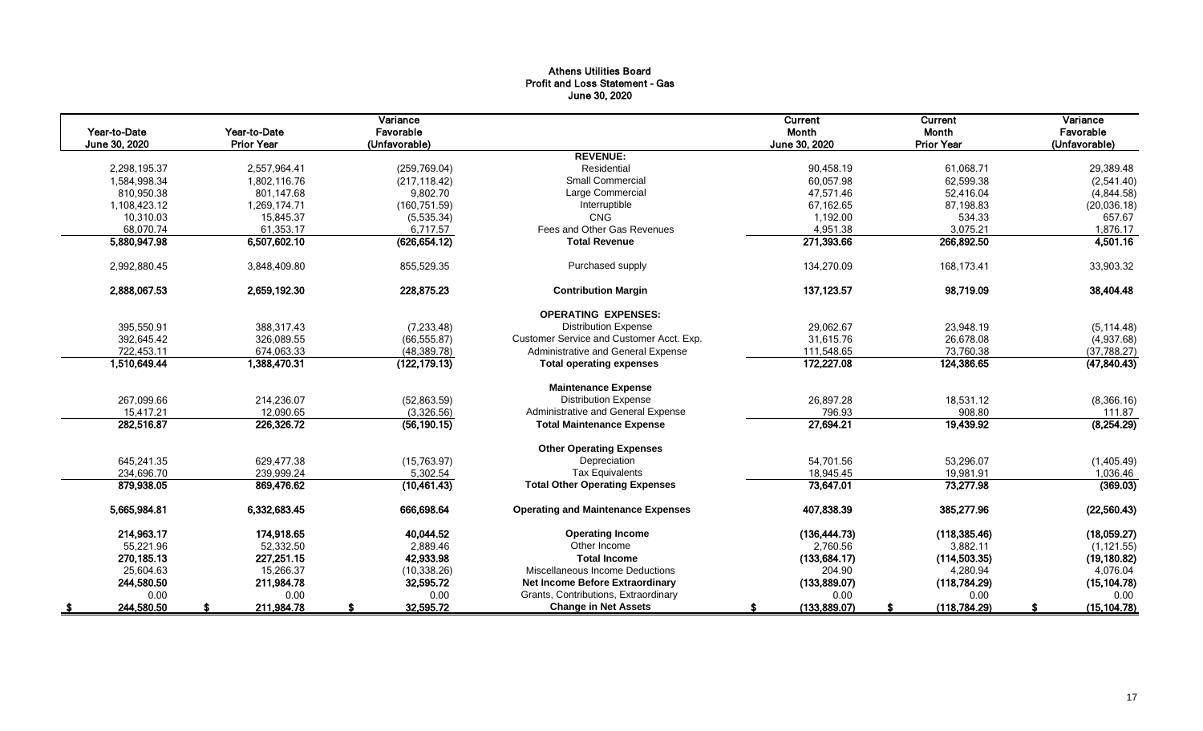## Athens Utilities Board Profit and Loss Statement - Gas June 30, 2020

| Year-to-Date               | Year-to-Date      | Variance<br>Favorable |                                           | Current<br>Month       | Current<br>Month       | Variance<br>Favorable |
|----------------------------|-------------------|-----------------------|-------------------------------------------|------------------------|------------------------|-----------------------|
| June 30, 2020              | <b>Prior Year</b> | (Unfavorable)         |                                           | June 30, 2020          | <b>Prior Year</b>      | (Unfavorable)         |
|                            |                   |                       | <b>REVENUE:</b><br>Residential            |                        |                        |                       |
| 2,298,195.37               | 2,557,964.41      | (259, 769.04)         | <b>Small Commercial</b>                   | 90,458.19              | 61,068.71              | 29,389.48             |
| 1,584,998.34<br>810,950.38 | 1,802,116.76      | (217, 118.42)         | Large Commercial                          | 60,057.98<br>47,571.46 | 62,599.38<br>52,416.04 | (2,541.40)            |
|                            | 801,147.68        | 9,802.70              |                                           |                        |                        | (4,844.58)            |
| 1,108,423.12               | 1,269,174.71      | (160, 751.59)         | Interruptible<br><b>CNG</b>               | 67.162.65              | 87,198.83              | (20,036.18)           |
| 10,310.03                  | 15,845.37         | (5,535.34)            | Fees and Other Gas Revenues               | 1,192.00               | 534.33                 | 657.67                |
| 68,070.74                  | 61,353.17         | 6,717.57              | <b>Total Revenue</b>                      | 4,951.38<br>271,393.66 | 3,075.21<br>266,892.50 | 1,876.17              |
| 5,880,947.98               | 6,507,602.10      | (626, 654.12)         |                                           |                        |                        | 4,501.16              |
| 2,992,880.45               | 3,848,409.80      | 855,529.35            | Purchased supply                          | 134,270.09             | 168.173.41             | 33,903.32             |
| 2,888,067.53               | 2,659,192.30      | 228,875.23            | <b>Contribution Margin</b>                | 137, 123.57            | 98,719.09              | 38,404.48             |
|                            |                   |                       | <b>OPERATING EXPENSES:</b>                |                        |                        |                       |
| 395,550.91                 | 388,317.43        | (7, 233.48)           | <b>Distribution Expense</b>               | 29,062.67              | 23,948.19              | (5, 114.48)           |
| 392,645.42                 | 326,089.55        | (66, 555.87)          | Customer Service and Customer Acct. Exp.  | 31,615.76              | 26,678.08              | (4,937.68)            |
| 722,453.11                 | 674,063.33        | (48, 389.78)          | Administrative and General Expense        | 111,548.65             | 73,760.38              | (37,788.27)           |
| 1,510,649.44               | 1,388,470.31      | (122, 179.13)         | <b>Total operating expenses</b>           | 172,227.08             | 124,386.65             | (47, 840.43)          |
|                            |                   |                       | <b>Maintenance Expense</b>                |                        |                        |                       |
| 267,099.66                 | 214,236.07        | (52,863.59)           | <b>Distribution Expense</b>               | 26,897.28              | 18,531.12              | (8,366.16)            |
| 15,417.21                  | 12,090.65         | (3,326.56)            | Administrative and General Expense        | 796.93                 | 908.80                 | 111.87                |
| 282,516.87                 | 226,326.72        | (56, 190.15)          | <b>Total Maintenance Expense</b>          | 27,694.21              | 19,439.92              | (8,254.29)            |
|                            |                   |                       |                                           |                        |                        |                       |
|                            |                   |                       | <b>Other Operating Expenses</b>           |                        |                        |                       |
| 645.241.35                 | 629.477.38        | (15,763.97)           | Depreciation                              | 54.701.56              | 53,296.07              | (1,405.49)            |
| 234,696.70                 | 239,999.24        | 5,302.54              | <b>Tax Equivalents</b>                    | 18,945.45              | 19,981.91              | 1,036.46              |
| 879,938.05                 | 869,476.62        | (10, 461.43)          | <b>Total Other Operating Expenses</b>     | 73,647.01              | 73,277.98              | (369.03)              |
| 5,665,984.81               | 6,332,683.45      | 666,698.64            | <b>Operating and Maintenance Expenses</b> | 407,838.39             | 385,277.96             | (22, 560.43)          |
| 214,963.17                 | 174,918.65        | 40,044.52             | <b>Operating Income</b>                   | (136, 444.73)          | (118, 385.46)          | (18,059.27)           |
| 55,221.96                  | 52,332.50         | 2,889.46              | Other Income                              | 2,760.56               | 3,882.11               | (1, 121.55)           |
| 270, 185. 13               | 227,251.15        | 42,933.98             | <b>Total Income</b>                       | (133, 684.17)          | (114, 503.35)          | (19, 180.82)          |
| 25.604.63                  | 15,266.37         | (10, 338.26)          | Miscellaneous Income Deductions           | 204.90                 | 4,280.94               | 4,076.04              |
| 244,580.50                 | 211,984.78        | 32,595.72             | Net Income Before Extraordinary           | (133,889.07)           | (118, 784.29)          | (15, 104.78)          |
| 0.00                       | 0.00              | 0.00                  | Grants, Contributions, Extraordinary      | 0.00                   | 0.00                   | 0.00                  |
| 244,580.50                 | 211,984.78        | 32,595.72             | <b>Change in Net Assets</b>               | (133,889.07)           | (118, 784.29)          | (15, 104.78)          |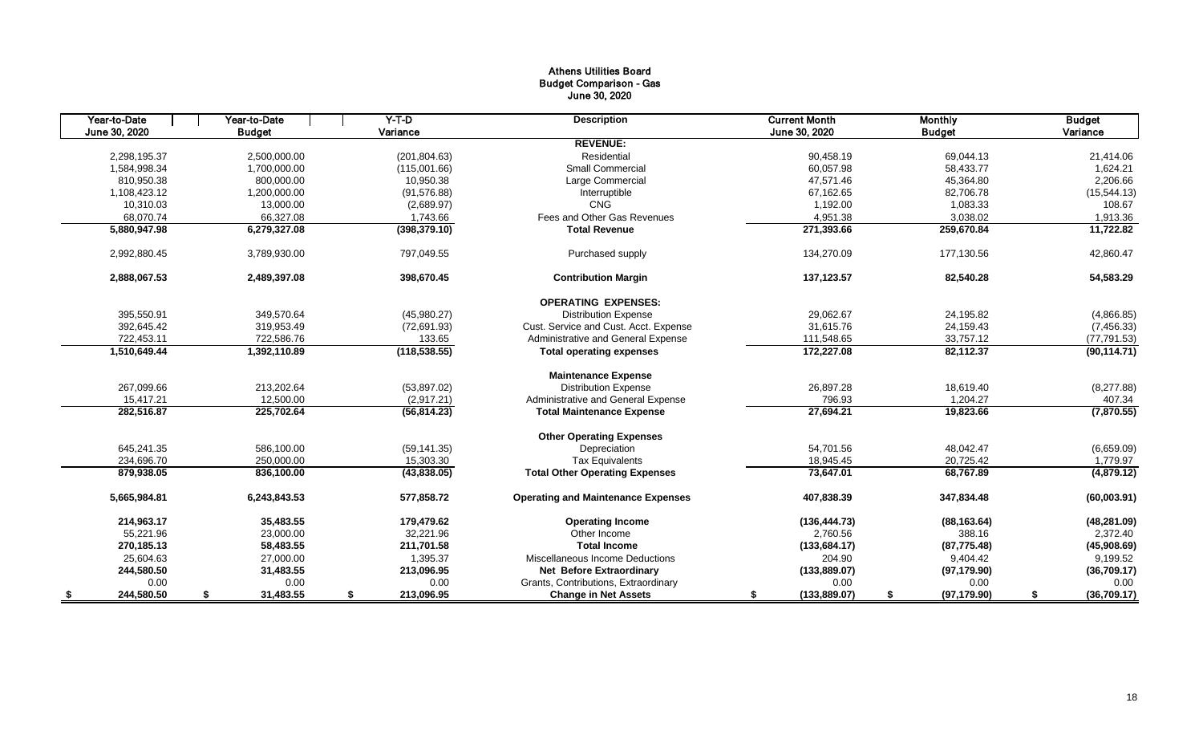## Athens Utilities Board Budget Comparison - Gas June 30, 2020

| Year-to-Date  | Year-to-Date    | $Y-T$ -D         | <b>Description</b>                        | <b>Current Month</b> | <b>Monthly</b>     | <b>Budget</b>     |
|---------------|-----------------|------------------|-------------------------------------------|----------------------|--------------------|-------------------|
| June 30, 2020 | <b>Budget</b>   | Variance         |                                           | June 30, 2020        | <b>Budget</b>      | Variance          |
|               |                 |                  | <b>REVENUE:</b>                           |                      |                    |                   |
| 2,298,195.37  | 2.500.000.00    | (201, 804.63)    | Residential                               | 90.458.19            | 69,044.13          | 21,414.06         |
| 1,584,998.34  | 1,700,000.00    | (115,001.66)     | <b>Small Commercial</b>                   | 60,057.98            | 58,433.77          | 1,624.21          |
| 810.950.38    | 800.000.00      | 10,950.38        | Large Commercial                          | 47.571.46            | 45,364.80          | 2,206.66          |
| 1,108,423.12  | 1,200,000.00    | (91, 576.88)     | Interruptible                             | 67,162.65            | 82,706.78          | (15, 544.13)      |
| 10,310.03     | 13,000.00       | (2,689.97)       | CNG                                       | 1,192.00             | 1,083.33           | 108.67            |
| 68,070.74     | 66,327.08       | 1,743.66         | Fees and Other Gas Revenues               | 4,951.38             | 3,038.02           | 1,913.36          |
| 5,880,947.98  | 6,279,327.08    | (398, 379.10)    | <b>Total Revenue</b>                      | 271,393.66           | 259,670.84         | 11,722.82         |
| 2,992,880.45  | 3,789,930.00    | 797,049.55       | Purchased supply                          | 134,270.09           | 177,130.56         | 42,860.47         |
| 2,888,067.53  | 2,489,397.08    | 398,670.45       | <b>Contribution Margin</b>                | 137,123.57           | 82,540.28          | 54,583.29         |
|               |                 |                  | <b>OPERATING EXPENSES:</b>                |                      |                    |                   |
| 395,550.91    | 349,570.64      | (45,980.27)      | <b>Distribution Expense</b>               | 29,062.67            | 24,195.82          | (4,866.85)        |
| 392.645.42    | 319,953.49      | (72,691.93)      | Cust. Service and Cust. Acct. Expense     | 31,615.76            | 24,159.43          | (7,456.33)        |
| 722,453.11    | 722,586.76      | 133.65           | Administrative and General Expense        | 111,548.65           | 33,757.12          | (77, 791.53)      |
| 1,510,649.44  | 1,392,110.89    | (118, 538.55)    | <b>Total operating expenses</b>           | 172,227.08           | 82,112.37          | (90, 114.71)      |
|               |                 |                  | <b>Maintenance Expense</b>                |                      |                    |                   |
| 267,099.66    | 213,202.64      | (53,897.02)      | <b>Distribution Expense</b>               | 26,897.28            | 18,619.40          | (8,277.88)        |
| 15.417.21     | 12.500.00       | (2,917.21)       | Administrative and General Expense        | 796.93               | 1,204.27           | 407.34            |
| 282,516.87    | 225,702.64      | (56, 814.23)     | <b>Total Maintenance Expense</b>          | 27,694.21            | 19,823.66          | (7,870.55)        |
|               |                 |                  | <b>Other Operating Expenses</b>           |                      |                    |                   |
| 645,241.35    | 586.100.00      | (59, 141.35)     | Depreciation                              | 54.701.56            | 48.042.47          | (6,659.09)        |
| 234,696.70    | 250,000.00      | 15,303.30        | <b>Tax Equivalents</b>                    | 18,945.45            | 20,725.42          | 1,779.97          |
| 879,938.05    | 836,100.00      | (43,838.05)      | <b>Total Other Operating Expenses</b>     | 73,647.01            | 68,767.89          | (4,879.12)        |
| 5,665,984.81  | 6.243.843.53    | 577.858.72       | <b>Operating and Maintenance Expenses</b> | 407,838.39           | 347.834.48         | (60,003.91)       |
| 214.963.17    | 35,483.55       | 179.479.62       | <b>Operating Income</b>                   | (136, 444.73)        | (88, 163.64)       | (48, 281.09)      |
| 55,221.96     | 23,000.00       | 32,221.96        | Other Income                              | 2,760.56             | 388.16             | 2,372.40          |
| 270,185.13    | 58,483.55       | 211,701.58       | <b>Total Income</b>                       | (133, 684.17)        | (87, 775.48)       | (45,908.69)       |
| 25,604.63     | 27,000.00       | 1,395.37         | Miscellaneous Income Deductions           | 204.90               | 9,404.42           | 9,199.52          |
| 244,580.50    | 31,483.55       | 213,096.95       | <b>Net Before Extraordinary</b>           | (133, 889.07)        | (97, 179.90)       | (36,709.17)       |
| 0.00          | 0.00            | 0.00             | Grants, Contributions, Extraordinary      | 0.00                 | 0.00               | 0.00              |
| 244,580.50    | \$<br>31,483.55 | \$<br>213,096.95 | <b>Change in Net Assets</b>               | \$<br>(133, 889.07)  | \$<br>(97, 179.90) | \$<br>(36,709.17) |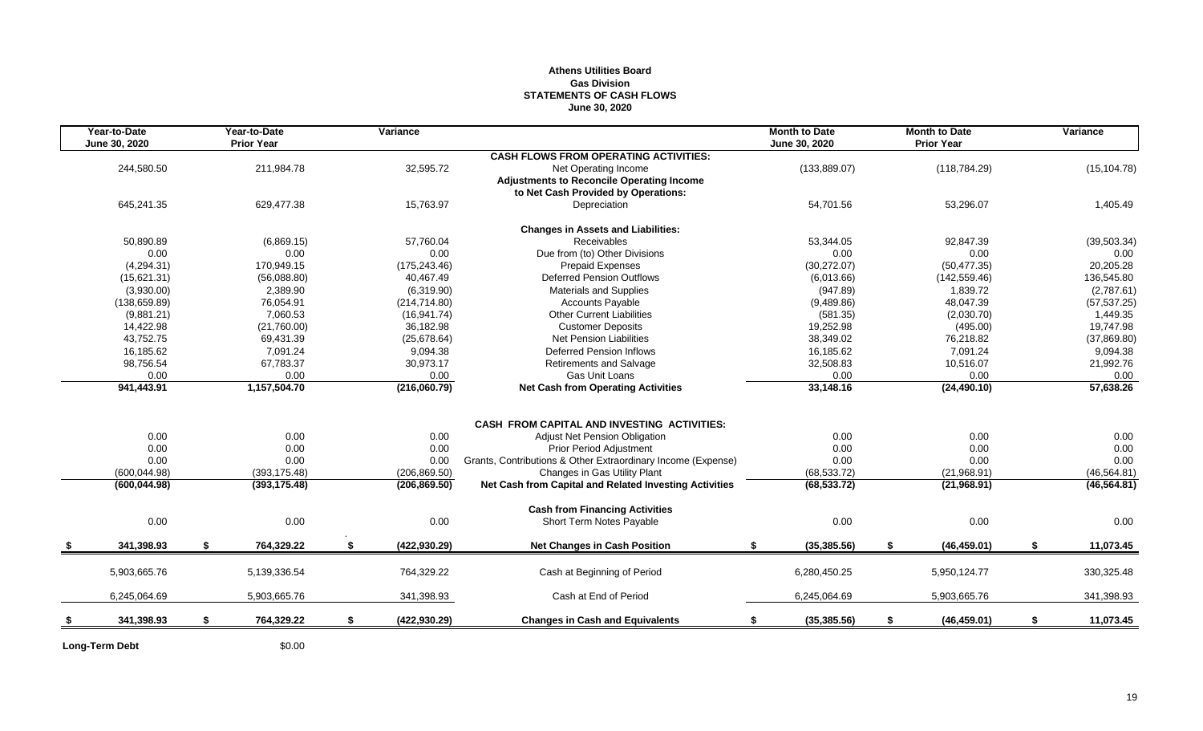## **Athens Utilities Board Gas Division STATEMENTS OF CASH FLOWS June 30, 2020**

| Year-to-Date<br>June 30, 2020 | Year-to-Date<br><b>Prior Year</b> | Variance            |                                                              | <b>Month to Date</b><br>June 30, 2020 |          |     | <b>Month to Date</b><br><b>Prior Year</b> | Variance        |
|-------------------------------|-----------------------------------|---------------------|--------------------------------------------------------------|---------------------------------------|----------|-----|-------------------------------------------|-----------------|
|                               |                                   |                     | <b>CASH FLOWS FROM OPERATING ACTIVITIES:</b>                 |                                       |          |     |                                           |                 |
| 244,580.50                    | 211,984.78                        | 32,595.72           | Net Operating Income                                         | (133, 889.07)                         |          |     | (118, 784.29)                             | (15, 104.78)    |
|                               |                                   |                     | <b>Adjustments to Reconcile Operating Income</b>             |                                       |          |     |                                           |                 |
|                               |                                   |                     | to Net Cash Provided by Operations:                          |                                       |          |     |                                           |                 |
| 645,241.35                    | 629,477.38                        | 15,763.97           | Depreciation                                                 | 54,701.56                             |          |     | 53,296.07                                 | 1,405.49        |
|                               |                                   |                     | <b>Changes in Assets and Liabilities:</b>                    |                                       |          |     |                                           |                 |
| 50,890.89                     | (6,869.15)                        | 57.760.04           | Receivables                                                  | 53.344.05                             |          |     | 92.847.39                                 | (39, 503.34)    |
| 0.00                          | 0.00                              | 0.00                | Due from (to) Other Divisions                                |                                       | 0.00     |     | 0.00                                      | 0.00            |
| (4,294.31)                    | 170,949.15                        | (175, 243.46)       | <b>Prepaid Expenses</b>                                      | (30, 272.07)                          |          |     | (50, 477.35)                              | 20,205.28       |
| (15,621.31)                   | (56,088.80)                       | 40.467.49           | <b>Deferred Pension Outflows</b>                             | (6,013.66)                            |          |     | (142, 559.46)                             | 136,545.80      |
| (3,930.00)                    | 2,389.90                          | (6,319.90)          | <b>Materials and Supplies</b>                                |                                       | (947.89) |     | 1,839.72                                  | (2,787.61)      |
| (138, 659.89)                 | 76,054.91                         | (214, 714.80)       | <b>Accounts Payable</b>                                      | (9,489.86)                            |          |     | 48,047.39                                 | (57, 537.25)    |
| (9,881.21)                    | 7,060.53                          | (16, 941.74)        | <b>Other Current Liabilities</b>                             |                                       | (581.35) |     | (2,030.70)                                | 1,449.35        |
| 14,422.98                     | (21,760.00)                       | 36.182.98           | <b>Customer Deposits</b>                                     | 19.252.98                             |          |     | (495.00)                                  | 19,747.98       |
| 43,752.75                     | 69,431.39                         | (25,678.64)         | <b>Net Pension Liabilities</b>                               | 38,349.02                             |          |     | 76,218.82                                 | (37,869.80)     |
| 16,185.62                     | 7.091.24                          | 9.094.38            | <b>Deferred Pension Inflows</b>                              | 16,185.62                             |          |     | 7,091.24                                  | 9,094.38        |
| 98,756.54                     | 67,783.37                         | 30,973.17           | <b>Retirements and Salvage</b>                               | 32,508.83                             |          |     | 10,516.07                                 | 21,992.76       |
| 0.00                          | 0.00                              | 0.00                | Gas Unit Loans                                               |                                       | 0.00     |     | 0.00                                      | 0.00            |
| 941,443.91                    | 1,157,504.70                      | (216,060.79)        | <b>Net Cash from Operating Activities</b>                    | 33,148.16                             |          |     | (24, 490.10)                              | 57,638.26       |
|                               |                                   |                     |                                                              |                                       |          |     |                                           |                 |
|                               |                                   |                     | <b>CASH FROM CAPITAL AND INVESTING ACTIVITIES:</b>           |                                       |          |     |                                           |                 |
| 0.00                          | 0.00                              | 0.00                | <b>Adjust Net Pension Obligation</b>                         |                                       | 0.00     |     | 0.00                                      | 0.00            |
| 0.00                          | 0.00                              | 0.00                | <b>Prior Period Adjustment</b>                               |                                       | 0.00     |     | 0.00                                      | 0.00            |
| 0.00                          | 0.00                              | 0.00                | Grants, Contributions & Other Extraordinary Income (Expense) |                                       | 0.00     |     | 0.00                                      | 0.00            |
| (600, 044.98)                 | (393, 175.48)                     | (206, 869.50)       | Changes in Gas Utility Plant                                 | (68, 533.72)                          |          |     | (21,968.91)                               | (46, 564.81)    |
| (600, 044.98)                 | (393, 175.48)                     | (206, 869.50)       | Net Cash from Capital and Related Investing Activities       | (68, 533.72)                          |          |     | (21,968.91)                               | (46, 564.81)    |
|                               |                                   |                     | <b>Cash from Financing Activities</b>                        |                                       |          |     |                                           |                 |
| 0.00                          | 0.00                              | 0.00                | Short Term Notes Payable                                     |                                       | 0.00     |     | 0.00                                      | 0.00            |
| 341,398.93                    | 764,329.22                        | (422, 930.29)       | <b>Net Changes in Cash Position</b>                          | (35, 385.56)<br>S                     |          | -\$ | (46, 459.01)                              | \$<br>11,073.45 |
| 5,903,665.76                  | 5,139,336.54                      | 764,329.22          | Cash at Beginning of Period                                  | 6,280,450.25                          |          |     | 5,950,124.77                              | 330,325.48      |
|                               |                                   |                     |                                                              |                                       |          |     |                                           |                 |
| 6,245,064.69                  | 5,903,665.76                      | 341,398.93          | Cash at End of Period                                        | 6,245,064.69                          |          |     | 5,903,665.76                              | 341,398.93      |
| 341,398.93                    | \$<br>764,329.22                  | \$<br>(422, 930.29) | <b>Changes in Cash and Equivalents</b>                       | (35, 385.56)                          |          | \$  | (46, 459.01)                              | \$<br>11,073.45 |
|                               |                                   |                     |                                                              |                                       |          |     |                                           |                 |

Long-Term Debt \$0.00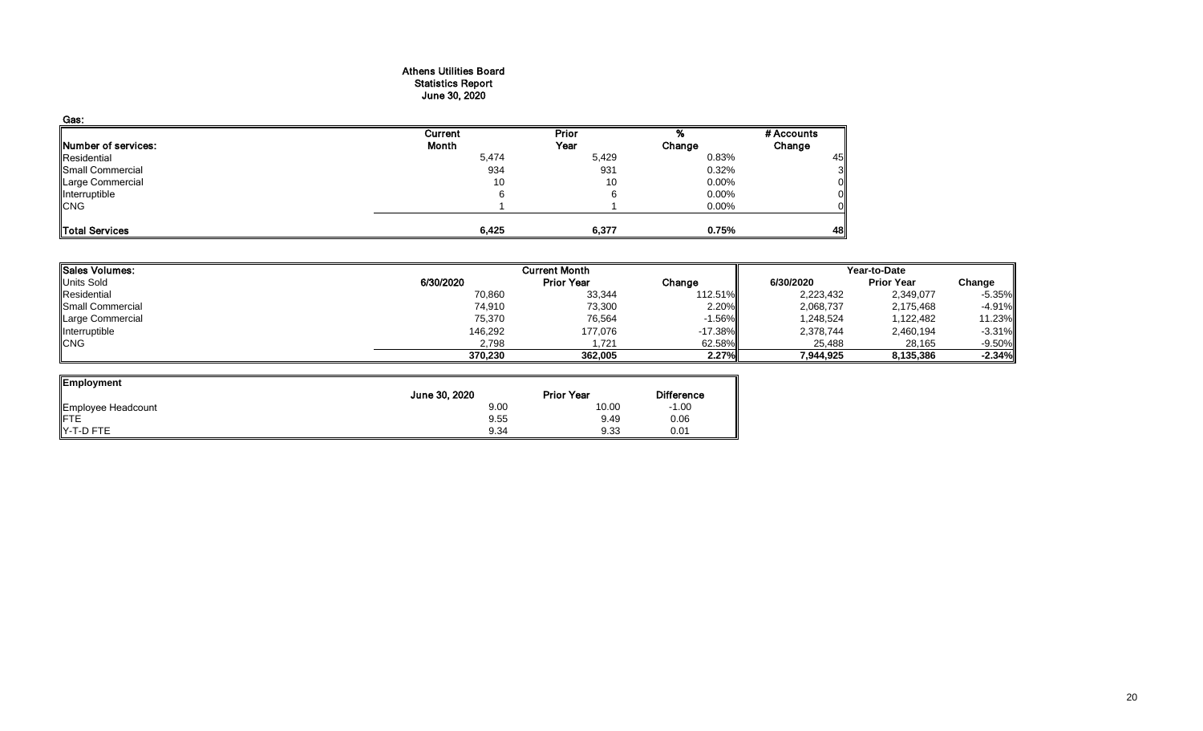#### Athens Utilities Board Statistics Report June 30, 2020

| Gas:                |         |       |        |            |
|---------------------|---------|-------|--------|------------|
|                     | Current | Prior |        | # Accounts |
| Number of services: | Month   | Year  | Change | Change     |
| Residential         | 5,474   | 5,429 | 0.83%  | 45         |
| Small Commercial    | 934     | 931   | 0.32%  |            |
| Large Commercial    | 10      | 10    | 0.00%  |            |
| Interruptible       |         |       | 0.00%  |            |
| <b>CNG</b>          |         |       | 0.00%  |            |
| Total Services      | 6,425   | 6,377 | 0.75%  | 48         |

| Sales Volumes:   |           | <b>Current Month</b> |            | Year-to-Date |                   |          |  |
|------------------|-----------|----------------------|------------|--------------|-------------------|----------|--|
| Units Sold       | 6/30/2020 | <b>Prior Year</b>    | Change     | 6/30/2020    | <b>Prior Year</b> | Change   |  |
| Residential      | 70,860    | 33,344               | 112.51%    | 2,223,432    | 2,349,077         | $-5.35%$ |  |
| Small Commercial | 74,910    | 73,300               | 2.20%      | 2,068,737    | 2,175,468         | $-4.91%$ |  |
| Large Commercial | 75,370    | 76,564               | $-1.56\%$  | 1,248,524    | 1,122,482         | 11.23%   |  |
| Interruptible    | 146,292   | 177,076              | $-17.38\%$ | 2,378,744    | 2,460,194         | $-3.31%$ |  |
| <b>CNG</b>       | 2,798     | 1.721                | 62.58%     | 25,488       | 28,165            | $-9.50%$ |  |
|                  | 370,230   | 362,005              | 2.27%      | 7,944,925    | 8,135,386         | $-2.34%$ |  |

ᆋ

| Employment                |               |                   |                   |
|---------------------------|---------------|-------------------|-------------------|
|                           | June 30, 2020 | <b>Prior Year</b> | <b>Difference</b> |
|                           | 9.00          | 10.00             | $-1.00$           |
| Employee Headcount<br>FTE | 9.55          | 9.49              | 0.06              |
| $Y-T-D$ FTE               | 9.34          | 9.33              | 0.01              |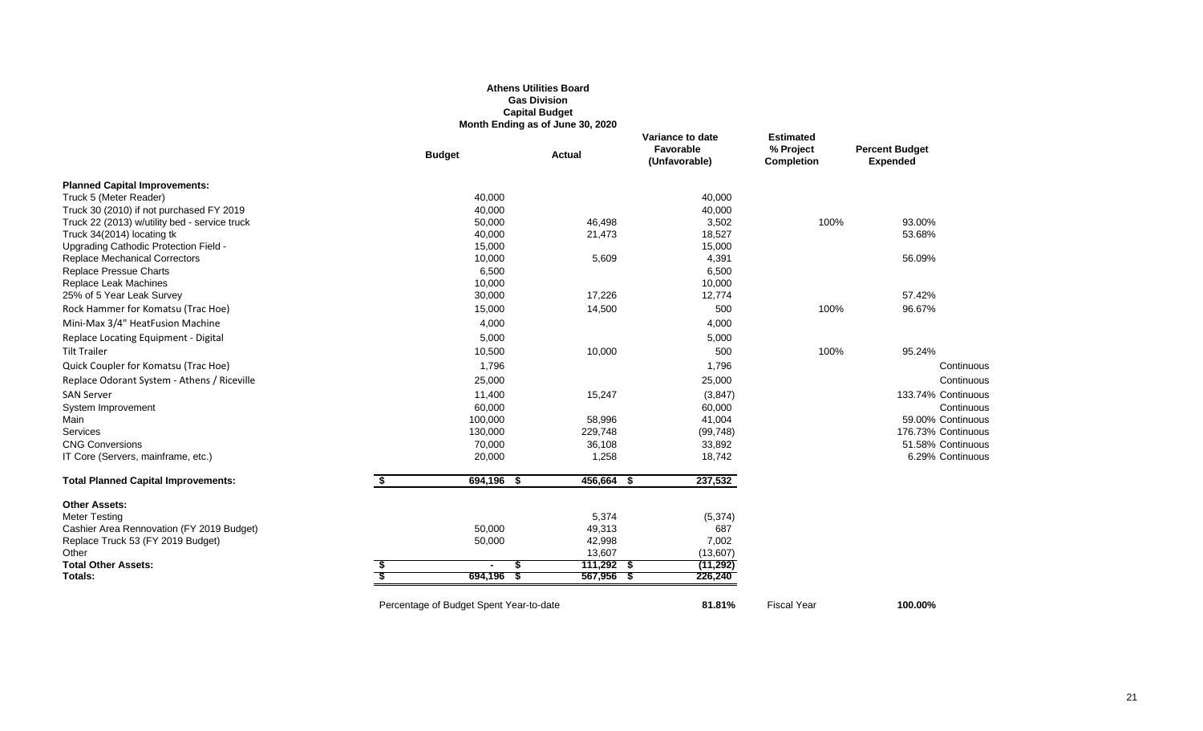#### **Athens Utilities Board Gas Division Capital Budget Month Ending as of June 30, 2020**

|                                               | <b>Budget</b>                           | <b>Actual</b> | Variance to date<br>Favorable<br>(Unfavorable) | <b>Estimated</b><br>% Project<br><b>Completion</b> | <b>Percent Budget</b><br><b>Expended</b> |
|-----------------------------------------------|-----------------------------------------|---------------|------------------------------------------------|----------------------------------------------------|------------------------------------------|
| <b>Planned Capital Improvements:</b>          |                                         |               |                                                |                                                    |                                          |
| Truck 5 (Meter Reader)                        | 40,000                                  |               | 40,000                                         |                                                    |                                          |
| Truck 30 (2010) if not purchased FY 2019      | 40,000                                  |               | 40,000                                         |                                                    |                                          |
| Truck 22 (2013) w/utility bed - service truck | 50,000                                  | 46,498        | 3,502                                          | 100%                                               | 93.00%                                   |
| Truck 34(2014) locating tk                    | 40,000                                  | 21,473        | 18,527                                         |                                                    | 53.68%                                   |
| Upgrading Cathodic Protection Field -         | 15,000                                  |               | 15,000                                         |                                                    |                                          |
| <b>Replace Mechanical Correctors</b>          | 10,000                                  | 5,609         | 4,391                                          |                                                    | 56.09%                                   |
| Replace Pressue Charts                        | 6,500                                   |               | 6,500                                          |                                                    |                                          |
| Replace Leak Machines                         | 10,000                                  |               | 10,000                                         |                                                    |                                          |
| 25% of 5 Year Leak Survey                     | 30,000                                  | 17,226        | 12,774                                         |                                                    | 57.42%                                   |
| Rock Hammer for Komatsu (Trac Hoe)            | 15,000                                  | 14,500        | 500                                            | 100%                                               | 96.67%                                   |
| Mini-Max 3/4" HeatFusion Machine              | 4,000                                   |               | 4,000                                          |                                                    |                                          |
| Replace Locating Equipment - Digital          | 5,000                                   |               | 5,000                                          |                                                    |                                          |
| <b>Tilt Trailer</b>                           | 10,500                                  | 10,000        | 500                                            | 100%                                               | 95.24%                                   |
| Quick Coupler for Komatsu (Trac Hoe)          | 1,796                                   |               | 1,796                                          |                                                    | Continuous                               |
| Replace Odorant System - Athens / Riceville   | 25,000                                  |               | 25,000                                         |                                                    | Continuous                               |
| <b>SAN Server</b>                             | 11,400                                  | 15,247        | (3, 847)                                       |                                                    | 133.74% Continuous                       |
| System Improvement                            | 60,000                                  |               | 60,000                                         |                                                    | Continuous                               |
| Main                                          | 100,000                                 | 58,996        | 41,004                                         |                                                    | 59.00% Continuous                        |
| Services                                      | 130,000                                 | 229,748       | (99, 748)                                      |                                                    | 176.73% Continuous                       |
| <b>CNG Conversions</b>                        | 70,000                                  | 36,108        | 33,892                                         |                                                    | 51.58% Continuous                        |
| IT Core (Servers, mainframe, etc.)            | 20,000                                  | 1,258         | 18,742                                         |                                                    | 6.29% Continuous                         |
| <b>Total Planned Capital Improvements:</b>    | \$<br>694,196 \$                        | 456,664 \$    | 237,532                                        |                                                    |                                          |
| <b>Other Assets:</b>                          |                                         |               |                                                |                                                    |                                          |
| <b>Meter Testing</b>                          |                                         | 5,374         | (5, 374)                                       |                                                    |                                          |
| Cashier Area Rennovation (FY 2019 Budget)     | 50,000                                  | 49,313        | 687                                            |                                                    |                                          |
| Replace Truck 53 (FY 2019 Budget)             | 50,000                                  | 42,998        | 7,002                                          |                                                    |                                          |
| Other                                         |                                         | 13,607        | (13,607)                                       |                                                    |                                          |
| <b>Total Other Assets:</b>                    | $\blacksquare$                          | $111,292$ \$  | (11, 292)                                      |                                                    |                                          |
| Totals:                                       | $694,196$ \$                            | 567,956 \$    | 226,240                                        |                                                    |                                          |
|                                               | Percentage of Budget Spent Year-to-date |               | 81.81%                                         | <b>Fiscal Year</b>                                 | 100.00%                                  |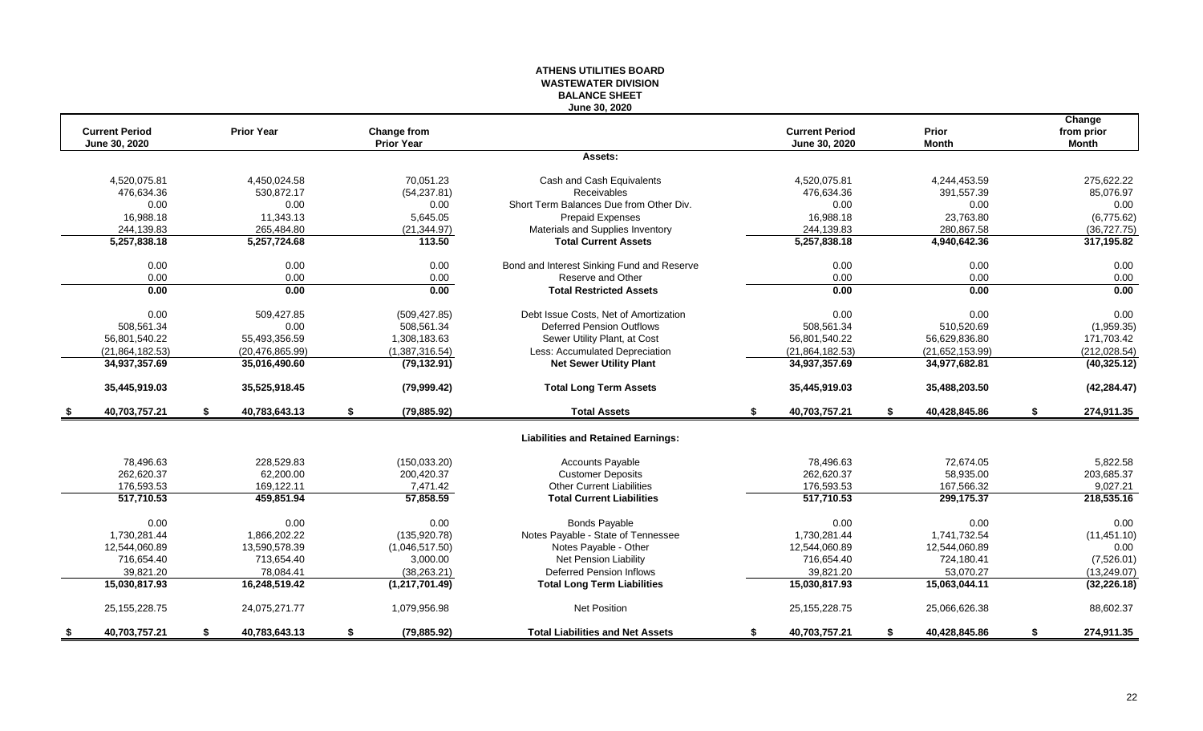#### **ATHENS UTILITIES BOARD WASTEWATER DIVISION BALANCE SHEET June 30, 2020**

|      | <b>Current Period</b> | <b>Prior Year</b>   | <b>Change from</b> |                                            | <b>Current Period</b> |    | <b>Prior</b>    | Change<br>from prior |
|------|-----------------------|---------------------|--------------------|--------------------------------------------|-----------------------|----|-----------------|----------------------|
|      | June 30, 2020         |                     | <b>Prior Year</b>  |                                            | June 30, 2020         |    | <b>Month</b>    | <b>Month</b>         |
|      |                       |                     |                    | Assets:                                    |                       |    |                 |                      |
|      | 4,520,075.81          | 4,450,024.58        | 70.051.23          | Cash and Cash Equivalents                  | 4,520,075.81          |    | 4,244,453.59    | 275.622.22           |
|      | 476,634.36            | 530,872.17          | (54, 237.81)       | Receivables                                | 476,634.36            |    | 391,557.39      | 85,076.97            |
|      | 0.00                  | 0.00                | 0.00               | Short Term Balances Due from Other Div.    | 0.00                  |    | 0.00            | 0.00                 |
|      | 16,988.18             | 11,343.13           | 5,645.05           | <b>Prepaid Expenses</b>                    | 16,988.18             |    | 23,763.80       | (6,775.62)           |
|      | 244,139.83            | 265,484.80          | (21, 344.97)       | Materials and Supplies Inventory           | 244,139.83            |    | 280,867.58      | (36, 727.75)         |
|      | 5,257,838.18          | 5,257,724.68        | 113.50             | <b>Total Current Assets</b>                | 5,257,838.18          |    | 4,940,642.36    | 317,195.82           |
|      | 0.00                  | 0.00                | 0.00               | Bond and Interest Sinking Fund and Reserve | 0.00                  |    | 0.00            | 0.00                 |
|      | 0.00                  | 0.00                | 0.00               | Reserve and Other                          | 0.00                  |    | 0.00            | 0.00                 |
|      | 0.00                  | 0.00                | 0.00               | <b>Total Restricted Assets</b>             | 0.00                  |    | 0.00            | 0.00                 |
|      | 0.00                  | 509,427.85          | (509, 427.85)      | Debt Issue Costs, Net of Amortization      | 0.00                  |    | 0.00            | 0.00                 |
|      | 508,561.34            | 0.00                | 508,561.34         | <b>Deferred Pension Outflows</b>           | 508,561.34            |    | 510,520.69      | (1,959.35)           |
|      | 56,801,540.22         | 55,493,356.59       | 1,308,183.63       | Sewer Utility Plant, at Cost               | 56,801,540.22         |    | 56,629,836.80   | 171,703.42           |
|      | (21, 864, 182.53)     | (20, 476, 865.99)   | (1,387,316.54)     | Less: Accumulated Depreciation             | (21, 864, 182.53)     |    | (21,652,153.99) | (212, 028.54)        |
|      | 34,937,357.69         | 35,016,490.60       | (79, 132.91)       | <b>Net Sewer Utility Plant</b>             | 34,937,357.69         |    | 34,977,682.81   | (40, 325.12)         |
|      | 35,445,919.03         | 35,525,918.45       | (79,999.42)        | <b>Total Long Term Assets</b>              | 35,445,919.03         |    | 35,488,203.50   | (42, 284.47)         |
|      | 40,703,757.21         | \$<br>40,783,643.13 | \$<br>(79, 885.92) | <b>Total Assets</b>                        | \$<br>40,703,757.21   | S. | 40,428,845.86   | \$<br>274,911.35     |
|      |                       |                     |                    | <b>Liabilities and Retained Earnings:</b>  |                       |    |                 |                      |
|      | 78.496.63             | 228,529.83          | (150, 033.20)      | <b>Accounts Payable</b>                    | 78.496.63             |    | 72.674.05       | 5.822.58             |
|      | 262,620.37            | 62,200.00           | 200,420.37         | <b>Customer Deposits</b>                   | 262,620.37            |    | 58,935.00       | 203,685.37           |
|      | 176,593.53            | 169,122.11          | 7,471.42           | Other Current Liabilities                  | 176,593.53            |    | 167,566.32      | 9,027.21             |
|      | 517,710.53            | 459,851.94          | 57,858.59          | <b>Total Current Liabilities</b>           | 517,710.53            |    | 299,175.37      | 218,535.16           |
|      | 0.00                  | 0.00                | 0.00               | <b>Bonds Payable</b>                       | 0.00                  |    | 0.00            | 0.00                 |
|      | 1.730.281.44          | 1,866,202.22        | (135, 920.78)      | Notes Payable - State of Tennessee         | 1,730,281.44          |    | 1,741,732.54    | (11, 451.10)         |
|      | 12,544,060.89         | 13,590,578.39       | (1,046,517.50)     | Notes Payable - Other                      | 12,544,060.89         |    | 12,544,060.89   | 0.00                 |
|      | 716,654.40            | 713,654.40          | 3,000.00           | Net Pension Liability                      | 716,654.40            |    | 724,180.41      | (7,526.01)           |
|      | 39.821.20             | 78.084.41           | (38, 263.21)       | <b>Deferred Pension Inflows</b>            | 39.821.20             |    | 53.070.27       | (13,249.07)          |
|      | 15,030,817.93         | 16,248,519.42       | (1, 217, 701.49)   | <b>Total Long Term Liabilities</b>         | 15,030,817.93         |    | 15,063,044.11   | (32, 226.18)         |
|      | 25, 155, 228. 75      | 24,075,271.77       | 1,079,956.98       | <b>Net Position</b>                        | 25, 155, 228. 75      |    | 25,066,626.38   | 88,602.37            |
| - \$ | 40,703,757.21         | \$<br>40,783,643.13 | \$<br>(79, 885.92) | <b>Total Liabilities and Net Assets</b>    | \$<br>40,703,757.21   | \$ | 40,428,845.86   | \$<br>274,911.35     |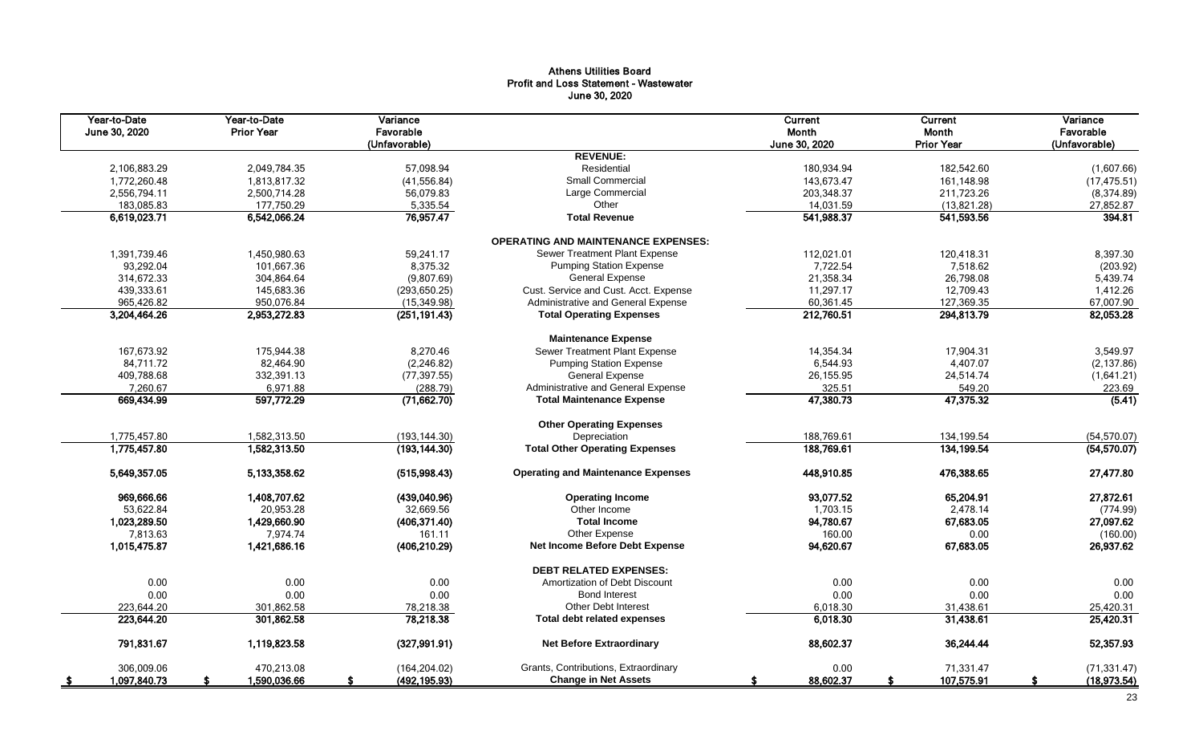## Athens Utilities Board Profit and Loss Statement - Wastewater June 30, 2020

| Year-to-Date<br>June 30, 2020 | Year-to-Date<br><b>Prior Year</b> | Variance<br>Favorable<br>(Unfavorable) |                                            | Current<br>Month<br>June 30, 2020 | Current<br>Month<br><b>Prior Year</b> | Variance<br>Favorable<br>(Unfavorable) |
|-------------------------------|-----------------------------------|----------------------------------------|--------------------------------------------|-----------------------------------|---------------------------------------|----------------------------------------|
|                               |                                   |                                        | <b>REVENUE:</b>                            |                                   |                                       |                                        |
| 2,106,883.29                  | 2,049,784.35                      | 57,098.94                              | Residential                                | 180,934.94                        | 182,542.60                            | (1,607.66)                             |
| 1,772,260.48                  | 1,813,817.32                      | (41, 556.84)                           | Small Commercial                           | 143,673.47                        | 161,148.98                            | (17, 475.51)                           |
| 2,556,794.11                  | 2,500,714.28                      | 56,079.83                              | Large Commercial                           | 203,348.37                        | 211,723.26                            | (8,374.89)                             |
| 183,085.83                    | 177,750.29                        | 5,335.54                               | Other                                      | 14,031.59                         | (13,821.28)                           | 27,852.87                              |
| 6,619,023.71                  | 6,542,066.24                      | 76,957.47                              | <b>Total Revenue</b>                       | 541,988.37                        | 541,593.56                            | 394.81                                 |
|                               |                                   |                                        | <b>OPERATING AND MAINTENANCE EXPENSES:</b> |                                   |                                       |                                        |
| 1,391,739.46                  | 1,450,980.63                      | 59,241.17                              | Sewer Treatment Plant Expense              | 112,021.01                        | 120,418.31                            | 8,397.30                               |
| 93,292.04                     | 101,667.36                        | 8,375.32                               | <b>Pumping Station Expense</b>             | 7,722.54                          | 7,518.62                              | (203.92)                               |
| 314,672.33                    | 304.864.64                        | (9,807.69)                             | <b>General Expense</b>                     | 21,358.34                         | 26,798.08                             | 5,439.74                               |
| 439.333.61                    | 145.683.36                        | (293, 650.25)                          | Cust. Service and Cust. Acct. Expense      | 11.297.17                         | 12.709.43                             | 1,412.26                               |
| 965,426.82                    | 950,076.84                        | (15, 349.98)                           | Administrative and General Expense         | 60,361.45                         | 127,369.35                            | 67,007.90                              |
| 3,204,464.26                  | 2,953,272.83                      | (251, 191.43)                          | <b>Total Operating Expenses</b>            | 212,760.51                        | 294,813.79                            | 82,053.28                              |
|                               |                                   |                                        | <b>Maintenance Expense</b>                 |                                   |                                       |                                        |
| 167,673.92                    | 175,944.38                        | 8,270.46                               | Sewer Treatment Plant Expense              | 14,354.34                         | 17,904.31                             | 3,549.97                               |
| 84,711.72                     | 82,464.90                         | (2, 246.82)                            | <b>Pumping Station Expense</b>             | 6,544.93                          | 4,407.07                              | (2, 137.86)                            |
| 409,788.68                    | 332,391.13                        | (77, 397.55)                           | <b>General Expense</b>                     | 26, 155.95                        | 24,514.74                             | (1,641.21)                             |
| 7,260.67                      | 6,971.88                          | (288.79)                               | Administrative and General Expense         | 325.51                            | 549.20                                | 223.69                                 |
| 669,434.99                    | 597,772.29                        | (71,662.70)                            | <b>Total Maintenance Expense</b>           | 47,380.73                         | 47,375.32                             | (5.41)                                 |
|                               |                                   |                                        | <b>Other Operating Expenses</b>            |                                   |                                       |                                        |
| 1,775,457.80                  | 1,582,313.50                      | (193, 144.30)                          | Depreciation                               | 188,769.61                        | 134,199.54                            | (54, 570.07)                           |
| 1,775,457.80                  | 1,582,313.50                      | (193, 144.30)                          | <b>Total Other Operating Expenses</b>      | 188,769.61                        | 134, 199.54                           | (54,570.07)                            |
| 5,649,357.05                  | 5,133,358.62                      | (515,998.43)                           | <b>Operating and Maintenance Expenses</b>  | 448,910.85                        | 476,388.65                            | 27,477.80                              |
| 969,666.66                    | 1,408,707.62                      | (439,040.96)                           | <b>Operating Income</b>                    | 93,077.52                         | 65,204.91                             | 27,872.61                              |
| 53,622.84                     | 20,953.28                         | 32,669.56                              | Other Income                               | 1,703.15                          | 2,478.14                              | (774.99)                               |
| 1,023,289.50                  | 1,429,660.90                      | (406, 371.40)                          | <b>Total Income</b>                        | 94,780.67                         | 67,683.05                             | 27,097.62                              |
| 7,813.63                      | 7,974.74                          | 161.11                                 | Other Expense                              | 160.00                            | 0.00                                  | (160.00)                               |
| 1,015,475.87                  | 1,421,686.16                      | (406, 210.29)                          | <b>Net Income Before Debt Expense</b>      | 94,620.67                         | 67,683.05                             | 26,937.62                              |
|                               |                                   |                                        | <b>DEBT RELATED EXPENSES:</b>              |                                   |                                       |                                        |
| 0.00                          | 0.00                              | 0.00                                   | Amortization of Debt Discount              | 0.00                              | 0.00                                  | 0.00                                   |
| 0.00                          | 0.00                              | 0.00                                   | <b>Bond Interest</b>                       | 0.00                              | 0.00                                  | 0.00                                   |
| 223.644.20                    | 301.862.58                        | 78,218.38                              | <b>Other Debt Interest</b>                 | 6,018.30                          | 31,438.61                             | 25,420.31                              |
| 223,644.20                    | 301,862.58                        | 78,218.38                              | <b>Total debt related expenses</b>         | 6,018.30                          | 31,438.61                             | 25,420.31                              |
| 791,831.67                    | 1,119,823.58                      | (327, 991.91)                          | <b>Net Before Extraordinary</b>            | 88,602.37                         | 36,244.44                             | 52,357.93                              |
| 306,009.06                    | 470,213.08                        | (164, 204.02)                          | Grants, Contributions, Extraordinary       | 0.00                              | 71,331.47                             | (71, 331.47)                           |
| 1,097,840.73<br>- \$          | 1,590,036.66                      | (492, 195.93)                          | <b>Change in Net Assets</b>                | 88,602.37<br>S                    | 107,575.91<br>£.                      | (18,973.54)                            |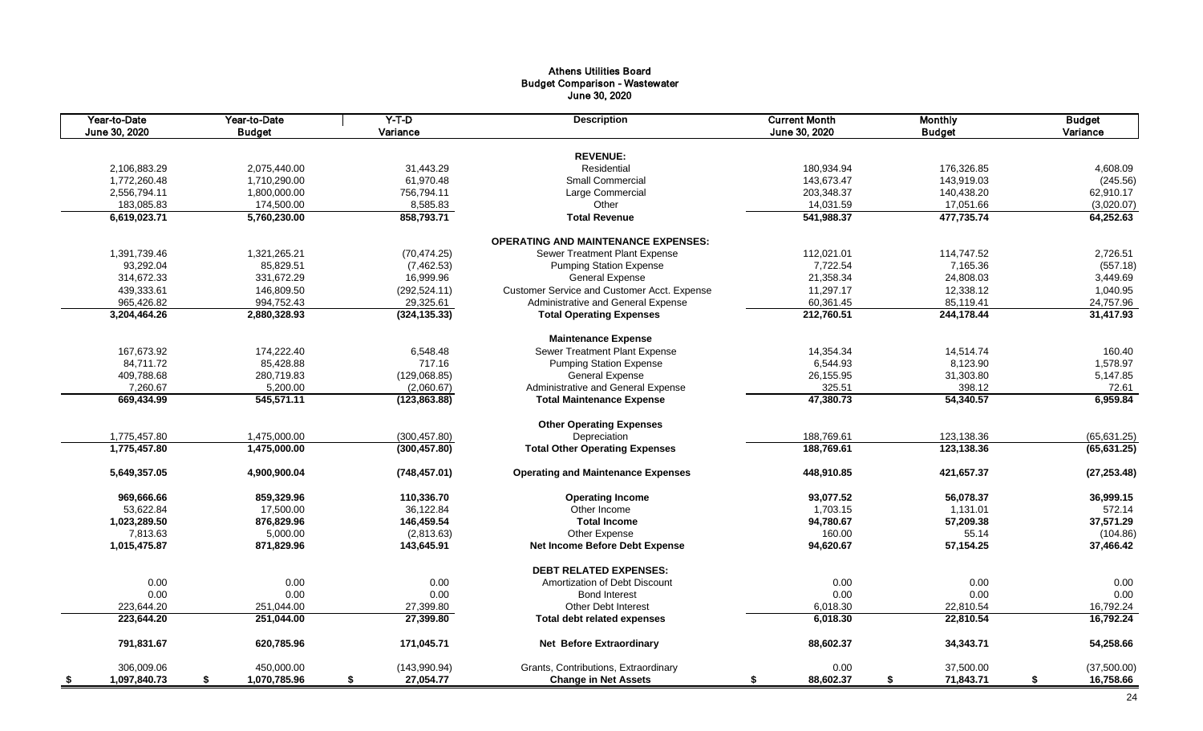## Athens Utilities Board Budget Comparison - Wastewater June 30, 2020

| Year-to-Date<br>June 30, 2020 | Year-to-Date<br><b>Budget</b> | $Y-T-D$<br>Variance | <b>Description</b>                          | <b>Current Month</b><br>June 30, 2020 | <b>Monthly</b><br><b>Budget</b> | <b>Budget</b><br>Variance |
|-------------------------------|-------------------------------|---------------------|---------------------------------------------|---------------------------------------|---------------------------------|---------------------------|
|                               |                               |                     |                                             |                                       |                                 |                           |
|                               |                               |                     | <b>REVENUE:</b>                             |                                       |                                 |                           |
| 2,106,883.29                  | 2,075,440.00                  | 31,443.29           | Residential                                 | 180,934.94                            | 176,326.85                      | 4,608.09                  |
| 1,772,260.48                  | 1,710,290.00                  | 61,970.48           | Small Commercial                            | 143,673.47                            | 143,919.03                      | (245.56)                  |
| 2,556,794.11                  | 1,800,000.00                  | 756,794.11          | Large Commercial                            | 203,348.37                            | 140,438.20                      | 62,910.17                 |
| 183,085.83                    | 174,500.00                    | 8,585.83            | Other                                       | 14,031.59                             | 17,051.66                       | (3,020.07)                |
| 6,619,023.71                  | 5,760,230.00                  | 858,793.71          | <b>Total Revenue</b>                        | 541,988.37                            | 477,735.74                      | 64,252.63                 |
|                               |                               |                     | <b>OPERATING AND MAINTENANCE EXPENSES:</b>  |                                       |                                 |                           |
| 1,391,739.46                  | 1,321,265.21                  | (70, 474.25)        | Sewer Treatment Plant Expense               | 112,021.01                            | 114,747.52                      | 2,726.51                  |
| 93,292.04                     | 85,829.51                     | (7,462.53)          | <b>Pumping Station Expense</b>              | 7,722.54                              | 7,165.36                        | (557.18)                  |
| 314,672.33                    | 331,672.29                    | 16,999.96           | <b>General Expense</b>                      | 21,358.34                             | 24,808.03                       | 3,449.69                  |
| 439,333.61                    | 146,809.50                    | (292, 524.11)       | Customer Service and Customer Acct. Expense | 11,297.17                             | 12,338.12                       | 1,040.95                  |
| 965,426.82                    | 994,752.43                    | 29,325.61           | Administrative and General Expense          | 60,361.45                             | 85,119.41                       | 24,757.96                 |
| 3,204,464.26                  | 2,880,328.93                  | (324, 135.33)       | <b>Total Operating Expenses</b>             | 212,760.51                            | 244,178.44                      | 31,417.93                 |
|                               |                               |                     | <b>Maintenance Expense</b>                  |                                       |                                 |                           |
| 167,673.92                    | 174,222.40                    | 6,548.48            | Sewer Treatment Plant Expense               | 14,354.34                             | 14,514.74                       | 160.40                    |
| 84,711.72                     | 85,428.88                     | 717.16              | <b>Pumping Station Expense</b>              | 6,544.93                              | 8,123.90                        | 1,578.97                  |
| 409,788.68                    | 280,719.83                    | (129,068.85)        | <b>General Expense</b>                      | 26,155.95                             | 31,303.80                       | 5,147.85                  |
| 7,260.67                      | 5,200.00                      | (2,060.67)          | Administrative and General Expense          | 325.51                                | 398.12                          | 72.61                     |
| 669,434.99                    | 545,571.11                    | (123, 863.88)       | <b>Total Maintenance Expense</b>            | 47,380.73                             | 54,340.57                       | 6,959.84                  |
|                               |                               |                     |                                             |                                       |                                 |                           |
|                               |                               |                     | <b>Other Operating Expenses</b>             |                                       |                                 |                           |
| 1,775,457.80                  | 1,475,000.00                  | (300, 457.80)       | Depreciation                                | 188,769.61                            | 123,138.36                      | (65, 631.25)              |
| 1,775,457.80                  | 1,475,000.00                  | (300, 457.80)       | <b>Total Other Operating Expenses</b>       | 188,769.61                            | 123,138.36                      | (65, 631.25)              |
| 5,649,357.05                  | 4,900,900.04                  | (748, 457.01)       | <b>Operating and Maintenance Expenses</b>   | 448,910.85                            | 421,657.37                      | (27, 253.48)              |
| 969,666.66                    | 859,329.96                    | 110,336.70          | <b>Operating Income</b>                     | 93,077.52                             | 56,078.37                       | 36,999.15                 |
| 53,622.84                     | 17,500.00                     | 36,122.84           | Other Income                                | 1,703.15                              | 1,131.01                        | 572.14                    |
| 1,023,289.50                  | 876,829.96                    | 146,459.54          | <b>Total Income</b>                         | 94,780.67                             | 57,209.38                       | 37,571.29                 |
| 7,813.63                      | 5,000.00                      | (2,813.63)          | Other Expense                               | 160.00                                | 55.14                           | (104.86)                  |
| 1,015,475.87                  | 871,829.96                    | 143,645.91          | Net Income Before Debt Expense              | 94,620.67                             | 57,154.25                       | 37,466.42                 |
|                               |                               |                     | <b>DEBT RELATED EXPENSES:</b>               |                                       |                                 |                           |
|                               | 0.00<br>0.00                  | 0.00                | Amortization of Debt Discount               | 0.00                                  | 0.00                            | 0.00                      |
|                               | 0.00<br>0.00                  | 0.00                | <b>Bond Interest</b>                        | 0.00                                  | 0.00                            | 0.00                      |
| 223,644.20                    | 251,044.00                    | 27,399.80           | <b>Other Debt Interest</b>                  | 6,018.30                              | 22,810.54                       | 16,792.24                 |
| 223,644.20                    | 251,044.00                    | 27,399.80           | <b>Total debt related expenses</b>          | 6,018.30                              | 22,810.54                       | 16,792.24                 |
| 791,831.67                    | 620,785.96                    | 171,045.71          | <b>Net Before Extraordinary</b>             | 88,602.37                             | 34,343.71                       | 54,258.66                 |
| 306,009.06                    | 450,000.00                    | (143,990.94)        | Grants, Contributions, Extraordinary        | 0.00                                  | 37,500.00                       | (37,500.00)               |
| 1,097,840.73<br>- \$          | 1,070,785.96<br>\$            | 27,054.77<br>\$     | <b>Change in Net Assets</b>                 | 88,602.37<br>\$                       | \$<br>71,843.71                 | \$<br>16,758.66           |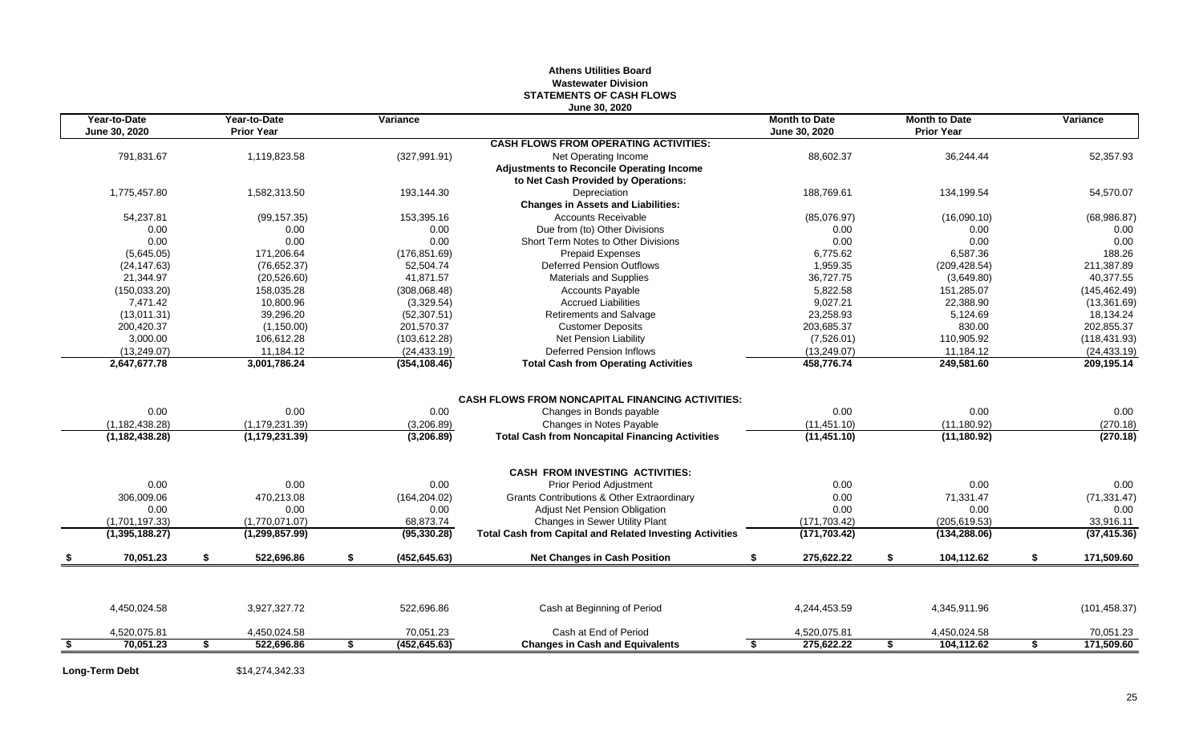### **Athens Utilities Board Wastewater Division STATEMENTS OF CASH FLOWS June 30, 2020**

| Year-to-Date<br>June 30, 2020 |    | Year-to-Date<br><b>Prior Year</b> |    | Variance      |                                                                 | <b>Month to Date</b><br>June 30, 2020 |    | <b>Month to Date</b><br><b>Prior Year</b> |    | Variance      |
|-------------------------------|----|-----------------------------------|----|---------------|-----------------------------------------------------------------|---------------------------------------|----|-------------------------------------------|----|---------------|
|                               |    |                                   |    |               | <b>CASH FLOWS FROM OPERATING ACTIVITIES:</b>                    |                                       |    |                                           |    |               |
| 791,831.67                    |    | 1,119,823.58                      |    | (327, 991.91) | Net Operating Income                                            | 88,602.37                             |    | 36,244.44                                 |    | 52,357.93     |
|                               |    |                                   |    |               | <b>Adjustments to Reconcile Operating Income</b>                |                                       |    |                                           |    |               |
|                               |    |                                   |    |               | to Net Cash Provided by Operations:                             |                                       |    |                                           |    |               |
| 1,775,457.80                  |    | 1,582,313.50                      |    | 193,144.30    | Depreciation                                                    | 188,769.61                            |    | 134,199.54                                |    | 54,570.07     |
|                               |    |                                   |    |               | <b>Changes in Assets and Liabilities:</b>                       |                                       |    |                                           |    |               |
| 54,237.81                     |    | (99, 157.35)                      |    | 153.395.16    | <b>Accounts Receivable</b>                                      | (85,076.97)                           |    | (16,090.10)                               |    | (68,986.87)   |
| 0.00                          |    | 0.00                              |    | 0.00          | Due from (to) Other Divisions                                   | 0.00                                  |    | 0.00                                      |    | 0.00          |
| 0.00                          |    | 0.00                              |    | 0.00          | Short Term Notes to Other Divisions                             | 0.00                                  |    | 0.00                                      |    | 0.00          |
| (5,645.05)                    |    | 171,206.64                        |    | (176, 851.69) | Prepaid Expenses                                                | 6,775.62                              |    | 6,587.36                                  |    | 188.26        |
| (24, 147.63)                  |    | (76, 652.37)                      |    | 52,504.74     | <b>Deferred Pension Outflows</b>                                | 1,959.35                              |    | (209, 428.54)                             |    | 211,387.89    |
| 21,344.97                     |    | (20, 526.60)                      |    | 41,871.57     | <b>Materials and Supplies</b>                                   | 36,727.75                             |    | (3,649.80)                                |    | 40,377.55     |
| (150, 033.20)                 |    | 158,035.28                        |    | (308,068.48)  | Accounts Payable                                                | 5,822.58                              |    | 151,285.07                                |    | (145, 462.49) |
| 7,471.42                      |    | 10,800.96                         |    | (3,329.54)    | <b>Accrued Liabilities</b>                                      | 9,027.21                              |    | 22,388.90                                 |    | (13,361.69)   |
| (13,011.31)                   |    | 39,296.20                         |    | (52, 307.51)  | Retirements and Salvage                                         | 23.258.93                             |    | 5,124.69                                  |    | 18,134.24     |
| 200,420.37                    |    | (1, 150.00)                       |    | 201,570.37    | <b>Customer Deposits</b>                                        | 203,685.37                            |    | 830.00                                    |    | 202,855.37    |
| 3,000.00                      |    | 106,612.28                        |    | (103, 612.28) | Net Pension Liability                                           | (7,526.01)                            |    | 110,905.92                                |    | (118, 431.93) |
| (13, 249.07)                  |    | 11,184.12                         |    | (24, 433.19)  | <b>Deferred Pension Inflows</b>                                 | (13, 249.07)                          |    | 11,184.12                                 |    | (24, 433.19)  |
| 2,647,677.78                  |    | 3,001,786.24                      |    | (354, 108.46) | <b>Total Cash from Operating Activities</b>                     | 458,776.74                            |    | 249,581.60                                |    | 209,195.14    |
|                               |    |                                   |    |               |                                                                 |                                       |    |                                           |    |               |
|                               |    |                                   |    |               | <b>CASH FLOWS FROM NONCAPITAL FINANCING ACTIVITIES:</b>         |                                       |    |                                           |    |               |
| 0.00                          |    | 0.00                              |    | 0.00          | Changes in Bonds payable                                        | 0.00                                  |    | 0.00                                      |    | 0.00          |
| (1, 182, 438.28)              |    | (1, 179, 231.39)                  |    | (3,206.89)    | Changes in Notes Payable                                        | (11, 451.10)                          |    | (11, 180.92)                              |    | (270.18)      |
| (1, 182, 438.28)              |    | (1, 179, 231.39)                  |    | (3,206.89)    | <b>Total Cash from Noncapital Financing Activities</b>          | (11, 451.10)                          |    | (11, 180.92)                              |    | (270.18)      |
|                               |    |                                   |    |               | <b>CASH FROM INVESTING ACTIVITIES:</b>                          |                                       |    |                                           |    |               |
| 0.00                          |    | 0.00                              |    | 0.00          | Prior Period Adjustment                                         | 0.00                                  |    | 0.00                                      |    | 0.00          |
| 306,009.06                    |    | 470,213.08                        |    | (164, 204.02) | Grants Contributions & Other Extraordinary                      | 0.00                                  |    | 71,331.47                                 |    | (71, 331.47)  |
| 0.00                          |    | 0.00                              |    | 0.00          | Adjust Net Pension Obligation                                   | 0.00                                  |    | 0.00                                      |    | 0.00          |
| (1,701,197.33)                |    | (1,770,071.07)                    |    | 68,873.74     | Changes in Sewer Utility Plant                                  | (171, 703.42)                         |    | (205, 619.53)                             |    | 33,916.11     |
| (1,395,188.27)                |    | (1, 299, 857.99)                  |    | (95, 330.28)  | <b>Total Cash from Capital and Related Investing Activities</b> | (171, 703.42)                         |    | (134, 288.06)                             |    | (37, 415.36)  |
| 70,051.23                     | S. | 522,696.86                        | \$ | (452, 645.63) | <b>Net Changes in Cash Position</b>                             | 275,622.22<br>\$                      | S. | 104,112.62                                | S. | 171,509.60    |
|                               |    |                                   |    |               |                                                                 |                                       |    |                                           |    |               |
| 4,450,024.58                  |    | 3,927,327.72                      |    | 522,696.86    | Cash at Beginning of Period                                     | 4,244,453.59                          |    | 4,345,911.96                              |    | (101, 458.37) |
| 4,520,075.81                  |    | 4,450,024.58                      |    | 70,051.23     | Cash at End of Period                                           | 4,520,075.81                          |    | 4,450,024.58                              |    | 70,051.23     |
| 70.051.23                     |    | 522,696.86                        | S  | (452, 645.63) | <b>Changes in Cash and Equivalents</b>                          | $\overline{\mathbf{s}}$<br>275,622.22 | S. | 104,112.62                                | \$ | 171,509.60    |
|                               |    |                                   |    |               |                                                                 |                                       |    |                                           |    |               |

**Long-Term Debt** \$14,274,342.33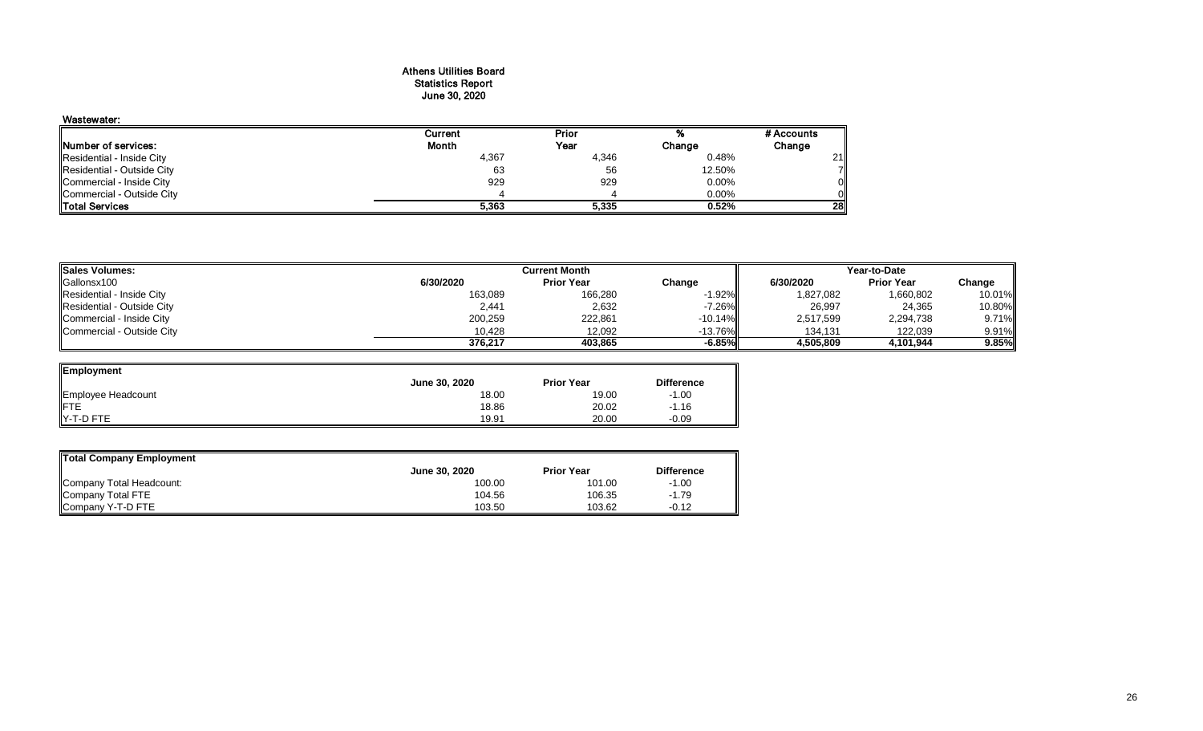#### Athens Utilities Board Statistics Report June 30, 2020

## Wastewater:

|                            | Current | Prior |        | # Accounts |
|----------------------------|---------|-------|--------|------------|
| Number of services:        | Month   | Year  | Change | Change     |
| Residential - Inside City  | 4,367   | 4,346 | 0.48%  | 21         |
| Residential - Outside City | 63      | 56    | 12.50% | 71         |
| Commercial - Inside City   | 929     | 929   | 0.00%  | ΟI         |
| Commercial - Outside City  |         |       | 0.00%  | Οll        |
| <b>ITotal Services</b>     | 5.363   | 5.335 | 0.52%  | <b>28</b>  |

| <b>Sales Volumes:</b>      |           | Current Month     | Year-to-Date |           |                   |        |
|----------------------------|-----------|-------------------|--------------|-----------|-------------------|--------|
| Gallonsx100                | 6/30/2020 | <b>Prior Year</b> | Change       | 6/30/2020 | <b>Prior Year</b> | Change |
| Residential - Inside City  | 163,089   | 166,280           | $-1.92\%$    | 1,827,082 | 1,660,802         | 10.01% |
| Residential - Outside City | 2,441     | 2,632             | $-7.26%$     | 26,997    | 24,365            | 10.80% |
| Commercial - Inside City   | 200,259   | 222,861           | $-10.14\%$   | 2,517,599 | 2,294,738         | 9.71%  |
| Commercial - Outside City  | 10.428    | 12,092            | $-13.76\%$   | 134.131   | 122,039           | 9.91%  |
|                            | 376.217   | 403.865           | $-6.85\%$    | 4,505,809 | 4,101,944         | 9.85%  |

| Employment         |               |                   |                   |
|--------------------|---------------|-------------------|-------------------|
|                    | June 30, 2020 | <b>Prior Year</b> | <b>Difference</b> |
| Employee Headcount | 18.00         | 19.00             | $-1.00$           |
| IFTE               | 18.86         | 20.02             | $-1.16$           |
| Y-T-D FTE          | 19.91         | 20.00             | $-0.09$           |

| Total Company Employment |                      |                   |                   |
|--------------------------|----------------------|-------------------|-------------------|
|                          | <b>June 30, 2020</b> | <b>Prior Year</b> | <b>Difference</b> |
| Company Total Headcount: | 100.00               | 101.00            | $-1.00$           |
| Company Total FTE        | 104.56               | 106.35            | $-1.79$           |
| Company Y-T-D FTE        | 103.50               | 103.62            | $-0.12$           |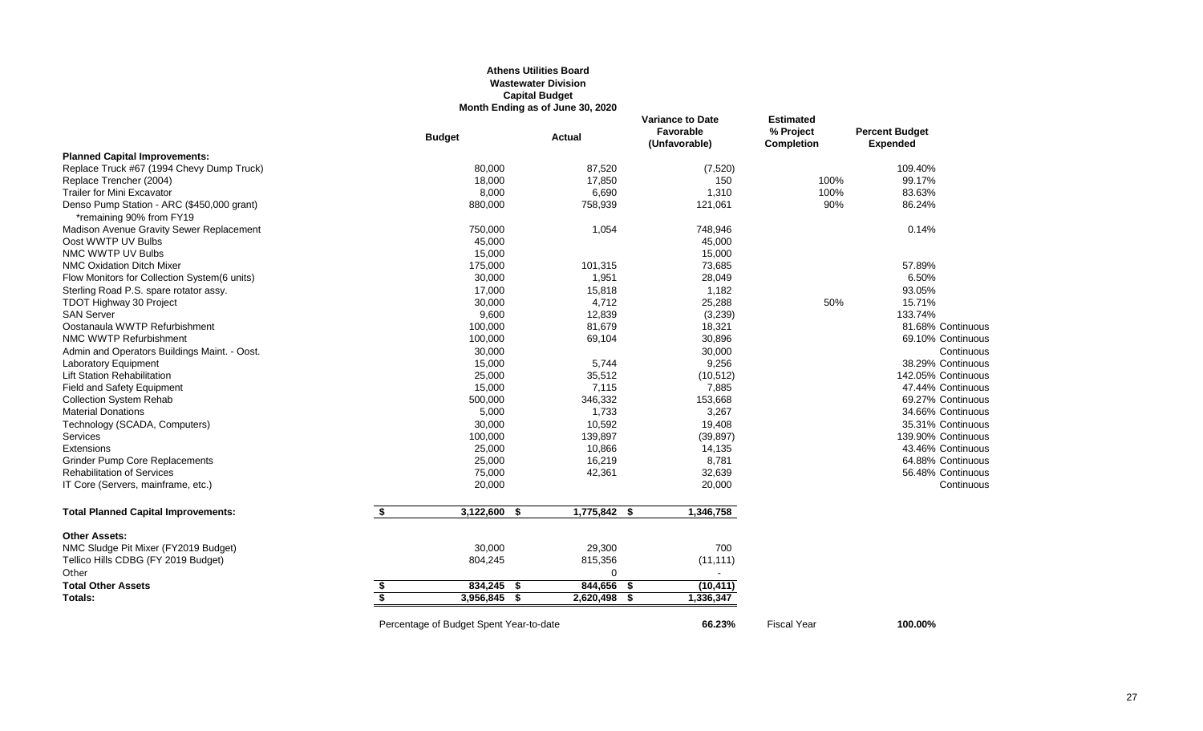### **Athens Utilities Board Wastewater Division Capital Budget Month Ending as of June 30, 2020**

|                                                                        |    | <b>Budget</b>                           | Actual            | <b>Variance to Date</b><br>Favorable<br>(Unfavorable) | Estimated<br>% Project<br><b>Completion</b> | <b>Percent Budget</b><br><b>Expended</b> |
|------------------------------------------------------------------------|----|-----------------------------------------|-------------------|-------------------------------------------------------|---------------------------------------------|------------------------------------------|
| <b>Planned Capital Improvements:</b>                                   |    |                                         |                   |                                                       |                                             |                                          |
| Replace Truck #67 (1994 Chevy Dump Truck)                              |    | 80,000                                  | 87,520            | (7,520)                                               |                                             | 109.40%                                  |
| Replace Trencher (2004)                                                |    | 18,000                                  | 17,850            | 150                                                   | 100%                                        | 99.17%                                   |
| <b>Trailer for Mini Excavator</b>                                      |    | 8,000                                   | 6,690             | 1,310                                                 | 100%                                        | 83.63%                                   |
| Denso Pump Station - ARC (\$450,000 grant)<br>*remaining 90% from FY19 |    | 880,000                                 | 758,939           | 121,061                                               | 90%                                         | 86.24%                                   |
| Madison Avenue Gravity Sewer Replacement                               |    | 750,000                                 | 1,054             | 748,946                                               |                                             | 0.14%                                    |
| Oost WWTP UV Bulbs                                                     |    | 45,000                                  |                   | 45,000                                                |                                             |                                          |
| NMC WWTP UV Bulbs                                                      |    | 15,000                                  |                   | 15,000                                                |                                             |                                          |
| <b>NMC Oxidation Ditch Mixer</b>                                       |    | 175,000                                 | 101,315           | 73,685                                                |                                             | 57.89%                                   |
| Flow Monitors for Collection System(6 units)                           |    | 30,000                                  | 1,951             | 28,049                                                |                                             | 6.50%                                    |
| Sterling Road P.S. spare rotator assy.                                 |    | 17,000                                  | 15,818            | 1,182                                                 |                                             | 93.05%                                   |
| TDOT Highway 30 Project                                                |    | 30,000                                  | 4,712             | 25,288                                                | 50%                                         | 15.71%                                   |
| <b>SAN Server</b>                                                      |    | 9,600                                   | 12,839            | (3,239)                                               |                                             | 133.74%                                  |
| Oostanaula WWTP Refurbishment                                          |    | 100,000                                 | 81,679            | 18,321                                                |                                             | 81.68% Continuous                        |
| NMC WWTP Refurbishment                                                 |    | 100,000                                 | 69,104            | 30,896                                                |                                             | 69.10% Continuous                        |
| Admin and Operators Buildings Maint. - Oost.                           |    | 30,000                                  |                   | 30,000                                                |                                             | Continuous                               |
| Laboratory Equipment                                                   |    | 15,000                                  | 5,744             | 9,256                                                 |                                             | 38.29% Continuous                        |
| <b>Lift Station Rehabilitation</b>                                     |    | 25,000                                  | 35,512            | (10, 512)                                             |                                             | 142.05% Continuous                       |
| <b>Field and Safety Equipment</b>                                      |    | 15,000                                  | 7,115             | 7,885                                                 |                                             | 47.44% Continuous                        |
| <b>Collection System Rehab</b>                                         |    | 500,000                                 | 346,332           | 153,668                                               |                                             | 69.27% Continuous                        |
| <b>Material Donations</b>                                              |    | 5,000                                   | 1,733             | 3,267                                                 |                                             | 34.66% Continuous                        |
| Technology (SCADA, Computers)                                          |    | 30,000                                  | 10,592            | 19,408                                                |                                             | 35.31% Continuous                        |
| <b>Services</b>                                                        |    | 100,000                                 | 139,897           | (39, 897)                                             |                                             | 139.90% Continuous                       |
| Extensions                                                             |    | 25,000                                  | 10,866            | 14,135                                                |                                             | 43.46% Continuous                        |
| <b>Grinder Pump Core Replacements</b>                                  |    | 25,000                                  | 16,219            | 8,781                                                 |                                             | 64.88% Continuous                        |
| <b>Rehabilitation of Services</b>                                      |    | 75,000                                  | 42,361            | 32,639                                                |                                             | 56.48% Continuous                        |
| IT Core (Servers, mainframe, etc.)                                     |    | 20,000                                  |                   | 20,000                                                |                                             | Continuous                               |
| <b>Total Planned Capital Improvements:</b>                             | \$ | 3,122,600<br>- \$                       | 1,775,842 \$      | 1,346,758                                             |                                             |                                          |
| <b>Other Assets:</b>                                                   |    |                                         |                   |                                                       |                                             |                                          |
| NMC Sludge Pit Mixer (FY2019 Budget)                                   |    | 30,000                                  | 29,300            | 700                                                   |                                             |                                          |
| Tellico Hills CDBG (FY 2019 Budget)                                    |    | 804,245                                 | 815,356           | (11, 111)                                             |                                             |                                          |
| Other                                                                  |    |                                         | $\Omega$          | $\blacksquare$                                        |                                             |                                          |
| <b>Total Other Assets</b>                                              | \$ | 834,245 \$                              | 844,656<br>- 55   | (10, 411)                                             |                                             |                                          |
| Totals:                                                                | ड  | 3,956,845<br>- \$                       | 2,620,498<br>- \$ | 1,336,347                                             |                                             |                                          |
|                                                                        |    | Percentage of Budget Spent Year-to-date |                   | 66.23%                                                | <b>Fiscal Year</b>                          | 100.00%                                  |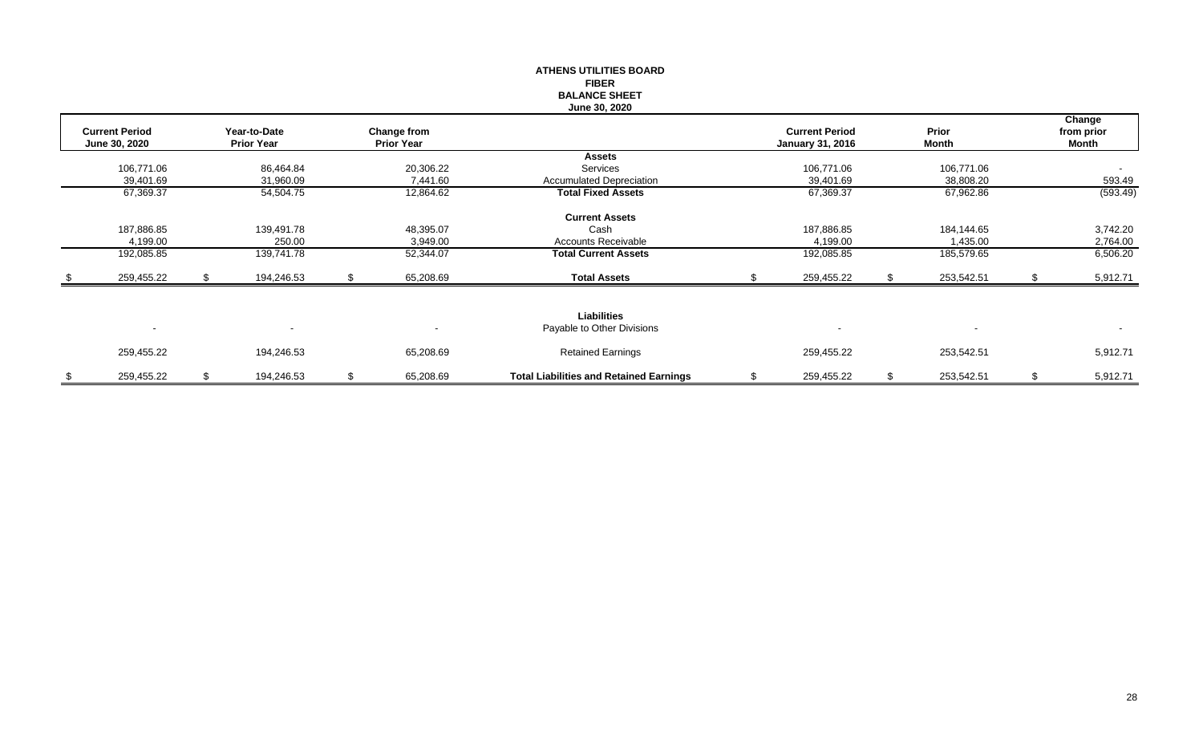|      |                       |                   |    |                   | <b>ATHENS UTILITIES BOARD</b>                  |                         |                  |    |            |
|------|-----------------------|-------------------|----|-------------------|------------------------------------------------|-------------------------|------------------|----|------------|
|      |                       |                   |    |                   | <b>FIBER</b>                                   |                         |                  |    |            |
|      |                       |                   |    |                   | <b>BALANCE SHEET</b>                           |                         |                  |    |            |
|      |                       |                   |    |                   | <b>June 30, 2020</b>                           |                         |                  |    |            |
|      |                       |                   |    |                   |                                                |                         |                  |    | Change     |
|      | <b>Current Period</b> | Year-to-Date      |    | Change from       |                                                | <b>Current Period</b>   | Prior            |    | from prior |
|      | June 30, 2020         | <b>Prior Year</b> |    | <b>Prior Year</b> |                                                | <b>January 31, 2016</b> | Month            |    | Month      |
|      |                       |                   |    |                   | <b>Assets</b>                                  |                         |                  |    |            |
|      | 106,771.06            | 86,464.84         |    | 20,306.22         | Services                                       | 106,771.06              | 106,771.06       |    | $\sim$     |
|      | 39,401.69             | 31,960.09         |    | 7,441.60          | <b>Accumulated Depreciation</b>                | 39,401.69               | 38,808.20        |    | 593.49     |
|      | 67,369.37             | 54,504.75         |    | 12,864.62         | <b>Total Fixed Assets</b>                      | 67,369.37               | 67,962.86        |    | (593.49)   |
|      |                       |                   |    |                   | <b>Current Assets</b>                          |                         |                  |    |            |
|      | 187,886.85            | 139,491.78        |    | 48,395.07         | Cash                                           | 187,886.85              | 184,144.65       |    | 3,742.20   |
|      | 4,199.00              | 250.00            |    | 3,949.00          | <b>Accounts Receivable</b>                     | 4,199.00                | 1,435.00         |    | 2,764.00   |
|      | 192,085.85            | 139,741.78        |    | 52,344.07         | <b>Total Current Assets</b>                    | 192,085.85              | 185,579.65       |    | 6,506.20   |
| - \$ | 259,455.22            | 194,246.53        | S. | 65,208.69         | <b>Total Assets</b>                            | 259,455.22              | 253,542.51       | £. | 5,912.71   |
|      |                       |                   |    |                   |                                                |                         |                  |    |            |
|      |                       |                   |    |                   | Liabilities                                    |                         |                  |    |            |
|      | $\sim$                |                   |    |                   | Payable to Other Divisions                     |                         |                  |    | $\sim$     |
|      | 259,455.22            | 194,246.53        |    | 65,208.69         | <b>Retained Earnings</b>                       | 259,455.22              | 253,542.51       |    | 5,912.71   |
| \$   | 259,455.22            | \$<br>194,246.53  | \$ | 65,208.69         | <b>Total Liabilities and Retained Earnings</b> | \$<br>259,455.22        | \$<br>253,542.51 | \$ | 5,912.71   |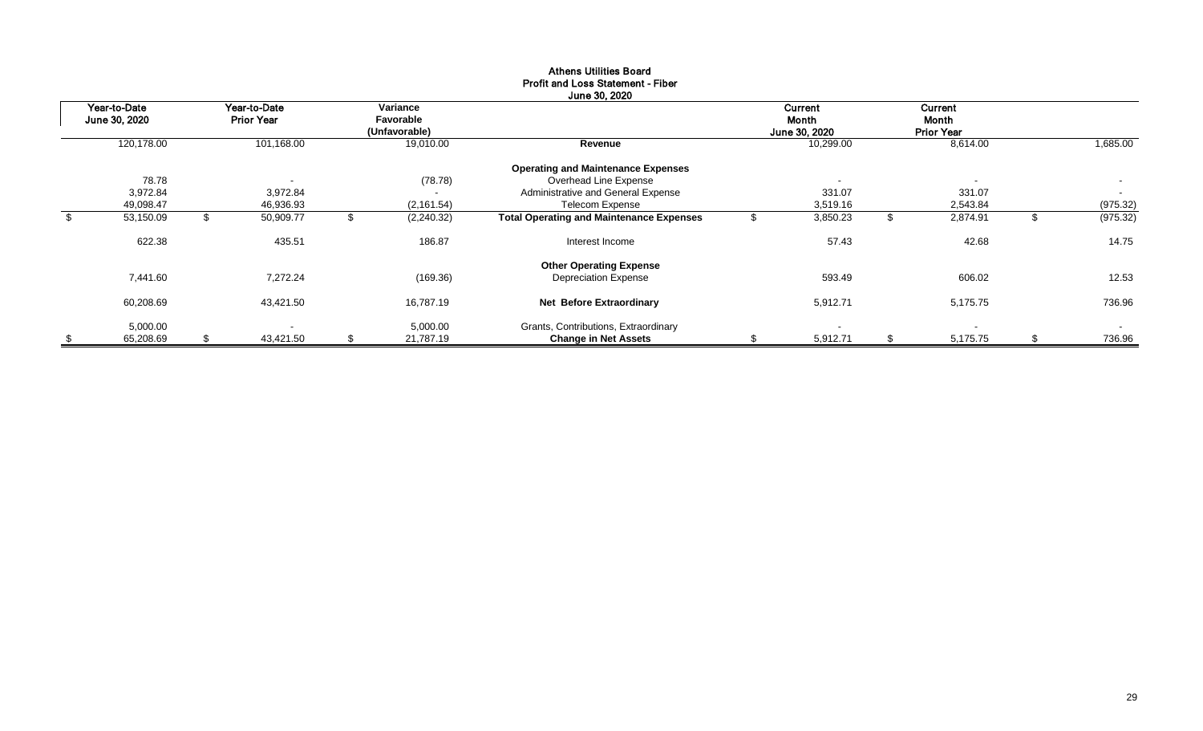| Year-to-Date<br>June 30, 2020 |    | Year-to-Date<br><b>Prior Year</b> |    | Variance<br>Favorable<br>(Unfavorable) |                                                 | Current<br>Month<br>June 30, 2020 | Current<br>Month<br><b>Prior Year</b> |    |          |
|-------------------------------|----|-----------------------------------|----|----------------------------------------|-------------------------------------------------|-----------------------------------|---------------------------------------|----|----------|
| 120,178.00                    |    | 101,168.00                        |    | 19,010.00                              | Revenue                                         | 10,299.00                         | 8,614.00                              |    | 1,685.00 |
|                               |    |                                   |    |                                        | <b>Operating and Maintenance Expenses</b>       |                                   |                                       |    |          |
| 78.78                         |    | $\overline{\phantom{a}}$          |    | (78.78)                                | Overhead Line Expense                           | $\overline{\phantom{0}}$          | $\sim$                                |    | $\sim$   |
| 3,972.84                      |    | 3,972.84                          |    | $\overline{\phantom{a}}$               | Administrative and General Expense              | 331.07                            | 331.07                                |    | $\sim$   |
| 49,098.47                     |    | 46,936.93                         |    | (2, 161.54)                            | <b>Telecom Expense</b>                          | 3,519.16                          | 2,543.84                              |    | (975.32) |
| \$<br>53,150.09               | ზ  | 50,909.77                         | ъ. | (2, 240.32)                            | <b>Total Operating and Maintenance Expenses</b> | 3,850.23                          | \$<br>2,874.91                        | .১ | (975.32) |
| 622.38                        |    | 435.51                            |    | 186.87                                 | Interest Income                                 | 57.43                             | 42.68                                 |    | 14.75    |
|                               |    |                                   |    |                                        | <b>Other Operating Expense</b>                  |                                   |                                       |    |          |
| 7,441.60                      |    | 7,272.24                          |    | (169.36)                               | <b>Depreciation Expense</b>                     | 593.49                            | 606.02                                |    | 12.53    |
| 60,208.69                     |    | 43,421.50                         |    | 16,787.19                              | <b>Net Before Extraordinary</b>                 | 5,912.71                          | 5,175.75                              |    | 736.96   |
| 5,000.00                      |    |                                   |    | 5,000.00                               | Grants, Contributions, Extraordinary            |                                   | $\sim$                                |    | $\sim$   |
| \$<br>65,208.69               | S. | 43,421.50                         | \$ | 21,787.19                              | <b>Change in Net Assets</b>                     | 5,912.71                          | \$<br>5,175.75                        | \$ | 736.96   |

#### Athens Utilities Board Profit and Loss Statement - Fiber  $\sim$   $\sim$